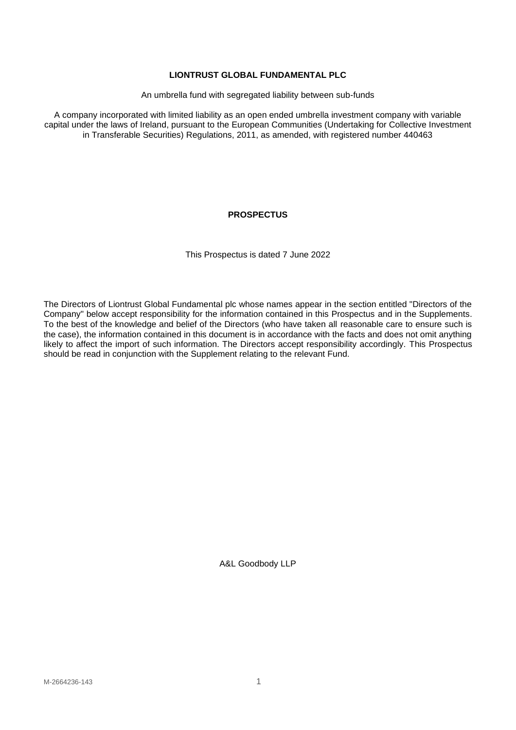## **LIONTRUST GLOBAL FUNDAMENTAL PLC**

An umbrella fund with segregated liability between sub-funds

A company incorporated with limited liability as an open ended umbrella investment company with variable capital under the laws of Ireland, pursuant to the European Communities (Undertaking for Collective Investment in Transferable Securities) Regulations, 2011, as amended, with registered number 440463

# **PROSPECTUS**

This Prospectus is dated 7 June 2022

The Directors of Liontrust Global Fundamental plc whose names appear in the section entitled "Directors of the Company" below accept responsibility for the information contained in this Prospectus and in the Supplements. To the best of the knowledge and belief of the Directors (who have taken all reasonable care to ensure such is the case), the information contained in this document is in accordance with the facts and does not omit anything likely to affect the import of such information. The Directors accept responsibility accordingly. This Prospectus should be read in conjunction with the Supplement relating to the relevant Fund.

A&L Goodbody LLP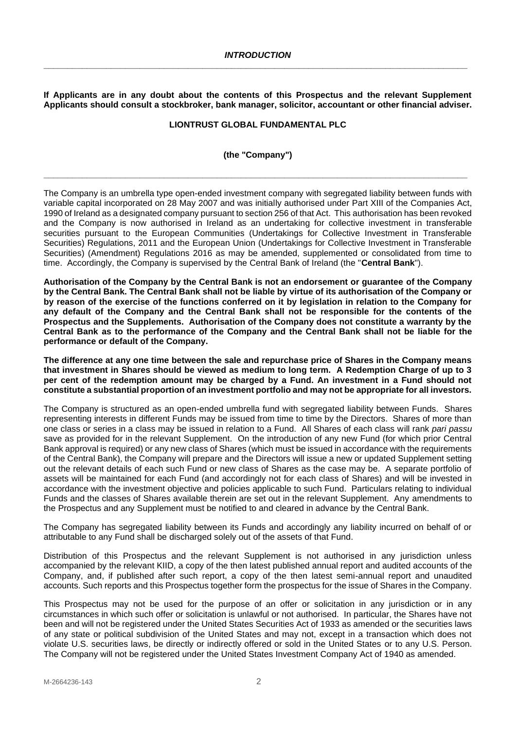<span id="page-1-0"></span>**If Applicants are in any doubt about the contents of this Prospectus and the relevant Supplement Applicants should consult a stockbroker, bank manager, solicitor, accountant or other financial adviser.**

#### **LIONTRUST GLOBAL FUNDAMENTAL PLC**

#### **(the "Company")**

**\_\_\_\_\_\_\_\_\_\_\_\_\_\_\_\_\_\_\_\_\_\_\_\_\_\_\_\_\_\_\_\_\_\_\_\_\_\_\_\_\_\_\_\_\_\_\_\_\_\_\_\_\_\_\_\_\_\_\_\_\_\_\_\_\_\_\_\_\_\_\_\_\_\_\_\_\_\_\_\_\_\_\_\_\_\_\_\_**

The Company is an umbrella type open-ended investment company with segregated liability between funds with variable capital incorporated on 28 May 2007 and was initially authorised under Part XIII of the Companies Act, 1990 of Ireland as a designated company pursuant to section 256 of that Act. This authorisation has been revoked and the Company is now authorised in Ireland as an undertaking for collective investment in transferable securities pursuant to the European Communities (Undertakings for Collective Investment in Transferable Securities) Regulations, 2011 and the European Union (Undertakings for Collective Investment in Transferable Securities) (Amendment) Regulations 2016 as may be amended, supplemented or consolidated from time to time. Accordingly, the Company is supervised by the Central Bank of Ireland (the "**Central Bank**").

**Authorisation of the Company by the Central Bank is not an endorsement or guarantee of the Company by the Central Bank. The Central Bank shall not be liable by virtue of its authorisation of the Company or by reason of the exercise of the functions conferred on it by legislation in relation to the Company for any default of the Company and the Central Bank shall not be responsible for the contents of the Prospectus and the Supplements. Authorisation of the Company does not constitute a warranty by the Central Bank as to the performance of the Company and the Central Bank shall not be liable for the performance or default of the Company.**

**The difference at any one time between the sale and repurchase price of Shares in the Company means that investment in Shares should be viewed as medium to long term. A Redemption Charge of up to 3 per cent of the redemption amount may be charged by a Fund. An investment in a Fund should not constitute a substantial proportion of an investment portfolio and may not be appropriate for all investors.**

The Company is structured as an open-ended umbrella fund with segregated liability between Funds. Shares representing interests in different Funds may be issued from time to time by the Directors. Shares of more than one class or series in a class may be issued in relation to a Fund. All Shares of each class will rank *pari passu* save as provided for in the relevant Supplement. On the introduction of any new Fund (for which prior Central Bank approval is required) or any new class of Shares (which must be issued in accordance with the requirements of the Central Bank), the Company will prepare and the Directors will issue a new or updated Supplement setting out the relevant details of each such Fund or new class of Shares as the case may be. A separate portfolio of assets will be maintained for each Fund (and accordingly not for each class of Shares) and will be invested in accordance with the investment objective and policies applicable to such Fund. Particulars relating to individual Funds and the classes of Shares available therein are set out in the relevant Supplement. Any amendments to the Prospectus and any Supplement must be notified to and cleared in advance by the Central Bank.

The Company has segregated liability between its Funds and accordingly any liability incurred on behalf of or attributable to any Fund shall be discharged solely out of the assets of that Fund.

Distribution of this Prospectus and the relevant Supplement is not authorised in any jurisdiction unless accompanied by the relevant KIID, a copy of the then latest published annual report and audited accounts of the Company, and, if published after such report, a copy of the then latest semi-annual report and unaudited accounts. Such reports and this Prospectus together form the prospectus for the issue of Shares in the Company.

This Prospectus may not be used for the purpose of an offer or solicitation in any jurisdiction or in any circumstances in which such offer or solicitation is unlawful or not authorised. In particular, the Shares have not been and will not be registered under the United States Securities Act of 1933 as amended or the securities laws of any state or political subdivision of the United States and may not, except in a transaction which does not violate U.S. securities laws, be directly or indirectly offered or sold in the United States or to any U.S. Person. The Company will not be registered under the United States Investment Company Act of 1940 as amended.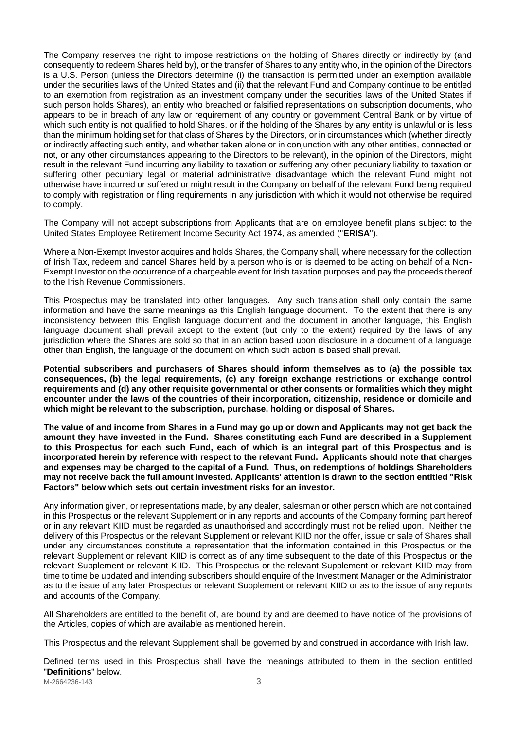The Company reserves the right to impose restrictions on the holding of Shares directly or indirectly by (and consequently to redeem Shares held by), or the transfer of Shares to any entity who, in the opinion of the Directors is a U.S. Person (unless the Directors determine (i) the transaction is permitted under an exemption available under the securities laws of the United States and (ii) that the relevant Fund and Company continue to be entitled to an exemption from registration as an investment company under the securities laws of the United States if such person holds Shares), an entity who breached or falsified representations on subscription documents, who appears to be in breach of any law or requirement of any country or government Central Bank or by virtue of which such entity is not qualified to hold Shares, or if the holding of the Shares by any entity is unlawful or is less than the minimum holding set for that class of Shares by the Directors, or in circumstances which (whether directly or indirectly affecting such entity, and whether taken alone or in conjunction with any other entities, connected or not, or any other circumstances appearing to the Directors to be relevant), in the opinion of the Directors, might result in the relevant Fund incurring any liability to taxation or suffering any other pecuniary liability to taxation or suffering other pecuniary legal or material administrative disadvantage which the relevant Fund might not otherwise have incurred or suffered or might result in the Company on behalf of the relevant Fund being required to comply with registration or filing requirements in any jurisdiction with which it would not otherwise be required to comply.

The Company will not accept subscriptions from Applicants that are on employee benefit plans subject to the United States Employee Retirement Income Security Act 1974, as amended ("**ERISA**").

Where a Non-Exempt Investor acquires and holds Shares, the Company shall, where necessary for the collection of Irish Tax, redeem and cancel Shares held by a person who is or is deemed to be acting on behalf of a Non-Exempt Investor on the occurrence of a chargeable event for Irish taxation purposes and pay the proceeds thereof to the Irish Revenue Commissioners.

This Prospectus may be translated into other languages. Any such translation shall only contain the same information and have the same meanings as this English language document. To the extent that there is any inconsistency between this English language document and the document in another language, this English language document shall prevail except to the extent (but only to the extent) required by the laws of any jurisdiction where the Shares are sold so that in an action based upon disclosure in a document of a language other than English, the language of the document on which such action is based shall prevail.

**Potential subscribers and purchasers of Shares should inform themselves as to (a) the possible tax consequences, (b) the legal requirements, (c) any foreign exchange restrictions or exchange control requirements and (d) any other requisite governmental or other consents or formalities which they might encounter under the laws of the countries of their incorporation, citizenship, residence or domicile and which might be relevant to the subscription, purchase, holding or disposal of Shares.**

**The value of and income from Shares in a Fund may go up or down and Applicants may not get back the amount they have invested in the Fund. Shares constituting each Fund are described in a Supplement to this Prospectus for each such Fund, each of which is an integral part of this Prospectus and is incorporated herein by reference with respect to the relevant Fund. Applicants should note that charges and expenses may be charged to the capital of a Fund. Thus, on redemptions of holdings Shareholders may not receive back the full amount invested. Applicants' attention is drawn to the section entitled "Risk Factors" below which sets out certain investment risks for an investor.**

Any information given, or representations made, by any dealer, salesman or other person which are not contained in this Prospectus or the relevant Supplement or in any reports and accounts of the Company forming part hereof or in any relevant KIID must be regarded as unauthorised and accordingly must not be relied upon. Neither the delivery of this Prospectus or the relevant Supplement or relevant KIID nor the offer, issue or sale of Shares shall under any circumstances constitute a representation that the information contained in this Prospectus or the relevant Supplement or relevant KIID is correct as of any time subsequent to the date of this Prospectus or the relevant Supplement or relevant KIID. This Prospectus or the relevant Supplement or relevant KIID may from time to time be updated and intending subscribers should enquire of the Investment Manager or the Administrator as to the issue of any later Prospectus or relevant Supplement or relevant KIID or as to the issue of any reports and accounts of the Company.

All Shareholders are entitled to the benefit of, are bound by and are deemed to have notice of the provisions of the Articles, copies of which are available as mentioned herein.

This Prospectus and the relevant Supplement shall be governed by and construed in accordance with Irish law.

Defined terms used in this Prospectus shall have the meanings attributed to them in the section entitled "**Definitions**" below.

M-2664236-143 3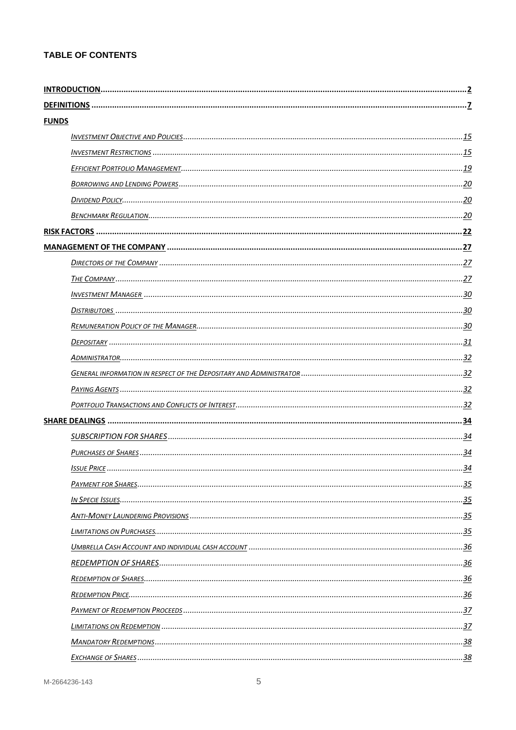# **TABLE OF CONTENTS**

| <b>FUNDS</b> |  |
|--------------|--|
|              |  |
|              |  |
|              |  |
|              |  |
|              |  |
|              |  |
|              |  |
|              |  |
|              |  |
|              |  |
|              |  |
|              |  |
|              |  |
|              |  |
|              |  |
|              |  |
|              |  |
|              |  |
|              |  |
|              |  |
|              |  |
|              |  |
|              |  |
|              |  |
|              |  |
|              |  |
|              |  |
|              |  |
|              |  |
|              |  |
|              |  |
|              |  |
|              |  |
|              |  |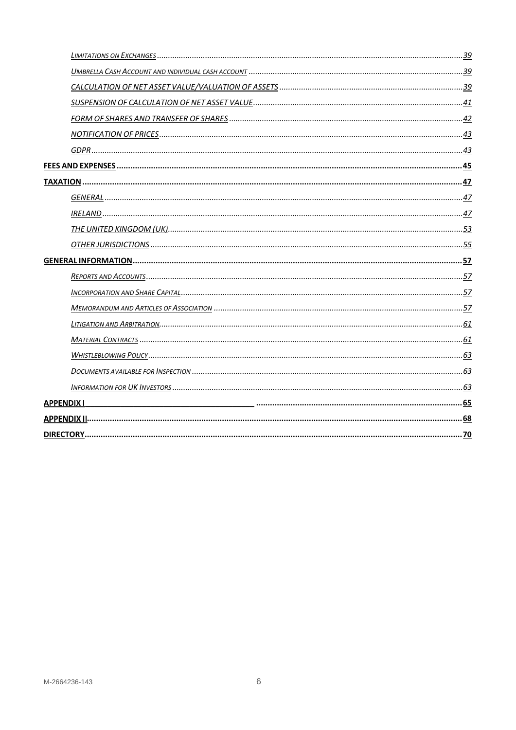| <b>APPENDIX I</b> |  |
|-------------------|--|
|                   |  |
|                   |  |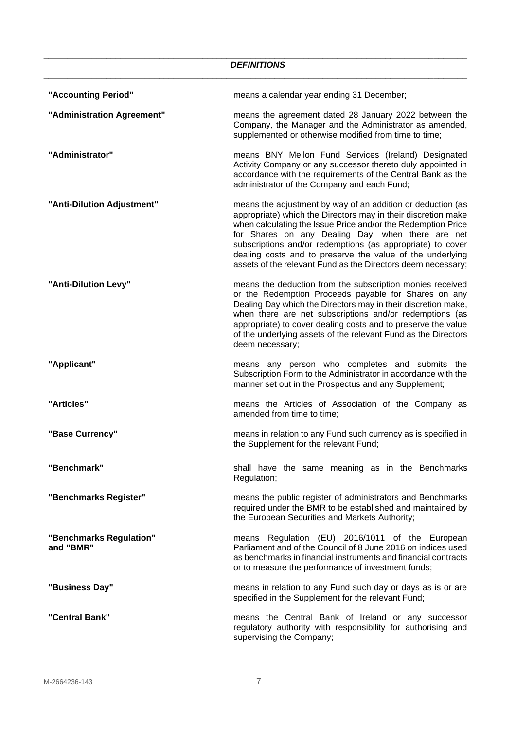<span id="page-6-0"></span>

|                                      | <b>DEFINITIONS</b>                                                                                                                                                                                                                                                                                                                                                                                                                           |
|--------------------------------------|----------------------------------------------------------------------------------------------------------------------------------------------------------------------------------------------------------------------------------------------------------------------------------------------------------------------------------------------------------------------------------------------------------------------------------------------|
| "Accounting Period"                  | means a calendar year ending 31 December;                                                                                                                                                                                                                                                                                                                                                                                                    |
| "Administration Agreement"           | means the agreement dated 28 January 2022 between the<br>Company, the Manager and the Administrator as amended,<br>supplemented or otherwise modified from time to time;                                                                                                                                                                                                                                                                     |
| "Administrator"                      | means BNY Mellon Fund Services (Ireland) Designated<br>Activity Company or any successor thereto duly appointed in<br>accordance with the requirements of the Central Bank as the<br>administrator of the Company and each Fund;                                                                                                                                                                                                             |
| "Anti-Dilution Adjustment"           | means the adjustment by way of an addition or deduction (as<br>appropriate) which the Directors may in their discretion make<br>when calculating the Issue Price and/or the Redemption Price<br>for Shares on any Dealing Day, when there are net<br>subscriptions and/or redemptions (as appropriate) to cover<br>dealing costs and to preserve the value of the underlying<br>assets of the relevant Fund as the Directors deem necessary; |
| "Anti-Dilution Levy"                 | means the deduction from the subscription monies received<br>or the Redemption Proceeds payable for Shares on any<br>Dealing Day which the Directors may in their discretion make,<br>when there are net subscriptions and/or redemptions (as<br>appropriate) to cover dealing costs and to preserve the value<br>of the underlying assets of the relevant Fund as the Directors<br>deem necessary;                                          |
| "Applicant"                          | means any person who completes and submits the<br>Subscription Form to the Administrator in accordance with the<br>manner set out in the Prospectus and any Supplement;                                                                                                                                                                                                                                                                      |
| "Articles"                           | means the Articles of Association of the Company as<br>amended from time to time;                                                                                                                                                                                                                                                                                                                                                            |
| "Base Currency"                      | means in relation to any Fund such currency as is specified in<br>the Supplement for the relevant Fund;                                                                                                                                                                                                                                                                                                                                      |
| "Benchmark"                          | shall have the same meaning as in the Benchmarks<br>Regulation;                                                                                                                                                                                                                                                                                                                                                                              |
| "Benchmarks Register"                | means the public register of administrators and Benchmarks<br>required under the BMR to be established and maintained by<br>the European Securities and Markets Authority;                                                                                                                                                                                                                                                                   |
| "Benchmarks Regulation"<br>and "BMR" | means Regulation (EU) 2016/1011 of the European<br>Parliament and of the Council of 8 June 2016 on indices used<br>as benchmarks in financial instruments and financial contracts<br>or to measure the performance of investment funds;                                                                                                                                                                                                      |
| "Business Day"                       | means in relation to any Fund such day or days as is or are<br>specified in the Supplement for the relevant Fund;                                                                                                                                                                                                                                                                                                                            |
| "Central Bank"                       | means the Central Bank of Ireland or any successor<br>regulatory authority with responsibility for authorising and<br>supervising the Company;                                                                                                                                                                                                                                                                                               |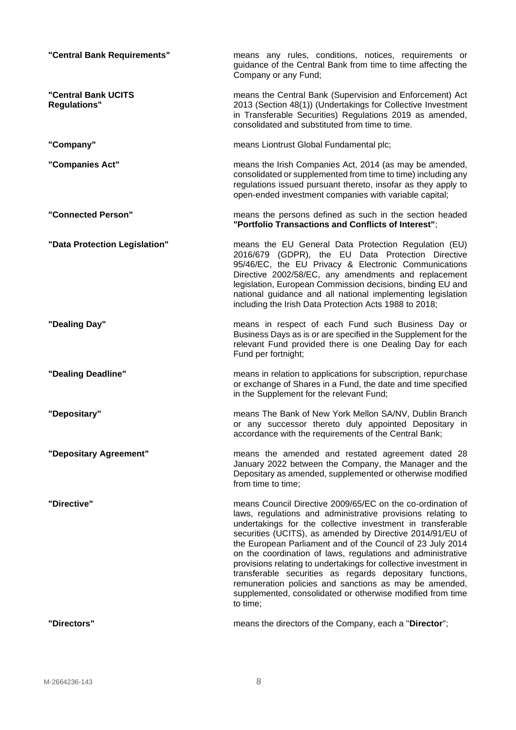| "Central Bank Requirements"                | means any rules, conditions, notices, requirements or<br>guidance of the Central Bank from time to time affecting the<br>Company or any Fund;                                                                                                                                                                                                                                                                                                                                                                                                                                                                                                         |
|--------------------------------------------|-------------------------------------------------------------------------------------------------------------------------------------------------------------------------------------------------------------------------------------------------------------------------------------------------------------------------------------------------------------------------------------------------------------------------------------------------------------------------------------------------------------------------------------------------------------------------------------------------------------------------------------------------------|
| "Central Bank UCITS<br><b>Regulations"</b> | means the Central Bank (Supervision and Enforcement) Act<br>2013 (Section 48(1)) (Undertakings for Collective Investment<br>in Transferable Securities) Regulations 2019 as amended,<br>consolidated and substituted from time to time.                                                                                                                                                                                                                                                                                                                                                                                                               |
| "Company"                                  | means Liontrust Global Fundamental plc;                                                                                                                                                                                                                                                                                                                                                                                                                                                                                                                                                                                                               |
| "Companies Act"                            | means the Irish Companies Act, 2014 (as may be amended,<br>consolidated or supplemented from time to time) including any<br>regulations issued pursuant thereto, insofar as they apply to<br>open-ended investment companies with variable capital;                                                                                                                                                                                                                                                                                                                                                                                                   |
| "Connected Person"                         | means the persons defined as such in the section headed<br>"Portfolio Transactions and Conflicts of Interest";                                                                                                                                                                                                                                                                                                                                                                                                                                                                                                                                        |
| "Data Protection Legislation"              | means the EU General Data Protection Regulation (EU)<br>2016/679 (GDPR), the EU Data Protection Directive<br>95/46/EC, the EU Privacy & Electronic Communications<br>Directive 2002/58/EC, any amendments and replacement<br>legislation, European Commission decisions, binding EU and<br>national guidance and all national implementing legislation<br>including the Irish Data Protection Acts 1988 to 2018;                                                                                                                                                                                                                                      |
| "Dealing Day"                              | means in respect of each Fund such Business Day or<br>Business Days as is or are specified in the Supplement for the<br>relevant Fund provided there is one Dealing Day for each<br>Fund per fortnight;                                                                                                                                                                                                                                                                                                                                                                                                                                               |
| "Dealing Deadline"                         | means in relation to applications for subscription, repurchase<br>or exchange of Shares in a Fund, the date and time specified<br>in the Supplement for the relevant Fund;                                                                                                                                                                                                                                                                                                                                                                                                                                                                            |
| "Depositary"                               | means The Bank of New York Mellon SA/NV, Dublin Branch<br>or any successor thereto duly appointed Depositary in<br>accordance with the requirements of the Central Bank;                                                                                                                                                                                                                                                                                                                                                                                                                                                                              |
| "Depositary Agreement"                     | means the amended and restated agreement dated 28<br>January 2022 between the Company, the Manager and the<br>Depositary as amended, supplemented or otherwise modified<br>from time to time;                                                                                                                                                                                                                                                                                                                                                                                                                                                         |
| "Directive"                                | means Council Directive 2009/65/EC on the co-ordination of<br>laws, regulations and administrative provisions relating to<br>undertakings for the collective investment in transferable<br>securities (UCITS), as amended by Directive 2014/91/EU of<br>the European Parliament and of the Council of 23 July 2014<br>on the coordination of laws, regulations and administrative<br>provisions relating to undertakings for collective investment in<br>transferable securities as regards depositary functions,<br>remuneration policies and sanctions as may be amended,<br>supplemented, consolidated or otherwise modified from time<br>to time; |
| "Directors"                                | means the directors of the Company, each a "Director";                                                                                                                                                                                                                                                                                                                                                                                                                                                                                                                                                                                                |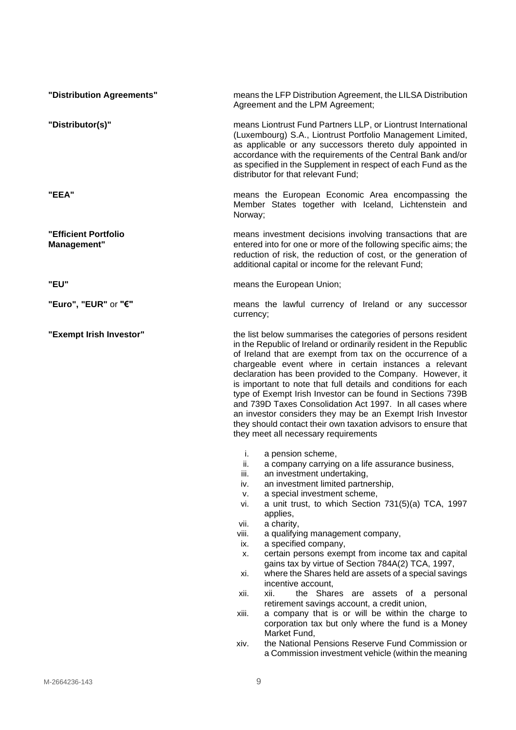| "Distribution Agreements"                  | means the LFP Distribution Agreement, the LILSA Distribution<br>Agreement and the LPM Agreement;                                                                                                                                                                                                                                                                                                                                                                                                                                                                                                                                                                                                                                                                                                                                                                                                    |
|--------------------------------------------|-----------------------------------------------------------------------------------------------------------------------------------------------------------------------------------------------------------------------------------------------------------------------------------------------------------------------------------------------------------------------------------------------------------------------------------------------------------------------------------------------------------------------------------------------------------------------------------------------------------------------------------------------------------------------------------------------------------------------------------------------------------------------------------------------------------------------------------------------------------------------------------------------------|
| "Distributor(s)"                           | means Liontrust Fund Partners LLP, or Liontrust International<br>(Luxembourg) S.A., Liontrust Portfolio Management Limited,<br>as applicable or any successors thereto duly appointed in<br>accordance with the requirements of the Central Bank and/or<br>as specified in the Supplement in respect of each Fund as the<br>distributor for that relevant Fund;                                                                                                                                                                                                                                                                                                                                                                                                                                                                                                                                     |
| "EEA"                                      | means the European Economic Area encompassing the<br>Member States together with Iceland, Lichtenstein and<br>Norway;                                                                                                                                                                                                                                                                                                                                                                                                                                                                                                                                                                                                                                                                                                                                                                               |
| "Efficient Portfolio<br><b>Management"</b> | means investment decisions involving transactions that are<br>entered into for one or more of the following specific aims; the<br>reduction of risk, the reduction of cost, or the generation of<br>additional capital or income for the relevant Fund;                                                                                                                                                                                                                                                                                                                                                                                                                                                                                                                                                                                                                                             |
| "EU"                                       | means the European Union;                                                                                                                                                                                                                                                                                                                                                                                                                                                                                                                                                                                                                                                                                                                                                                                                                                                                           |
| "Euro", "EUR" or "€"                       | means the lawful currency of Ireland or any successor<br>currency;                                                                                                                                                                                                                                                                                                                                                                                                                                                                                                                                                                                                                                                                                                                                                                                                                                  |
| "Exempt Irish Investor"                    | the list below summarises the categories of persons resident<br>in the Republic of Ireland or ordinarily resident in the Republic<br>of Ireland that are exempt from tax on the occurrence of a<br>chargeable event where in certain instances a relevant<br>declaration has been provided to the Company. However, it<br>is important to note that full details and conditions for each<br>type of Exempt Irish Investor can be found in Sections 739B<br>and 739D Taxes Consolidation Act 1997. In all cases where<br>an investor considers they may be an Exempt Irish Investor<br>they should contact their own taxation advisors to ensure that<br>they meet all necessary requirements                                                                                                                                                                                                        |
|                                            | i.<br>a pension scheme,<br>a company carrying on a life assurance business,<br>ii.<br>an investment undertaking,<br>iii.<br>an investment limited partnership,<br>iv.<br>a special investment scheme,<br>v.<br>a unit trust, to which Section 731(5)(a) TCA, 1997<br>vi.<br>applies,<br>a charity,<br>vii.<br>a qualifying management company,<br>viii.<br>a specified company,<br>ix.<br>certain persons exempt from income tax and capital<br>х.<br>gains tax by virtue of Section 784A(2) TCA, 1997,<br>where the Shares held are assets of a special savings<br>xi.<br>incentive account,<br>the Shares are assets of a personal<br>xii.<br>xii.<br>retirement savings account, a credit union,<br>a company that is or will be within the charge to<br>xiii.<br>corporation tax but only where the fund is a Money<br>Market Fund,<br>the National Pensions Reserve Fund Commission or<br>xiv. |
|                                            | a Commission investment vehicle (within the meaning                                                                                                                                                                                                                                                                                                                                                                                                                                                                                                                                                                                                                                                                                                                                                                                                                                                 |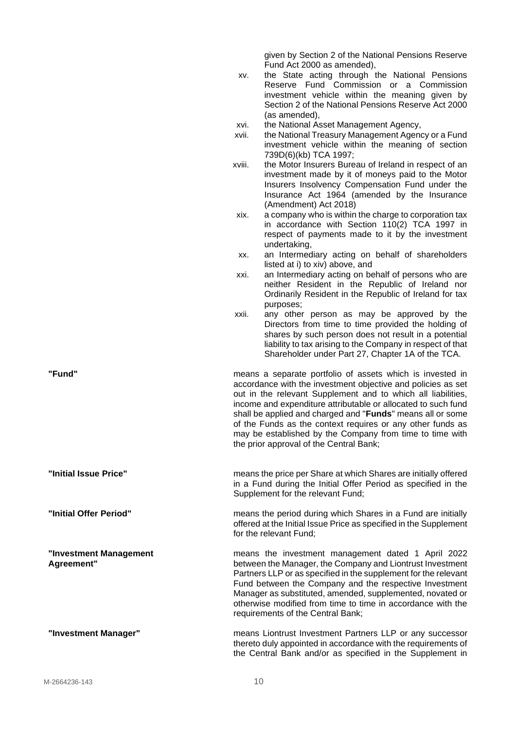given by Section 2 of the National Pensions Reserve Fund Act 2000 as amended),

- xv. the State acting through the National Pensions Reserve Fund Commission or a Commission investment vehicle within the meaning given by Section 2 of the National Pensions Reserve Act 2000 (as amended),
- xvi. the National Asset Management Agency,
- xvii. the National Treasury Management Agency or a Fund investment vehicle within the meaning of section 739D(6)(kb) TCA 1997;
- xviii. the Motor Insurers Bureau of Ireland in respect of an investment made by it of moneys paid to the Motor Insurers Insolvency Compensation Fund under the Insurance Act 1964 (amended by the Insurance (Amendment) Act 2018)
- xix. a company who is within the charge to corporation tax in accordance with Section 110(2) TCA 1997 in respect of payments made to it by the investment undertaking,
- xx. an Intermediary acting on behalf of shareholders listed at i) to xiv) above, and
- xxi. an Intermediary acting on behalf of persons who are neither Resident in the Republic of Ireland nor Ordinarily Resident in the Republic of Ireland for tax purposes;
- xxii. any other person as may be approved by the Directors from time to time provided the holding of shares by such person does not result in a potential liability to tax arising to the Company in respect of that Shareholder under Part 27, Chapter 1A of the TCA.
- **"Fund"** means a separate portfolio of assets which is invested in accordance with the investment objective and policies as set out in the relevant Supplement and to which all liabilities, income and expenditure attributable or allocated to such fund shall be applied and charged and "**Funds**" means all or some of the Funds as the context requires or any other funds as may be established by the Company from time to time with the prior approval of the Central Bank;

**"Initial Issue Price"** means the price per Share at which Shares are initially offered in a Fund during the Initial Offer Period as specified in the Supplement for the relevant Fund;

**"Initial Offer Period"** means the period during which Shares in a Fund are initially offered at the Initial Issue Price as specified in the Supplement for the relevant Fund;

**"Investment Management Agreement"** means the investment management dated 1 April 2022 between the Manager, the Company and Liontrust Investment Partners LLP or as specified in the supplement for the relevant Fund between the Company and the respective Investment Manager as substituted, amended, supplemented, novated or otherwise modified from time to time in accordance with the requirements of the Central Bank;

**"Investment Manager"** means Liontrust Investment Partners LLP or any successor thereto duly appointed in accordance with the requirements of the Central Bank and/or as specified in the Supplement in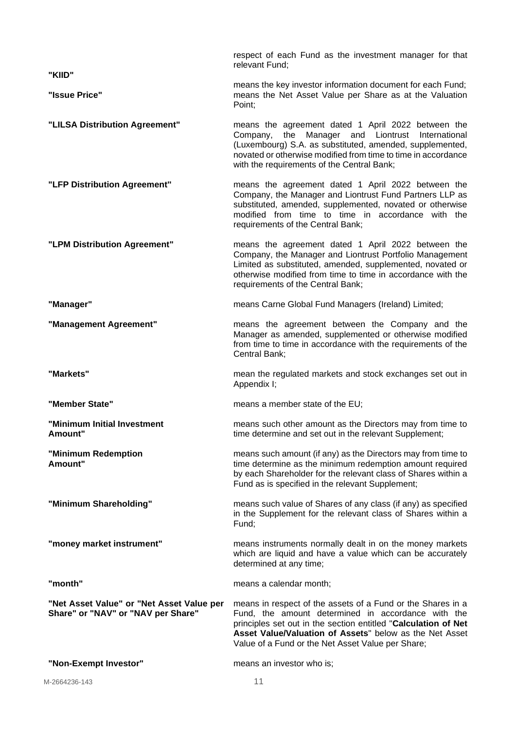| "KIID"                                                                          | respect of each Fund as the investment manager for that<br>relevant Fund;                                                                                                                                                                                                                           |
|---------------------------------------------------------------------------------|-----------------------------------------------------------------------------------------------------------------------------------------------------------------------------------------------------------------------------------------------------------------------------------------------------|
| "Issue Price"                                                                   | means the key investor information document for each Fund;<br>means the Net Asset Value per Share as at the Valuation<br>Point;                                                                                                                                                                     |
| "LILSA Distribution Agreement"                                                  | means the agreement dated 1 April 2022 between the<br>Manager and Liontrust<br>the<br>International<br>Company,<br>(Luxembourg) S.A. as substituted, amended, supplemented,<br>novated or otherwise modified from time to time in accordance<br>with the requirements of the Central Bank;          |
| "LFP Distribution Agreement"                                                    | means the agreement dated 1 April 2022 between the<br>Company, the Manager and Liontrust Fund Partners LLP as<br>substituted, amended, supplemented, novated or otherwise<br>modified from time to time in accordance with the<br>requirements of the Central Bank;                                 |
| "LPM Distribution Agreement"                                                    | means the agreement dated 1 April 2022 between the<br>Company, the Manager and Liontrust Portfolio Management<br>Limited as substituted, amended, supplemented, novated or<br>otherwise modified from time to time in accordance with the<br>requirements of the Central Bank;                      |
| "Manager"                                                                       | means Carne Global Fund Managers (Ireland) Limited;                                                                                                                                                                                                                                                 |
| "Management Agreement"                                                          | means the agreement between the Company and the<br>Manager as amended, supplemented or otherwise modified<br>from time to time in accordance with the requirements of the<br>Central Bank;                                                                                                          |
| "Markets"                                                                       | mean the regulated markets and stock exchanges set out in<br>Appendix I;                                                                                                                                                                                                                            |
| "Member State"                                                                  | means a member state of the EU;                                                                                                                                                                                                                                                                     |
| "Minimum Initial Investment<br>Amount"                                          | means such other amount as the Directors may from time to<br>time determine and set out in the relevant Supplement;                                                                                                                                                                                 |
| "Minimum Redemption<br>Amount"                                                  |                                                                                                                                                                                                                                                                                                     |
|                                                                                 | means such amount (if any) as the Directors may from time to<br>time determine as the minimum redemption amount required<br>by each Shareholder for the relevant class of Shares within a<br>Fund as is specified in the relevant Supplement;                                                       |
| "Minimum Shareholding"                                                          | means such value of Shares of any class (if any) as specified<br>in the Supplement for the relevant class of Shares within a<br>Fund;                                                                                                                                                               |
| "money market instrument"                                                       | means instruments normally dealt in on the money markets<br>which are liquid and have a value which can be accurately<br>determined at any time;                                                                                                                                                    |
| "month"                                                                         | means a calendar month;                                                                                                                                                                                                                                                                             |
| "Net Asset Value" or "Net Asset Value per<br>Share" or "NAV" or "NAV per Share" | means in respect of the assets of a Fund or the Shares in a<br>Fund, the amount determined in accordance with the<br>principles set out in the section entitled "Calculation of Net<br>Asset Value/Valuation of Assets" below as the Net Asset<br>Value of a Fund or the Net Asset Value per Share; |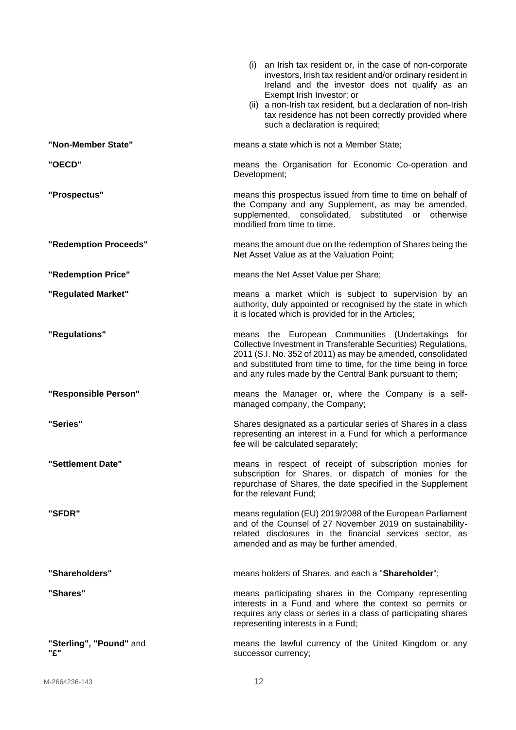|                                | (i) an Irish tax resident or, in the case of non-corporate<br>investors, Irish tax resident and/or ordinary resident in<br>Ireland and the investor does not qualify as an<br>Exempt Irish Investor; or<br>(ii) a non-Irish tax resident, but a declaration of non-Irish<br>tax residence has not been correctly provided where<br>such a declaration is required; |
|--------------------------------|--------------------------------------------------------------------------------------------------------------------------------------------------------------------------------------------------------------------------------------------------------------------------------------------------------------------------------------------------------------------|
| "Non-Member State"             | means a state which is not a Member State;                                                                                                                                                                                                                                                                                                                         |
| "OECD"                         | means the Organisation for Economic Co-operation and<br>Development;                                                                                                                                                                                                                                                                                               |
| "Prospectus"                   | means this prospectus issued from time to time on behalf of<br>the Company and any Supplement, as may be amended,<br>supplemented, consolidated, substituted or otherwise<br>modified from time to time.                                                                                                                                                           |
| "Redemption Proceeds"          | means the amount due on the redemption of Shares being the<br>Net Asset Value as at the Valuation Point;                                                                                                                                                                                                                                                           |
| "Redemption Price"             | means the Net Asset Value per Share;                                                                                                                                                                                                                                                                                                                               |
| "Regulated Market"             | means a market which is subject to supervision by an<br>authority, duly appointed or recognised by the state in which<br>it is located which is provided for in the Articles;                                                                                                                                                                                      |
| "Regulations"                  | means the European Communities (Undertakings for<br>Collective Investment in Transferable Securities) Regulations,<br>2011 (S.I. No. 352 of 2011) as may be amended, consolidated<br>and substituted from time to time, for the time being in force<br>and any rules made by the Central Bank pursuant to them;                                                    |
| "Responsible Person"           | means the Manager or, where the Company is a self-<br>managed company, the Company;                                                                                                                                                                                                                                                                                |
| "Series"                       | Shares designated as a particular series of Shares in a class<br>representing an interest in a Fund for which a performance<br>fee will be calculated separately;                                                                                                                                                                                                  |
| "Settlement Date"              | means in respect of receipt of subscription monies for<br>subscription for Shares, or dispatch of monies for the<br>repurchase of Shares, the date specified in the Supplement<br>for the relevant Fund;                                                                                                                                                           |
| "SFDR"                         | means regulation (EU) 2019/2088 of the European Parliament<br>and of the Counsel of 27 November 2019 on sustainability-<br>related disclosures in the financial services sector, as<br>amended and as may be further amended,                                                                                                                                      |
| "Shareholders"                 | means holders of Shares, and each a "Shareholder";                                                                                                                                                                                                                                                                                                                 |
| "Shares"                       | means participating shares in the Company representing<br>interests in a Fund and where the context so permits or<br>requires any class or series in a class of participating shares<br>representing interests in a Fund;                                                                                                                                          |
| "Sterling", "Pound" and<br>"ና" | means the lawful currency of the United Kingdom or any<br>successor currency;                                                                                                                                                                                                                                                                                      |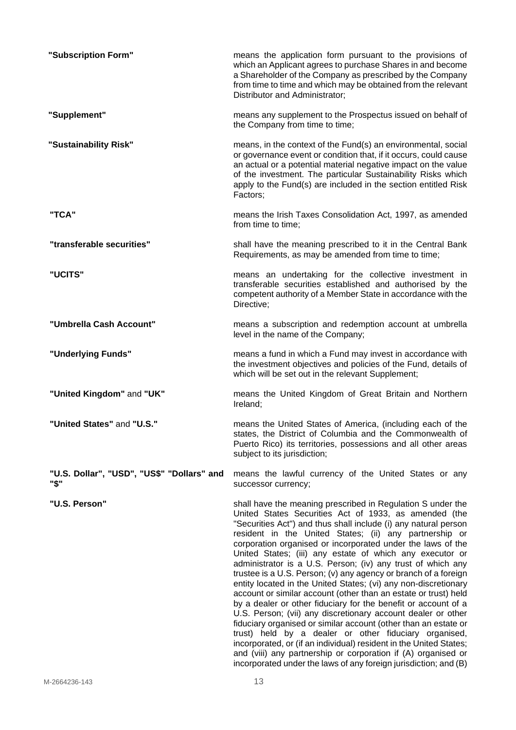| "Subscription Form"                                | means the application form pursuant to the provisions of<br>which an Applicant agrees to purchase Shares in and become<br>a Shareholder of the Company as prescribed by the Company<br>from time to time and which may be obtained from the relevant<br>Distributor and Administrator;                                                                                                                                                                                                                                                                                                                                                                                                                                                                                                                                                                                                                                                                                                                                                                                                                                        |
|----------------------------------------------------|-------------------------------------------------------------------------------------------------------------------------------------------------------------------------------------------------------------------------------------------------------------------------------------------------------------------------------------------------------------------------------------------------------------------------------------------------------------------------------------------------------------------------------------------------------------------------------------------------------------------------------------------------------------------------------------------------------------------------------------------------------------------------------------------------------------------------------------------------------------------------------------------------------------------------------------------------------------------------------------------------------------------------------------------------------------------------------------------------------------------------------|
| "Supplement"                                       | means any supplement to the Prospectus issued on behalf of<br>the Company from time to time;                                                                                                                                                                                                                                                                                                                                                                                                                                                                                                                                                                                                                                                                                                                                                                                                                                                                                                                                                                                                                                  |
| "Sustainability Risk"                              | means, in the context of the Fund(s) an environmental, social<br>or governance event or condition that, if it occurs, could cause<br>an actual or a potential material negative impact on the value<br>of the investment. The particular Sustainability Risks which<br>apply to the Fund(s) are included in the section entitled Risk<br>Factors;                                                                                                                                                                                                                                                                                                                                                                                                                                                                                                                                                                                                                                                                                                                                                                             |
| "TCA"                                              | means the Irish Taxes Consolidation Act, 1997, as amended<br>from time to time;                                                                                                                                                                                                                                                                                                                                                                                                                                                                                                                                                                                                                                                                                                                                                                                                                                                                                                                                                                                                                                               |
| "transferable securities"                          | shall have the meaning prescribed to it in the Central Bank<br>Requirements, as may be amended from time to time;                                                                                                                                                                                                                                                                                                                                                                                                                                                                                                                                                                                                                                                                                                                                                                                                                                                                                                                                                                                                             |
| "UCITS"                                            | means an undertaking for the collective investment in<br>transferable securities established and authorised by the<br>competent authority of a Member State in accordance with the<br>Directive;                                                                                                                                                                                                                                                                                                                                                                                                                                                                                                                                                                                                                                                                                                                                                                                                                                                                                                                              |
| "Umbrella Cash Account"                            | means a subscription and redemption account at umbrella<br>level in the name of the Company;                                                                                                                                                                                                                                                                                                                                                                                                                                                                                                                                                                                                                                                                                                                                                                                                                                                                                                                                                                                                                                  |
| "Underlying Funds"                                 | means a fund in which a Fund may invest in accordance with<br>the investment objectives and policies of the Fund, details of<br>which will be set out in the relevant Supplement;                                                                                                                                                                                                                                                                                                                                                                                                                                                                                                                                                                                                                                                                                                                                                                                                                                                                                                                                             |
| "United Kingdom" and "UK"                          | means the United Kingdom of Great Britain and Northern<br>Ireland;                                                                                                                                                                                                                                                                                                                                                                                                                                                                                                                                                                                                                                                                                                                                                                                                                                                                                                                                                                                                                                                            |
| "United States" and "U.S."                         | means the United States of America, (including each of the<br>states, the District of Columbia and the Commonwealth of<br>Puerto Rico) its territories, possessions and all other areas<br>subject to its jurisdiction;                                                                                                                                                                                                                                                                                                                                                                                                                                                                                                                                                                                                                                                                                                                                                                                                                                                                                                       |
| "U.S. Dollar", "USD", "US\$" "Dollars" and<br>"\$" | means the lawful currency of the United States or any<br>successor currency;                                                                                                                                                                                                                                                                                                                                                                                                                                                                                                                                                                                                                                                                                                                                                                                                                                                                                                                                                                                                                                                  |
| "U.S. Person"                                      | shall have the meaning prescribed in Regulation S under the<br>United States Securities Act of 1933, as amended (the<br>"Securities Act") and thus shall include (i) any natural person<br>resident in the United States; (ii) any partnership or<br>corporation organised or incorporated under the laws of the<br>United States; (iii) any estate of which any executor or<br>administrator is a U.S. Person; (iv) any trust of which any<br>trustee is a U.S. Person; (v) any agency or branch of a foreign<br>entity located in the United States; (vi) any non-discretionary<br>account or similar account (other than an estate or trust) held<br>by a dealer or other fiduciary for the benefit or account of a<br>U.S. Person; (vii) any discretionary account dealer or other<br>fiduciary organised or similar account (other than an estate or<br>trust) held by a dealer or other fiduciary organised,<br>incorporated, or (if an individual) resident in the United States;<br>and (viii) any partnership or corporation if (A) organised or<br>incorporated under the laws of any foreign jurisdiction; and (B) |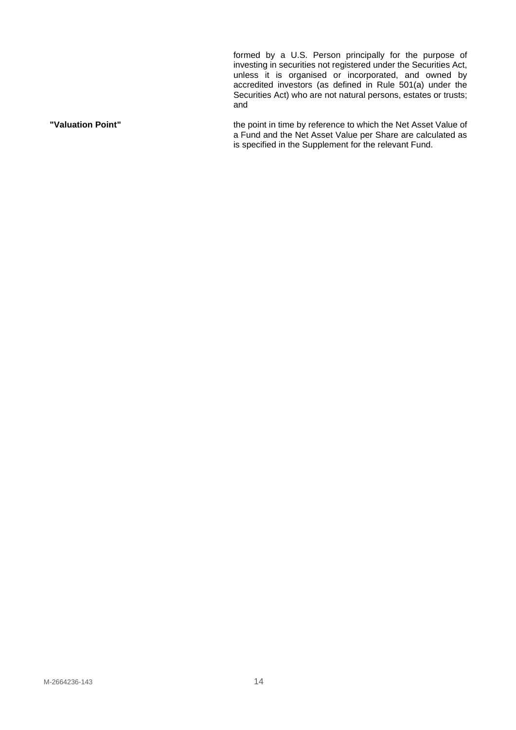formed by a U.S. Person principally for the purpose of investing in securities not registered under the Securities Act, unless it is organised or incorporated, and owned by accredited investors (as defined in Rule 501(a) under the Securities Act) who are not natural persons, estates or trusts; and

**"Valuation Point"** the point in time by reference to which the Net Asset Value of a Fund and the Net Asset Value per Share are calculated as is specified in the Supplement for the relevant Fund.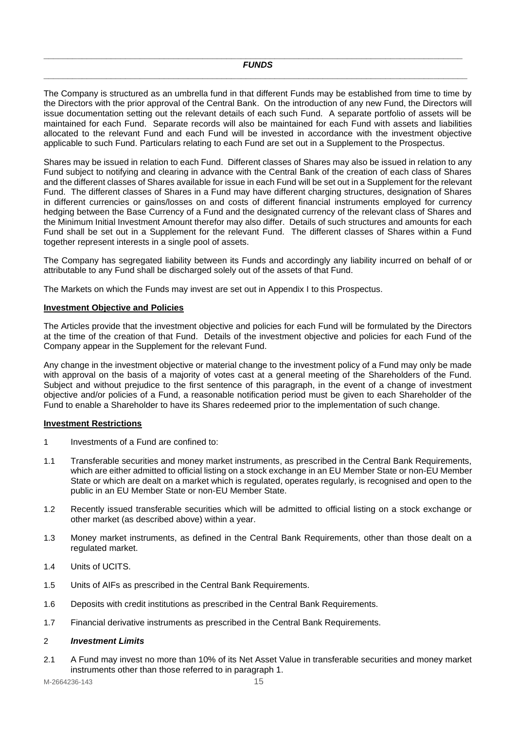<span id="page-14-0"></span>**\_\_\_\_\_\_\_\_\_\_\_\_\_\_\_\_\_\_\_\_\_\_\_\_\_\_\_\_\_\_\_\_\_\_\_\_\_\_\_\_\_\_\_\_\_\_\_\_\_\_\_\_\_\_\_\_\_\_\_\_\_\_\_\_\_\_\_\_\_\_\_\_\_\_\_\_\_\_\_\_\_\_\_\_\_\_\_**

The Company is structured as an umbrella fund in that different Funds may be established from time to time by the Directors with the prior approval of the Central Bank. On the introduction of any new Fund, the Directors will issue documentation setting out the relevant details of each such Fund. A separate portfolio of assets will be maintained for each Fund. Separate records will also be maintained for each Fund with assets and liabilities allocated to the relevant Fund and each Fund will be invested in accordance with the investment objective applicable to such Fund. Particulars relating to each Fund are set out in a Supplement to the Prospectus.

Shares may be issued in relation to each Fund. Different classes of Shares may also be issued in relation to any Fund subject to notifying and clearing in advance with the Central Bank of the creation of each class of Shares and the different classes of Shares available for issue in each Fund will be set out in a Supplement for the relevant Fund. The different classes of Shares in a Fund may have different charging structures, designation of Shares in different currencies or gains/losses on and costs of different financial instruments employed for currency hedging between the Base Currency of a Fund and the designated currency of the relevant class of Shares and the Minimum Initial Investment Amount therefor may also differ. Details of such structures and amounts for each Fund shall be set out in a Supplement for the relevant Fund. The different classes of Shares within a Fund together represent interests in a single pool of assets.

The Company has segregated liability between its Funds and accordingly any liability incurred on behalf of or attributable to any Fund shall be discharged solely out of the assets of that Fund.

The Markets on which the Funds may invest are set out in Appendix I to this Prospectus.

# <span id="page-14-1"></span>**Investment Objective and Policies**

The Articles provide that the investment objective and policies for each Fund will be formulated by the Directors at the time of the creation of that Fund. Details of the investment objective and policies for each Fund of the Company appear in the Supplement for the relevant Fund.

Any change in the investment objective or material change to the investment policy of a Fund may only be made with approval on the basis of a majority of votes cast at a general meeting of the Shareholders of the Fund. Subject and without prejudice to the first sentence of this paragraph, in the event of a change of investment objective and/or policies of a Fund, a reasonable notification period must be given to each Shareholder of the Fund to enable a Shareholder to have its Shares redeemed prior to the implementation of such change.

#### <span id="page-14-2"></span>**Investment Restrictions**

- 1 Investments of a Fund are confined to:
- 1.1 Transferable securities and money market instruments, as prescribed in the Central Bank Requirements, which are either admitted to official listing on a stock exchange in an EU Member State or non-EU Member State or which are dealt on a market which is regulated, operates regularly, is recognised and open to the public in an EU Member State or non-EU Member State.
- 1.2 Recently issued transferable securities which will be admitted to official listing on a stock exchange or other market (as described above) within a year.
- 1.3 Money market instruments, as defined in the Central Bank Requirements, other than those dealt on a regulated market.
- 1.4 Units of UCITS.
- 1.5 Units of AIFs as prescribed in the Central Bank Requirements.
- 1.6 Deposits with credit institutions as prescribed in the Central Bank Requirements.
- 1.7 Financial derivative instruments as prescribed in the Central Bank Requirements.

## 2 *Investment Limits*

2.1 A Fund may invest no more than 10% of its Net Asset Value in transferable securities and money market instruments other than those referred to in paragraph 1.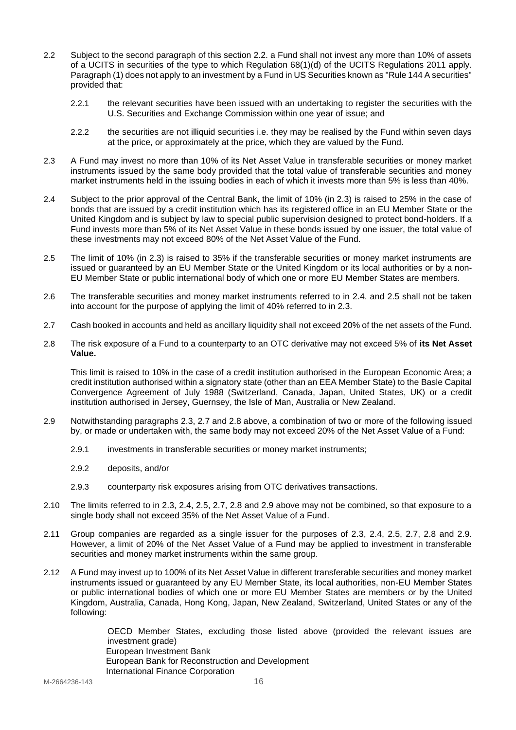- 2.2 Subject to the second paragraph of this section 2.2. a Fund shall not invest any more than 10% of assets of a UCITS in securities of the type to which Regulation 68(1)(d) of the UCITS Regulations 2011 apply. Paragraph (1) does not apply to an investment by a Fund in US Securities known as "Rule 144 A securities" provided that:
	- 2.2.1 the relevant securities have been issued with an undertaking to register the securities with the U.S. Securities and Exchange Commission within one year of issue; and
	- 2.2.2 the securities are not illiquid securities i.e. they may be realised by the Fund within seven days at the price, or approximately at the price, which they are valued by the Fund.
- 2.3 A Fund may invest no more than 10% of its Net Asset Value in transferable securities or money market instruments issued by the same body provided that the total value of transferable securities and money market instruments held in the issuing bodies in each of which it invests more than 5% is less than 40%.
- 2.4 Subject to the prior approval of the Central Bank, the limit of 10% (in 2.3) is raised to 25% in the case of bonds that are issued by a credit institution which has its registered office in an EU Member State or the United Kingdom and is subject by law to special public supervision designed to protect bond-holders. If a Fund invests more than 5% of its Net Asset Value in these bonds issued by one issuer, the total value of these investments may not exceed 80% of the Net Asset Value of the Fund.
- 2.5 The limit of 10% (in 2.3) is raised to 35% if the transferable securities or money market instruments are issued or guaranteed by an EU Member State or the United Kingdom or its local authorities or by a non-EU Member State or public international body of which one or more EU Member States are members.
- 2.6 The transferable securities and money market instruments referred to in 2.4. and 2.5 shall not be taken into account for the purpose of applying the limit of 40% referred to in 2.3.
- 2.7 Cash booked in accounts and held as ancillary liquidity shall not exceed 20% of the net assets of the Fund.
- 2.8 The risk exposure of a Fund to a counterparty to an OTC derivative may not exceed 5% of **its Net Asset Value.**

This limit is raised to 10% in the case of a credit institution authorised in the European Economic Area; a credit institution authorised within a signatory state (other than an EEA Member State) to the Basle Capital Convergence Agreement of July 1988 (Switzerland, Canada, Japan, United States, UK) or a credit institution authorised in Jersey, Guernsey, the Isle of Man, Australia or New Zealand.

- 2.9 Notwithstanding paragraphs 2.3, 2.7 and 2.8 above, a combination of two or more of the following issued by, or made or undertaken with, the same body may not exceed 20% of the Net Asset Value of a Fund:
	- 2.9.1 investments in transferable securities or money market instruments;
	- 2.9.2 deposits, and/or
	- 2.9.3 counterparty risk exposures arising from OTC derivatives transactions.
- 2.10 The limits referred to in 2.3, 2.4, 2.5, 2.7, 2.8 and 2.9 above may not be combined, so that exposure to a single body shall not exceed 35% of the Net Asset Value of a Fund.
- 2.11 Group companies are regarded as a single issuer for the purposes of 2.3, 2.4, 2.5, 2.7, 2.8 and 2.9. However, a limit of 20% of the Net Asset Value of a Fund may be applied to investment in transferable securities and money market instruments within the same group.
- 2.12 A Fund may invest up to 100% of its Net Asset Value in different transferable securities and money market instruments issued or guaranteed by any EU Member State, its local authorities, non-EU Member States or public international bodies of which one or more EU Member States are members or by the United Kingdom, Australia, Canada, Hong Kong, Japan, New Zealand, Switzerland, United States or any of the following:

OECD Member States, excluding those listed above (provided the relevant issues are investment grade) European Investment Bank European Bank for Reconstruction and Development International Finance Corporation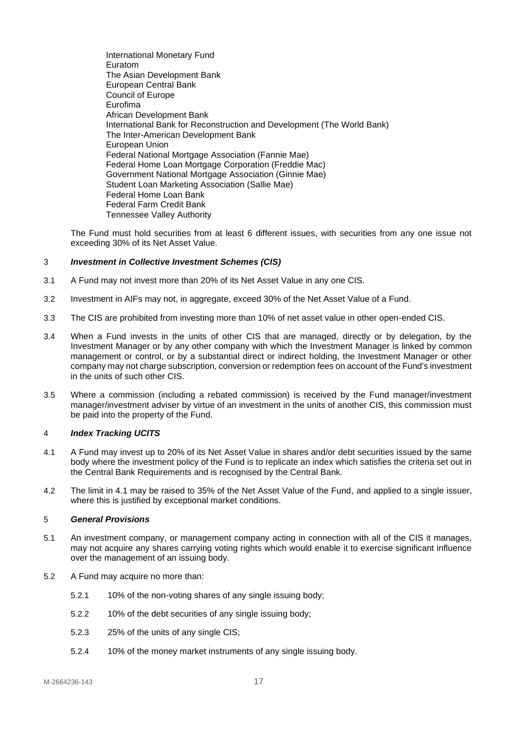International Monetary Fund Euratom The Asian Development Bank European Central Bank Council of Europe Eurofima African Development Bank International Bank for Reconstruction and Development (The World Bank) The Inter-American Development Bank European Union Federal National Mortgage Association (Fannie Mae) Federal Home Loan Mortgage Corporation (Freddie Mac) Government National Mortgage Association (Ginnie Mae) Student Loan Marketing Association (Sallie Mae) Federal Home Loan Bank Federal Farm Credit Bank Tennessee Valley Authority

The Fund must hold securities from at least 6 different issues, with securities from any one issue not exceeding 30% of its Net Asset Value.

## 3 *Investment in Collective Investment Schemes (CIS)*

- 3.1 A Fund may not invest more than 20% of its Net Asset Value in any one CIS.
- 3.2 Investment in AIFs may not, in aggregate, exceed 30% of the Net Asset Value of a Fund.
- 3.3 The CIS are prohibited from investing more than 10% of net asset value in other open-ended CIS.
- 3.4 When a Fund invests in the units of other CIS that are managed, directly or by delegation, by the Investment Manager or by any other company with which the Investment Manager is linked by common management or control, or by a substantial direct or indirect holding, the Investment Manager or other company may not charge subscription, conversion or redemption fees on account of the Fund's investment in the units of such other CIS.
- 3.5 Where a commission (including a rebated commission) is received by the Fund manager/investment manager/investment adviser by virtue of an investment in the units of another CIS, this commission must be paid into the property of the Fund.

#### 4 *Index Tracking UCITS*

- 4.1 A Fund may invest up to 20% of its Net Asset Value in shares and/or debt securities issued by the same body where the investment policy of the Fund is to replicate an index which satisfies the criteria set out in the Central Bank Requirements and is recognised by the Central Bank.
- 4.2 The limit in 4.1 may be raised to 35% of the Net Asset Value of the Fund, and applied to a single issuer, where this is justified by exceptional market conditions.

# 5 *General Provisions*

- 5.1 An investment company, or management company acting in connection with all of the CIS it manages, may not acquire any shares carrying voting rights which would enable it to exercise significant influence over the management of an issuing body.
- 5.2 A Fund may acquire no more than:
	- 5.2.1 10% of the non-voting shares of any single issuing body:
	- 5.2.2 10% of the debt securities of any single issuing body;
	- 5.2.3 25% of the units of any single CIS;
	- 5.2.4 10% of the money market instruments of any single issuing body.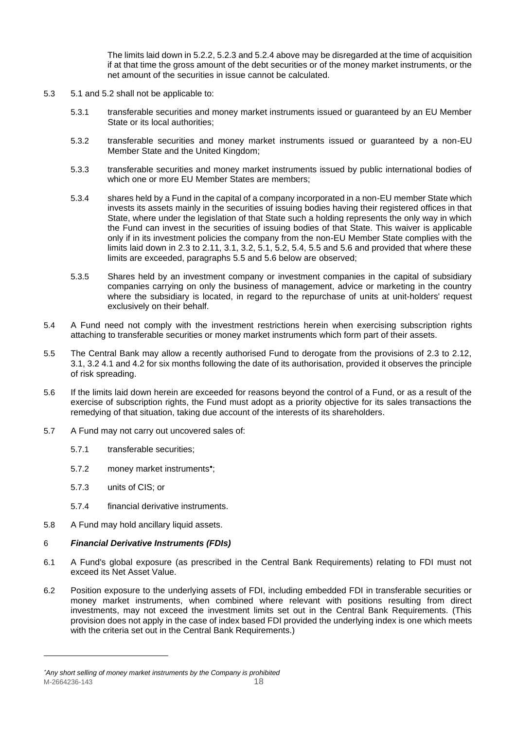The limits laid down in 5.2.2, 5.2.3 and 5.2.4 above may be disregarded at the time of acquisition if at that time the gross amount of the debt securities or of the money market instruments, or the net amount of the securities in issue cannot be calculated.

- 5.3 5.1 and 5.2 shall not be applicable to:
	- 5.3.1 transferable securities and money market instruments issued or guaranteed by an EU Member State or its local authorities;
	- 5.3.2 transferable securities and money market instruments issued or guaranteed by a non-EU Member State and the United Kingdom;
	- 5.3.3 transferable securities and money market instruments issued by public international bodies of which one or more EU Member States are members;
	- 5.3.4 shares held by a Fund in the capital of a company incorporated in a non-EU member State which invests its assets mainly in the securities of issuing bodies having their registered offices in that State, where under the legislation of that State such a holding represents the only way in which the Fund can invest in the securities of issuing bodies of that State. This waiver is applicable only if in its investment policies the company from the non-EU Member State complies with the limits laid down in 2.3 to 2.11, 3.1, 3.2, 5.1, 5.2, 5.4, 5.5 and 5.6 and provided that where these limits are exceeded, paragraphs 5.5 and 5.6 below are observed;
	- 5.3.5 Shares held by an investment company or investment companies in the capital of subsidiary companies carrying on only the business of management, advice or marketing in the country where the subsidiary is located, in regard to the repurchase of units at unit-holders' request exclusively on their behalf.
- 5.4 A Fund need not comply with the investment restrictions herein when exercising subscription rights attaching to transferable securities or money market instruments which form part of their assets.
- 5.5 The Central Bank may allow a recently authorised Fund to derogate from the provisions of 2.3 to 2.12, 3.1, 3.2 4.1 and 4.2 for six months following the date of its authorisation, provided it observes the principle of risk spreading.
- 5.6 If the limits laid down herein are exceeded for reasons beyond the control of a Fund, or as a result of the exercise of subscription rights, the Fund must adopt as a priority objective for its sales transactions the remedying of that situation, taking due account of the interests of its shareholders.
- 5.7 A Fund may not carry out uncovered sales of:
	- 5.7.1 transferable securities;
	- 5.7.2 money market instruments ;
	- 5.7.3 units of CIS; or
	- 5.7.4 financial derivative instruments.
- 5.8 A Fund may hold ancillary liquid assets.

#### 6 *Financial Derivative Instruments (FDIs)*

- 6.1 A Fund's global exposure (as prescribed in the Central Bank Requirements) relating to FDI must not exceed its Net Asset Value.
- 6.2 Position exposure to the underlying assets of FDI, including embedded FDI in transferable securities or money market instruments, when combined where relevant with positions resulting from direct investments, may not exceed the investment limits set out in the Central Bank Requirements. (This provision does not apply in the case of index based FDI provided the underlying index is one which meets with the criteria set out in the Central Bank Requirements.)

M-2664236-143 18 *Any short selling of money market instruments by the Company is prohibited*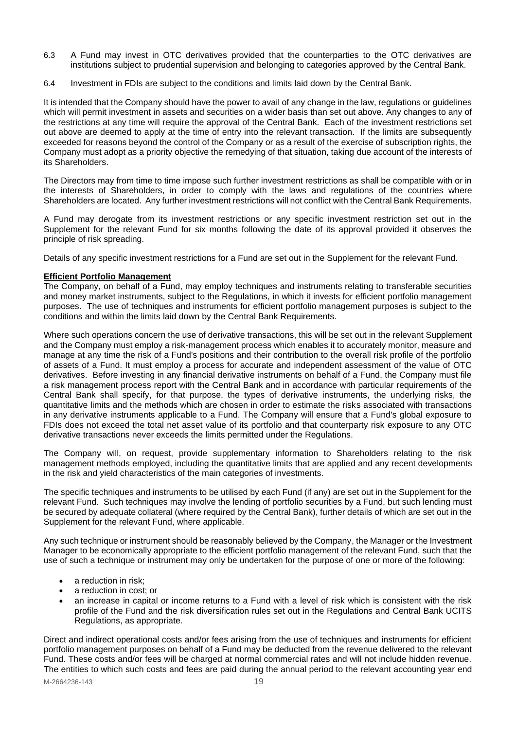- 6.3 A Fund may invest in OTC derivatives provided that the counterparties to the OTC derivatives are institutions subject to prudential supervision and belonging to categories approved by the Central Bank.
- 6.4 Investment in FDIs are subject to the conditions and limits laid down by the Central Bank.

It is intended that the Company should have the power to avail of any change in the law, regulations or guidelines which will permit investment in assets and securities on a wider basis than set out above. Any changes to any of the restrictions at any time will require the approval of the Central Bank. Each of the investment restrictions set out above are deemed to apply at the time of entry into the relevant transaction. If the limits are subsequently exceeded for reasons beyond the control of the Company or as a result of the exercise of subscription rights, the Company must adopt as a priority objective the remedying of that situation, taking due account of the interests of its Shareholders.

The Directors may from time to time impose such further investment restrictions as shall be compatible with or in the interests of Shareholders, in order to comply with the laws and regulations of the countries where Shareholders are located. Any further investment restrictions will not conflict with the Central Bank Requirements.

A Fund may derogate from its investment restrictions or any specific investment restriction set out in the Supplement for the relevant Fund for six months following the date of its approval provided it observes the principle of risk spreading.

Details of any specific investment restrictions for a Fund are set out in the Supplement for the relevant Fund.

## <span id="page-18-0"></span>**Efficient Portfolio Management**

The Company, on behalf of a Fund, may employ techniques and instruments relating to transferable securities and money market instruments, subject to the Regulations, in which it invests for efficient portfolio management purposes. The use of techniques and instruments for efficient portfolio management purposes is subject to the conditions and within the limits laid down by the Central Bank Requirements.

Where such operations concern the use of derivative transactions, this will be set out in the relevant Supplement and the Company must employ a risk-management process which enables it to accurately monitor, measure and manage at any time the risk of a Fund's positions and their contribution to the overall risk profile of the portfolio of assets of a Fund. It must employ a process for accurate and independent assessment of the value of OTC derivatives. Before investing in any financial derivative instruments on behalf of a Fund, the Company must file a risk management process report with the Central Bank and in accordance with particular requirements of the Central Bank shall specify, for that purpose, the types of derivative instruments, the underlying risks, the quantitative limits and the methods which are chosen in order to estimate the risks associated with transactions in any derivative instruments applicable to a Fund. The Company will ensure that a Fund's global exposure to FDIs does not exceed the total net asset value of its portfolio and that counterparty risk exposure to any OTC derivative transactions never exceeds the limits permitted under the Regulations.

The Company will, on request, provide supplementary information to Shareholders relating to the risk management methods employed, including the quantitative limits that are applied and any recent developments in the risk and yield characteristics of the main categories of investments.

The specific techniques and instruments to be utilised by each Fund (if any) are set out in the Supplement for the relevant Fund. Such techniques may involve the lending of portfolio securities by a Fund, but such lending must be secured by adequate collateral (where required by the Central Bank), further details of which are set out in the Supplement for the relevant Fund, where applicable.

Any such technique or instrument should be reasonably believed by the Company, the Manager or the Investment Manager to be economically appropriate to the efficient portfolio management of the relevant Fund, such that the use of such a technique or instrument may only be undertaken for the purpose of one or more of the following:

- a reduction in risk;
- a reduction in cost; or
- an increase in capital or income returns to a Fund with a level of risk which is consistent with the risk profile of the Fund and the risk diversification rules set out in the Regulations and Central Bank UCITS Regulations, as appropriate.

Direct and indirect operational costs and/or fees arising from the use of techniques and instruments for efficient portfolio management purposes on behalf of a Fund may be deducted from the revenue delivered to the relevant Fund. These costs and/or fees will be charged at normal commercial rates and will not include hidden revenue. The entities to which such costs and fees are paid during the annual period to the relevant accounting year end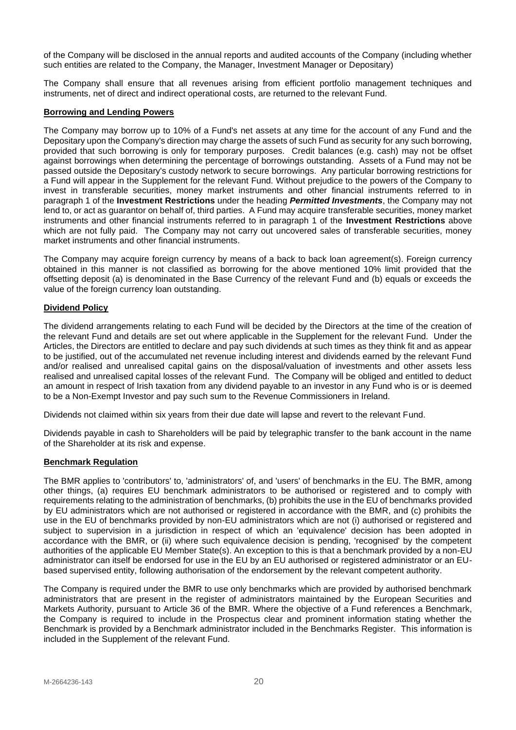of the Company will be disclosed in the annual reports and audited accounts of the Company (including whether such entities are related to the Company, the Manager, Investment Manager or Depositary)

The Company shall ensure that all revenues arising from efficient portfolio management techniques and instruments, net of direct and indirect operational costs, are returned to the relevant Fund.

## <span id="page-19-0"></span>**Borrowing and Lending Powers**

The Company may borrow up to 10% of a Fund's net assets at any time for the account of any Fund and the Depositary upon the Company's direction may charge the assets of such Fund as security for any such borrowing, provided that such borrowing is only for temporary purposes. Credit balances (e.g. cash) may not be offset against borrowings when determining the percentage of borrowings outstanding. Assets of a Fund may not be passed outside the Depositary's custody network to secure borrowings. Any particular borrowing restrictions for a Fund will appear in the Supplement for the relevant Fund. Without prejudice to the powers of the Company to invest in transferable securities, money market instruments and other financial instruments referred to in paragraph 1 of the **Investment Restrictions** under the heading *Permitted Investments*, the Company may not lend to, or act as guarantor on behalf of, third parties. A Fund may acquire transferable securities, money market instruments and other financial instruments referred to in paragraph 1 of the **Investment Restrictions** above which are not fully paid. The Company may not carry out uncovered sales of transferable securities, money market instruments and other financial instruments.

The Company may acquire foreign currency by means of a back to back loan agreement(s). Foreign currency obtained in this manner is not classified as borrowing for the above mentioned 10% limit provided that the offsetting deposit (a) is denominated in the Base Currency of the relevant Fund and (b) equals or exceeds the value of the foreign currency loan outstanding.

# <span id="page-19-1"></span>**Dividend Policy**

The dividend arrangements relating to each Fund will be decided by the Directors at the time of the creation of the relevant Fund and details are set out where applicable in the Supplement for the relevant Fund. Under the Articles, the Directors are entitled to declare and pay such dividends at such times as they think fit and as appear to be justified, out of the accumulated net revenue including interest and dividends earned by the relevant Fund and/or realised and unrealised capital gains on the disposal/valuation of investments and other assets less realised and unrealised capital losses of the relevant Fund. The Company will be obliged and entitled to deduct an amount in respect of Irish taxation from any dividend payable to an investor in any Fund who is or is deemed to be a Non-Exempt Investor and pay such sum to the Revenue Commissioners in Ireland.

Dividends not claimed within six years from their due date will lapse and revert to the relevant Fund.

Dividends payable in cash to Shareholders will be paid by telegraphic transfer to the bank account in the name of the Shareholder at its risk and expense.

#### <span id="page-19-2"></span>**Benchmark Regulation**

The BMR applies to 'contributors' to, 'administrators' of, and 'users' of benchmarks in the EU. The BMR, among other things, (a) requires EU benchmark administrators to be authorised or registered and to comply with requirements relating to the administration of benchmarks, (b) prohibits the use in the EU of benchmarks provided by EU administrators which are not authorised or registered in accordance with the BMR, and (c) prohibits the use in the EU of benchmarks provided by non-EU administrators which are not (i) authorised or registered and subject to supervision in a jurisdiction in respect of which an 'equivalence' decision has been adopted in accordance with the BMR, or (ii) where such equivalence decision is pending, 'recognised' by the competent authorities of the applicable EU Member State(s). An exception to this is that a benchmark provided by a non-EU administrator can itself be endorsed for use in the EU by an EU authorised or registered administrator or an EUbased supervised entity, following authorisation of the endorsement by the relevant competent authority.

The Company is required under the BMR to use only benchmarks which are provided by authorised benchmark administrators that are present in the register of administrators maintained by the European Securities and Markets Authority, pursuant to Article 36 of the BMR. Where the objective of a Fund references a Benchmark, the Company is required to include in the Prospectus clear and prominent information stating whether the Benchmark is provided by a Benchmark administrator included in the Benchmarks Register. This information is included in the Supplement of the relevant Fund.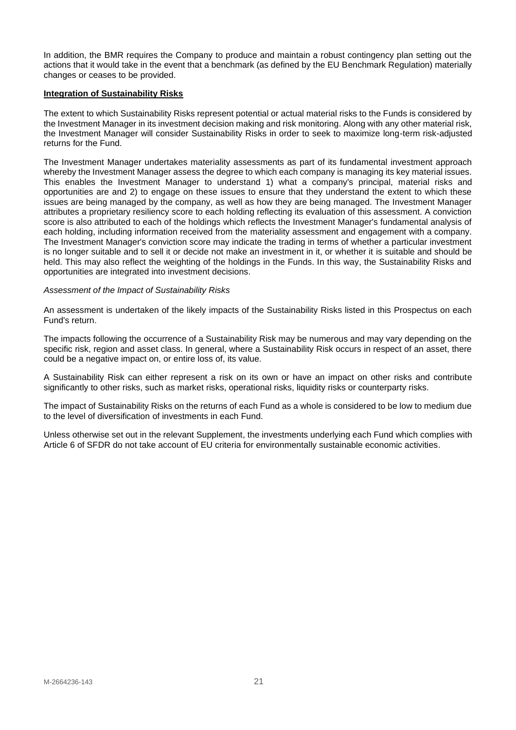In addition, the BMR requires the Company to produce and maintain a robust contingency plan setting out the actions that it would take in the event that a benchmark (as defined by the EU Benchmark Regulation) materially changes or ceases to be provided.

## **Integration of Sustainability Risks**

The extent to which Sustainability Risks represent potential or actual material risks to the Funds is considered by the Investment Manager in its investment decision making and risk monitoring. Along with any other material risk, the Investment Manager will consider Sustainability Risks in order to seek to maximize long-term risk-adjusted returns for the Fund.

The Investment Manager undertakes materiality assessments as part of its fundamental investment approach whereby the Investment Manager assess the degree to which each company is managing its key material issues. This enables the Investment Manager to understand 1) what a company's principal, material risks and opportunities are and 2) to engage on these issues to ensure that they understand the extent to which these issues are being managed by the company, as well as how they are being managed. The Investment Manager attributes a proprietary resiliency score to each holding reflecting its evaluation of this assessment. A conviction score is also attributed to each of the holdings which reflects the Investment Manager's fundamental analysis of each holding, including information received from the materiality assessment and engagement with a company. The Investment Manager's conviction score may indicate the trading in terms of whether a particular investment is no longer suitable and to sell it or decide not make an investment in it, or whether it is suitable and should be held. This may also reflect the weighting of the holdings in the Funds. In this way, the Sustainability Risks and opportunities are integrated into investment decisions.

## *Assessment of the Impact of Sustainability Risks*

An assessment is undertaken of the likely impacts of the Sustainability Risks listed in this Prospectus on each Fund's return.

The impacts following the occurrence of a Sustainability Risk may be numerous and may vary depending on the specific risk, region and asset class. In general, where a Sustainability Risk occurs in respect of an asset, there could be a negative impact on, or entire loss of, its value.

A Sustainability Risk can either represent a risk on its own or have an impact on other risks and contribute significantly to other risks, such as market risks, operational risks, liquidity risks or counterparty risks.

The impact of Sustainability Risks on the returns of each Fund as a whole is considered to be low to medium due to the level of diversification of investments in each Fund.

Unless otherwise set out in the relevant Supplement, the investments underlying each Fund which complies with Article 6 of SFDR do not take account of EU criteria for environmentally sustainable economic activities.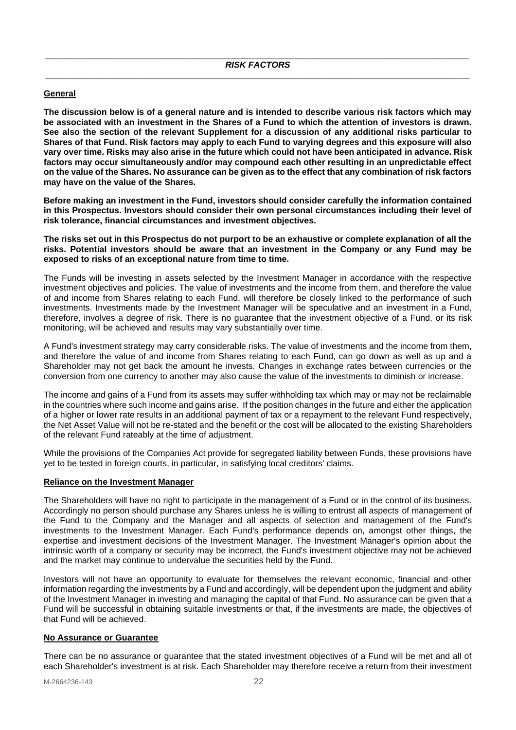# <span id="page-21-0"></span>**General**

**The discussion below is of a general nature and is intended to describe various risk factors which may be associated with an investment in the Shares of a Fund to which the attention of investors is drawn. See also the section of the relevant Supplement for a discussion of any additional risks particular to Shares of that Fund. Risk factors may apply to each Fund to varying degrees and this exposure will also vary over time. Risks may also arise in the future which could not have been anticipated in advance. Risk factors may occur simultaneously and/or may compound each other resulting in an unpredictable effect on the value of the Shares. No assurance can be given as to the effect that any combination of risk factors may have on the value of the Shares.**

**Before making an investment in the Fund, investors should consider carefully the information contained in this Prospectus. Investors should consider their own personal circumstances including their level of risk tolerance, financial circumstances and investment objectives.** 

**The risks set out in this Prospectus do not purport to be an exhaustive or complete explanation of all the risks. Potential investors should be aware that an investment in the Company or any Fund may be exposed to risks of an exceptional nature from time to time.** 

The Funds will be investing in assets selected by the Investment Manager in accordance with the respective investment objectives and policies. The value of investments and the income from them, and therefore the value of and income from Shares relating to each Fund, will therefore be closely linked to the performance of such investments. Investments made by the Investment Manager will be speculative and an investment in a Fund, therefore, involves a degree of risk. There is no guarantee that the investment objective of a Fund, or its risk monitoring, will be achieved and results may vary substantially over time.

A Fund's investment strategy may carry considerable risks. The value of investments and the income from them, and therefore the value of and income from Shares relating to each Fund, can go down as well as up and a Shareholder may not get back the amount he invests. Changes in exchange rates between currencies or the conversion from one currency to another may also cause the value of the investments to diminish or increase.

The income and gains of a Fund from its assets may suffer withholding tax which may or may not be reclaimable in the countries where such income and gains arise. If the position changes in the future and either the application of a higher or lower rate results in an additional payment of tax or a repayment to the relevant Fund respectively, the Net Asset Value will not be re-stated and the benefit or the cost will be allocated to the existing Shareholders of the relevant Fund rateably at the time of adjustment.

While the provisions of the Companies Act provide for segregated liability between Funds, these provisions have yet to be tested in foreign courts, in particular, in satisfying local creditors' claims.

#### **Reliance on the Investment Manager**

The Shareholders will have no right to participate in the management of a Fund or in the control of its business. Accordingly no person should purchase any Shares unless he is willing to entrust all aspects of management of the Fund to the Company and the Manager and all aspects of selection and management of the Fund's investments to the Investment Manager. Each Fund's performance depends on, amongst other things, the expertise and investment decisions of the Investment Manager. The Investment Manager's opinion about the intrinsic worth of a company or security may be incorrect, the Fund's investment objective may not be achieved and the market may continue to undervalue the securities held by the Fund.

Investors will not have an opportunity to evaluate for themselves the relevant economic, financial and other information regarding the investments by a Fund and accordingly, will be dependent upon the judgment and ability of the Investment Manager in investing and managing the capital of that Fund. No assurance can be given that a Fund will be successful in obtaining suitable investments or that, if the investments are made, the objectives of that Fund will be achieved.

#### **No Assurance or Guarantee**

There can be no assurance or guarantee that the stated investment objectives of a Fund will be met and all of each Shareholder's investment is at risk. Each Shareholder may therefore receive a return from their investment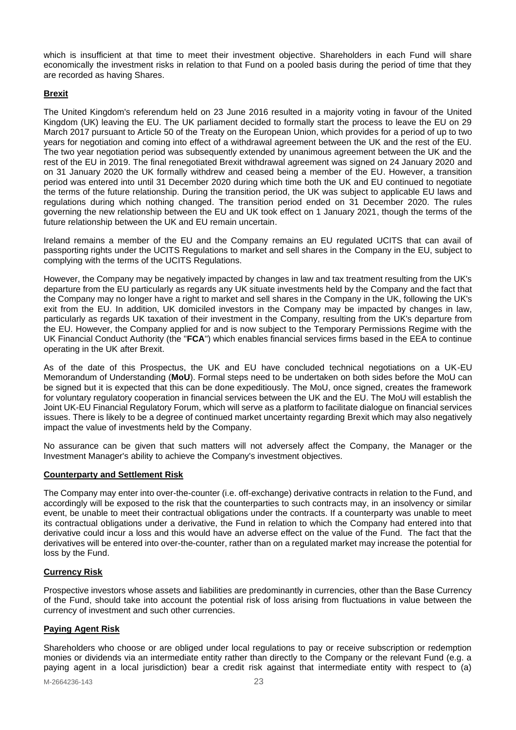which is insufficient at that time to meet their investment objective. Shareholders in each Fund will share economically the investment risks in relation to that Fund on a pooled basis during the period of time that they are recorded as having Shares.

# **Brexit**

The United Kingdom's referendum held on 23 June 2016 resulted in a majority voting in favour of the United Kingdom (UK) leaving the EU. The UK parliament decided to formally start the process to leave the EU on 29 March 2017 pursuant to Article 50 of the Treaty on the European Union, which provides for a period of up to two years for negotiation and coming into effect of a withdrawal agreement between the UK and the rest of the EU. The two year negotiation period was subsequently extended by unanimous agreement between the UK and the rest of the EU in 2019. The final renegotiated Brexit withdrawal agreement was signed on 24 January 2020 and on 31 January 2020 the UK formally withdrew and ceased being a member of the EU. However, a transition period was entered into until 31 December 2020 during which time both the UK and EU continued to negotiate the terms of the future relationship. During the transition period, the UK was subject to applicable EU laws and regulations during which nothing changed. The transition period ended on 31 December 2020. The rules governing the new relationship between the EU and UK took effect on 1 January 2021, though the terms of the future relationship between the UK and EU remain uncertain.

Ireland remains a member of the EU and the Company remains an EU regulated UCITS that can avail of passporting rights under the UCITS Regulations to market and sell shares in the Company in the EU, subject to complying with the terms of the UCITS Regulations.

However, the Company may be negatively impacted by changes in law and tax treatment resulting from the UK's departure from the EU particularly as regards any UK situate investments held by the Company and the fact that the Company may no longer have a right to market and sell shares in the Company in the UK, following the UK's exit from the EU. In addition, UK domiciled investors in the Company may be impacted by changes in law, particularly as regards UK taxation of their investment in the Company, resulting from the UK's departure from the EU. However, the Company applied for and is now subject to the Temporary Permissions Regime with the UK Financial Conduct Authority (the "**FCA**") which enables financial services firms based in the EEA to continue operating in the UK after Brexit.

As of the date of this Prospectus, the UK and EU have concluded technical negotiations on a UK-EU Memorandum of Understanding (**MoU**). Formal steps need to be undertaken on both sides before the MoU can be signed but it is expected that this can be done expeditiously. The MoU, once signed, creates the framework for voluntary regulatory cooperation in financial services between the UK and the EU. The MoU will establish the Joint UK-EU Financial Regulatory Forum, which will serve as a platform to facilitate dialogue on financial services issues. There is likely to be a degree of continued market uncertainty regarding Brexit which may also negatively impact the value of investments held by the Company.

No assurance can be given that such matters will not adversely affect the Company, the Manager or the Investment Manager's ability to achieve the Company's investment objectives.

# **Counterparty and Settlement Risk**

The Company may enter into over-the-counter (i.e. off-exchange) derivative contracts in relation to the Fund, and accordingly will be exposed to the risk that the counterparties to such contracts may, in an insolvency or similar event, be unable to meet their contractual obligations under the contracts. If a counterparty was unable to meet its contractual obligations under a derivative, the Fund in relation to which the Company had entered into that derivative could incur a loss and this would have an adverse effect on the value of the Fund. The fact that the derivatives will be entered into over-the-counter, rather than on a regulated market may increase the potential for loss by the Fund.

# **Currency Risk**

Prospective investors whose assets and liabilities are predominantly in currencies, other than the Base Currency of the Fund, should take into account the potential risk of loss arising from fluctuations in value between the currency of investment and such other currencies.

# **Paying Agent Risk**

Shareholders who choose or are obliged under local regulations to pay or receive subscription or redemption monies or dividends via an intermediate entity rather than directly to the Company or the relevant Fund (e.g. a paying agent in a local jurisdiction) bear a credit risk against that intermediate entity with respect to (a)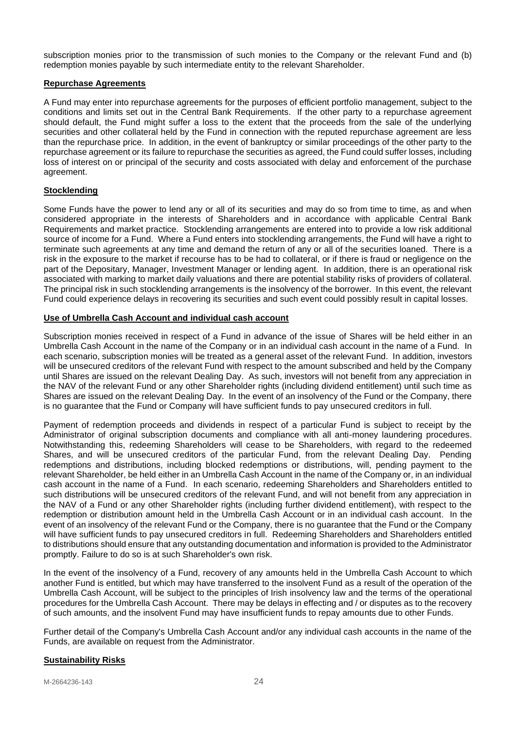subscription monies prior to the transmission of such monies to the Company or the relevant Fund and (b) redemption monies payable by such intermediate entity to the relevant Shareholder.

## **Repurchase Agreements**

A Fund may enter into repurchase agreements for the purposes of efficient portfolio management, subject to the conditions and limits set out in the Central Bank Requirements. If the other party to a repurchase agreement should default, the Fund might suffer a loss to the extent that the proceeds from the sale of the underlying securities and other collateral held by the Fund in connection with the reputed repurchase agreement are less than the repurchase price. In addition, in the event of bankruptcy or similar proceedings of the other party to the repurchase agreement or its failure to repurchase the securities as agreed, the Fund could suffer losses, including loss of interest on or principal of the security and costs associated with delay and enforcement of the purchase agreement.

# **Stocklending**

Some Funds have the power to lend any or all of its securities and may do so from time to time, as and when considered appropriate in the interests of Shareholders and in accordance with applicable Central Bank Requirements and market practice. Stocklending arrangements are entered into to provide a low risk additional source of income for a Fund. Where a Fund enters into stocklending arrangements, the Fund will have a right to terminate such agreements at any time and demand the return of any or all of the securities loaned. There is a risk in the exposure to the market if recourse has to be had to collateral, or if there is fraud or negligence on the part of the Depositary, Manager, Investment Manager or lending agent. In addition, there is an operational risk associated with marking to market daily valuations and there are potential stability risks of providers of collateral. The principal risk in such stocklending arrangements is the insolvency of the borrower. In this event, the relevant Fund could experience delays in recovering its securities and such event could possibly result in capital losses.

## **Use of Umbrella Cash Account and individual cash account**

Subscription monies received in respect of a Fund in advance of the issue of Shares will be held either in an Umbrella Cash Account in the name of the Company or in an individual cash account in the name of a Fund. In each scenario, subscription monies will be treated as a general asset of the relevant Fund. In addition, investors will be unsecured creditors of the relevant Fund with respect to the amount subscribed and held by the Company until Shares are issued on the relevant Dealing Day. As such, investors will not benefit from any appreciation in the NAV of the relevant Fund or any other Shareholder rights (including dividend entitlement) until such time as Shares are issued on the relevant Dealing Day. In the event of an insolvency of the Fund or the Company, there is no guarantee that the Fund or Company will have sufficient funds to pay unsecured creditors in full.

Payment of redemption proceeds and dividends in respect of a particular Fund is subject to receipt by the Administrator of original subscription documents and compliance with all anti-money laundering procedures. Notwithstanding this, redeeming Shareholders will cease to be Shareholders, with regard to the redeemed Shares, and will be unsecured creditors of the particular Fund, from the relevant Dealing Day. Pending redemptions and distributions, including blocked redemptions or distributions, will, pending payment to the relevant Shareholder, be held either in an Umbrella Cash Account in the name of the Company or, in an individual cash account in the name of a Fund. In each scenario, redeeming Shareholders and Shareholders entitled to such distributions will be unsecured creditors of the relevant Fund, and will not benefit from any appreciation in the NAV of a Fund or any other Shareholder rights (including further dividend entitlement), with respect to the redemption or distribution amount held in the Umbrella Cash Account or in an individual cash account. In the event of an insolvency of the relevant Fund or the Company, there is no guarantee that the Fund or the Company will have sufficient funds to pay unsecured creditors in full. Redeeming Shareholders and Shareholders entitled to distributions should ensure that any outstanding documentation and information is provided to the Administrator promptly. Failure to do so is at such Shareholder's own risk.

In the event of the insolvency of a Fund, recovery of any amounts held in the Umbrella Cash Account to which another Fund is entitled, but which may have transferred to the insolvent Fund as a result of the operation of the Umbrella Cash Account, will be subject to the principles of Irish insolvency law and the terms of the operational procedures for the Umbrella Cash Account. There may be delays in effecting and / or disputes as to the recovery of such amounts, and the insolvent Fund may have insufficient funds to repay amounts due to other Funds.

Further detail of the Company's Umbrella Cash Account and/or any individual cash accounts in the name of the Funds, are available on request from the Administrator.

#### **Sustainability Risks**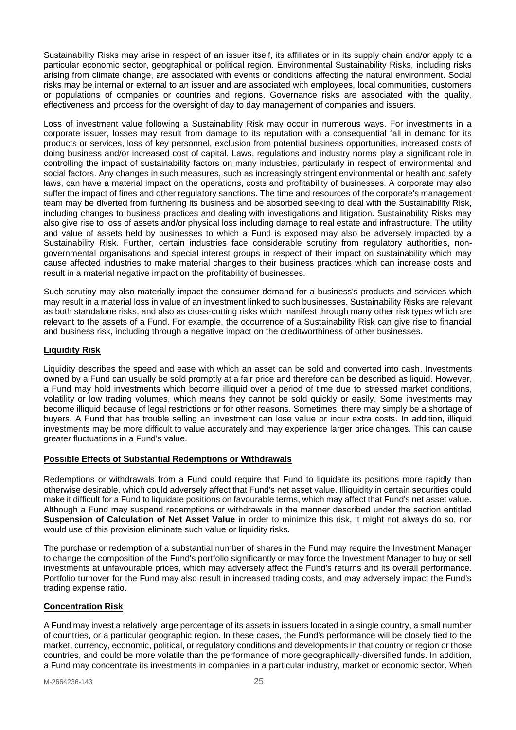Sustainability Risks may arise in respect of an issuer itself, its affiliates or in its supply chain and/or apply to a particular economic sector, geographical or political region. Environmental Sustainability Risks, including risks arising from climate change, are associated with events or conditions affecting the natural environment. Social risks may be internal or external to an issuer and are associated with employees, local communities, customers or populations of companies or countries and regions. Governance risks are associated with the quality, effectiveness and process for the oversight of day to day management of companies and issuers.

Loss of investment value following a Sustainability Risk may occur in numerous ways. For investments in a corporate issuer, losses may result from damage to its reputation with a consequential fall in demand for its products or services, loss of key personnel, exclusion from potential business opportunities, increased costs of doing business and/or increased cost of capital. Laws, regulations and industry norms play a significant role in controlling the impact of sustainability factors on many industries, particularly in respect of environmental and social factors. Any changes in such measures, such as increasingly stringent environmental or health and safety laws, can have a material impact on the operations, costs and profitability of businesses. A corporate may also suffer the impact of fines and other regulatory sanctions. The time and resources of the corporate's management team may be diverted from furthering its business and be absorbed seeking to deal with the Sustainability Risk, including changes to business practices and dealing with investigations and litigation. Sustainability Risks may also give rise to loss of assets and/or physical loss including damage to real estate and infrastructure. The utility and value of assets held by businesses to which a Fund is exposed may also be adversely impacted by a Sustainability Risk. Further, certain industries face considerable scrutiny from regulatory authorities, nongovernmental organisations and special interest groups in respect of their impact on sustainability which may cause affected industries to make material changes to their business practices which can increase costs and result in a material negative impact on the profitability of businesses.

Such scrutiny may also materially impact the consumer demand for a business's products and services which may result in a material loss in value of an investment linked to such businesses. Sustainability Risks are relevant as both standalone risks, and also as cross-cutting risks which manifest through many other risk types which are relevant to the assets of a Fund. For example, the occurrence of a Sustainability Risk can give rise to financial and business risk, including through a negative impact on the creditworthiness of other businesses.

# **Liquidity Risk**

Liquidity describes the speed and ease with which an asset can be sold and converted into cash. Investments owned by a Fund can usually be sold promptly at a fair price and therefore can be described as liquid. However, a Fund may hold investments which become illiquid over a period of time due to stressed market conditions, volatility or low trading volumes, which means they cannot be sold quickly or easily. Some investments may become illiquid because of legal restrictions or for other reasons. Sometimes, there may simply be a shortage of buyers. A Fund that has trouble selling an investment can lose value or incur extra costs. In addition, illiquid investments may be more difficult to value accurately and may experience larger price changes. This can cause greater fluctuations in a Fund's value.

# **Possible Effects of Substantial Redemptions or Withdrawals**

Redemptions or withdrawals from a Fund could require that Fund to liquidate its positions more rapidly than otherwise desirable, which could adversely affect that Fund's net asset value. Illiquidity in certain securities could make it difficult for a Fund to liquidate positions on favourable terms, which may affect that Fund's net asset value. Although a Fund may suspend redemptions or withdrawals in the manner described under the section entitled **Suspension of Calculation of Net Asset Value** in order to minimize this risk, it might not always do so, nor would use of this provision eliminate such value or liquidity risks.

The purchase or redemption of a substantial number of shares in the Fund may require the Investment Manager to change the composition of the Fund's portfolio significantly or may force the Investment Manager to buy or sell investments at unfavourable prices, which may adversely affect the Fund's returns and its overall performance. Portfolio turnover for the Fund may also result in increased trading costs, and may adversely impact the Fund's trading expense ratio.

# **Concentration Risk**

A Fund may invest a relatively large percentage of its assets in issuers located in a single country, a small number of countries, or a particular geographic region. In these cases, the Fund's performance will be closely tied to the market, currency, economic, political, or regulatory conditions and developments in that country or region or those countries, and could be more volatile than the performance of more geographically-diversified funds. In addition, a Fund may concentrate its investments in companies in a particular industry, market or economic sector. When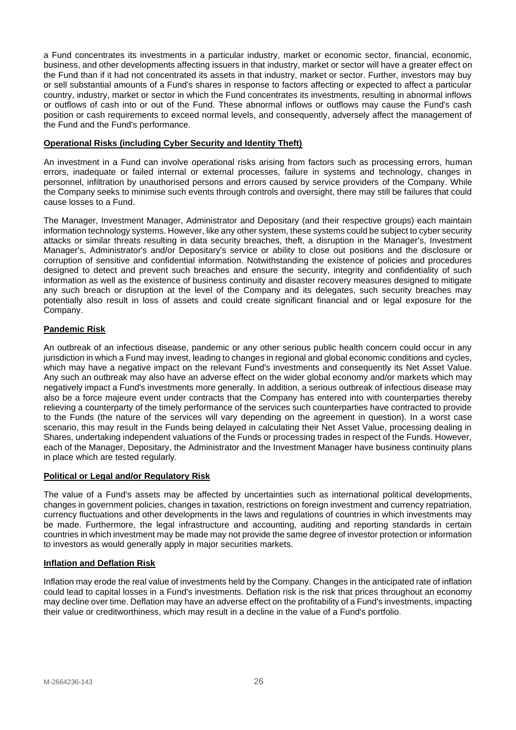a Fund concentrates its investments in a particular industry, market or economic sector, financial, economic, business, and other developments affecting issuers in that industry, market or sector will have a greater effect on the Fund than if it had not concentrated its assets in that industry, market or sector. Further, investors may buy or sell substantial amounts of a Fund's shares in response to factors affecting or expected to affect a particular country, industry, market or sector in which the Fund concentrates its investments, resulting in abnormal inflows or outflows of cash into or out of the Fund. These abnormal inflows or outflows may cause the Fund's cash position or cash requirements to exceed normal levels, and consequently, adversely affect the management of the Fund and the Fund's performance.

# **Operational Risks (including Cyber Security and Identity Theft)**

An investment in a Fund can involve operational risks arising from factors such as processing errors, human errors, inadequate or failed internal or external processes, failure in systems and technology, changes in personnel, infiltration by unauthorised persons and errors caused by service providers of the Company. While the Company seeks to minimise such events through controls and oversight, there may still be failures that could cause losses to a Fund.

The Manager, Investment Manager, Administrator and Depositary (and their respective groups) each maintain information technology systems. However, like any other system, these systems could be subject to cyber security attacks or similar threats resulting in data security breaches, theft, a disruption in the Manager's, Investment Manager's, Administrator's and/or Depositary's service or ability to close out positions and the disclosure or corruption of sensitive and confidential information. Notwithstanding the existence of policies and procedures designed to detect and prevent such breaches and ensure the security, integrity and confidentiality of such information as well as the existence of business continuity and disaster recovery measures designed to mitigate any such breach or disruption at the level of the Company and its delegates, such security breaches may potentially also result in loss of assets and could create significant financial and or legal exposure for the Company.

# **Pandemic Risk**

An outbreak of an infectious disease, pandemic or any other serious public health concern could occur in any jurisdiction in which a Fund may invest, leading to changes in regional and global economic conditions and cycles, which may have a negative impact on the relevant Fund's investments and consequently its Net Asset Value. Any such an outbreak may also have an adverse effect on the wider global economy and/or markets which may negatively impact a Fund's investments more generally. In addition, a serious outbreak of infectious disease may also be a force majeure event under contracts that the Company has entered into with counterparties thereby relieving a counterparty of the timely performance of the services such counterparties have contracted to provide to the Funds (the nature of the services will vary depending on the agreement in question). In a worst case scenario, this may result in the Funds being delayed in calculating their Net Asset Value, processing dealing in Shares, undertaking independent valuations of the Funds or processing trades in respect of the Funds. However, each of the Manager, Depositary, the Administrator and the Investment Manager have business continuity plans in place which are tested regularly.

# **Political or Legal and/or Regulatory Risk**

The value of a Fund's assets may be affected by uncertainties such as international political developments, changes in government policies, changes in taxation, restrictions on foreign investment and currency repatriation, currency fluctuations and other developments in the laws and regulations of countries in which investments may be made. Furthermore, the legal infrastructure and accounting, auditing and reporting standards in certain countries in which investment may be made may not provide the same degree of investor protection or information to investors as would generally apply in major securities markets.

# **Inflation and Deflation Risk**

Inflation may erode the real value of investments held by the Company. Changes in the anticipated rate of inflation could lead to capital losses in a Fund's investments. Deflation risk is the risk that prices throughout an economy may decline over time. Deflation may have an adverse effect on the profitability of a Fund's investments, impacting their value or creditworthiness, which may result in a decline in the value of a Fund's portfolio.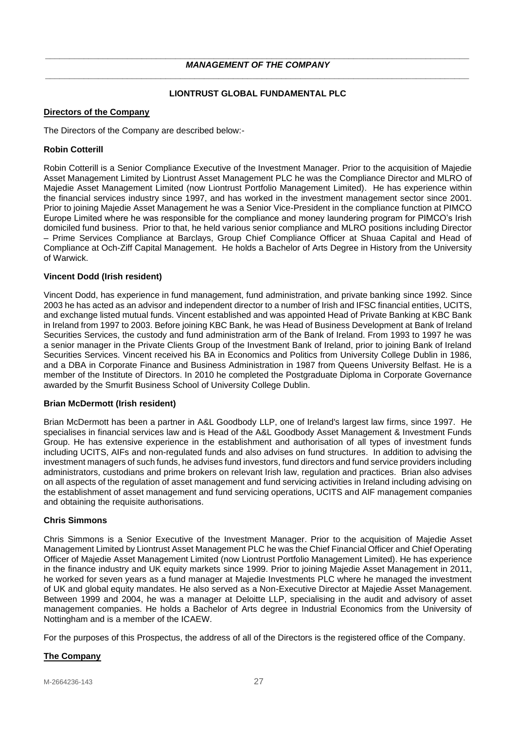# **LIONTRUST GLOBAL FUNDAMENTAL PLC**

# <span id="page-26-1"></span><span id="page-26-0"></span>**Directors of the Company**

The Directors of the Company are described below:-

## **Robin Cotterill**

Robin Cotterill is a Senior Compliance Executive of the Investment Manager. Prior to the acquisition of Majedie Asset Management Limited by Liontrust Asset Management PLC he was the Compliance Director and MLRO of Majedie Asset Management Limited (now Liontrust Portfolio Management Limited). He has experience within the financial services industry since 1997, and has worked in the investment management sector since 2001. Prior to joining Majedie Asset Management he was a Senior Vice-President in the compliance function at PIMCO Europe Limited where he was responsible for the compliance and money laundering program for PIMCO's Irish domiciled fund business. Prior to that, he held various senior compliance and MLRO positions including Director – Prime Services Compliance at Barclays, Group Chief Compliance Officer at Shuaa Capital and Head of Compliance at Och-Ziff Capital Management. He holds a Bachelor of Arts Degree in History from the University of Warwick.

## **Vincent Dodd (Irish resident)**

Vincent Dodd, has experience in fund management, fund administration, and private banking since 1992. Since 2003 he has acted as an advisor and independent director to a number of Irish and IFSC financial entities, UCITS, and exchange listed mutual funds. Vincent established and was appointed Head of Private Banking at KBC Bank in Ireland from 1997 to 2003. Before joining KBC Bank, he was Head of Business Development at Bank of Ireland Securities Services, the custody and fund administration arm of the Bank of Ireland. From 1993 to 1997 he was a senior manager in the Private Clients Group of the Investment Bank of Ireland, prior to joining Bank of Ireland Securities Services. Vincent received his BA in Economics and Politics from University College Dublin in 1986, and a DBA in Corporate Finance and Business Administration in 1987 from Queens University Belfast. He is a member of the Institute of Directors. In 2010 he completed the Postgraduate Diploma in Corporate Governance awarded by the Smurfit Business School of University College Dublin.

#### **Brian McDermott (Irish resident)**

Brian McDermott has been a partner in A&L Goodbody LLP, one of Ireland's largest law firms, since 1997. He specialises in financial services law and is Head of the A&L Goodbody Asset Management & Investment Funds Group. He has extensive experience in the establishment and authorisation of all types of investment funds including UCITS, AIFs and non-regulated funds and also advises on fund structures. In addition to advising the investment managers of such funds, he advises fund investors, fund directors and fund service providers including administrators, custodians and prime brokers on relevant Irish law, regulation and practices. Brian also advises on all aspects of the regulation of asset management and fund servicing activities in Ireland including advising on the establishment of asset management and fund servicing operations, UCITS and AIF management companies and obtaining the requisite authorisations.

#### **Chris Simmons**

Chris Simmons is a Senior Executive of the Investment Manager. Prior to the acquisition of Majedie Asset Management Limited by Liontrust Asset Management PLC he was the Chief Financial Officer and Chief Operating Officer of Majedie Asset Management Limited (now Liontrust Portfolio Management Limited). He has experience in the finance industry and UK equity markets since 1999. Prior to joining Majedie Asset Management in 2011, he worked for seven years as a fund manager at Majedie Investments PLC where he managed the investment of UK and global equity mandates. He also served as a Non-Executive Director at Majedie Asset Management. Between 1999 and 2004, he was a manager at Deloitte LLP, specialising in the audit and advisory of asset management companies. He holds a Bachelor of Arts degree in Industrial Economics from the University of Nottingham and is a member of the ICAEW.

For the purposes of this Prospectus, the address of all of the Directors is the registered office of the Company.

# <span id="page-26-2"></span>**The Company**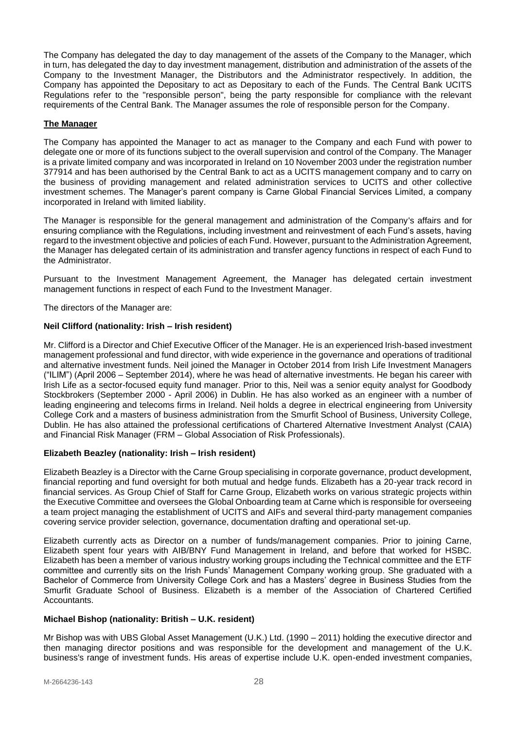The Company has delegated the day to day management of the assets of the Company to the Manager, which in turn, has delegated the day to day investment management, distribution and administration of the assets of the Company to the Investment Manager, the Distributors and the Administrator respectively. In addition, the Company has appointed the Depositary to act as Depositary to each of the Funds. The Central Bank UCITS Regulations refer to the "responsible person", being the party responsible for compliance with the relevant requirements of the Central Bank. The Manager assumes the role of responsible person for the Company.

# **The Manager**

The Company has appointed the Manager to act as manager to the Company and each Fund with power to delegate one or more of its functions subject to the overall supervision and control of the Company. The Manager is a private limited company and was incorporated in Ireland on 10 November 2003 under the registration number 377914 and has been authorised by the Central Bank to act as a UCITS management company and to carry on the business of providing management and related administration services to UCITS and other collective investment schemes. The Manager's parent company is Carne Global Financial Services Limited, a company incorporated in Ireland with limited liability.

The Manager is responsible for the general management and administration of the Company's affairs and for ensuring compliance with the Regulations, including investment and reinvestment of each Fund's assets, having regard to the investment objective and policies of each Fund. However, pursuant to the Administration Agreement, the Manager has delegated certain of its administration and transfer agency functions in respect of each Fund to the Administrator.

Pursuant to the Investment Management Agreement, the Manager has delegated certain investment management functions in respect of each Fund to the Investment Manager.

The directors of the Manager are:

# **Neil Clifford (nationality: Irish – Irish resident)**

Mr. Clifford is a Director and Chief Executive Officer of the Manager. He is an experienced Irish-based investment management professional and fund director, with wide experience in the governance and operations of traditional and alternative investment funds. Neil joined the Manager in October 2014 from Irish Life Investment Managers ("ILIM") (April 2006 – September 2014), where he was head of alternative investments. He began his career with Irish Life as a sector-focused equity fund manager. Prior to this, Neil was a senior equity analyst for Goodbody Stockbrokers (September 2000 - April 2006) in Dublin. He has also worked as an engineer with a number of leading engineering and telecoms firms in Ireland. Neil holds a degree in electrical engineering from University College Cork and a masters of business administration from the Smurfit School of Business, University College, Dublin. He has also attained the professional certifications of Chartered Alternative Investment Analyst (CAIA) and Financial Risk Manager (FRM – Global Association of Risk Professionals).

# **Elizabeth Beazley (nationality: Irish – Irish resident)**

Elizabeth Beazley is a Director with the Carne Group specialising in corporate governance, product development, financial reporting and fund oversight for both mutual and hedge funds. Elizabeth has a 20-year track record in financial services. As Group Chief of Staff for Carne Group, Elizabeth works on various strategic projects within the Executive Committee and oversees the Global Onboarding team at Carne which is responsible for overseeing a team project managing the establishment of UCITS and AIFs and several third-party management companies covering service provider selection, governance, documentation drafting and operational set-up.

Elizabeth currently acts as Director on a number of funds/management companies. Prior to joining Carne, Elizabeth spent four years with AIB/BNY Fund Management in Ireland, and before that worked for HSBC. Elizabeth has been a member of various industry working groups including the Technical committee and the ETF committee and currently sits on the Irish Funds' Management Company working group. She graduated with a Bachelor of Commerce from University College Cork and has a Masters' degree in Business Studies from the Smurfit Graduate School of Business. Elizabeth is a member of the Association of Chartered Certified Accountants.

# **Michael Bishop (nationality: British – U.K. resident)**

Mr Bishop was with UBS Global Asset Management (U.K.) Ltd. (1990 – 2011) holding the executive director and then managing director positions and was responsible for the development and management of the U.K. business's range of investment funds. His areas of expertise include U.K. open-ended investment companies,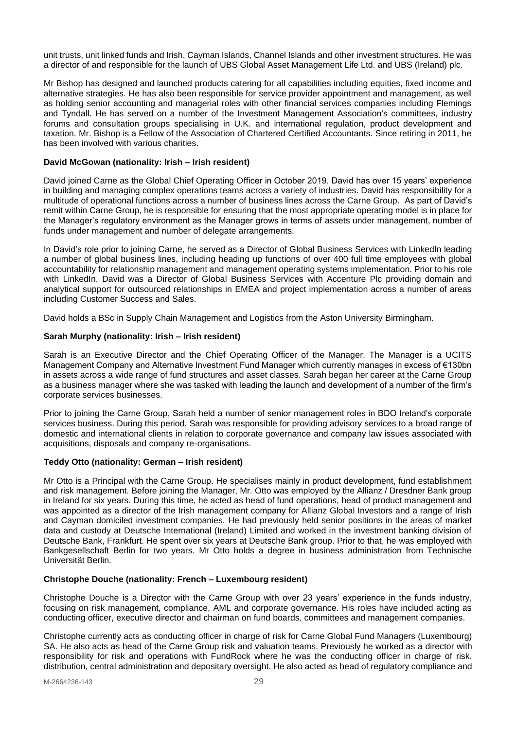unit trusts, unit linked funds and Irish, Cayman Islands, Channel Islands and other investment structures. He was a director of and responsible for the launch of UBS Global Asset Management Life Ltd. and UBS (Ireland) plc.

Mr Bishop has designed and launched products catering for all capabilities including equities, fixed income and alternative strategies. He has also been responsible for service provider appointment and management, as well as holding senior accounting and managerial roles with other financial services companies including Flemings and Tyndall. He has served on a number of the Investment Management Association's committees, industry forums and consultation groups specialising in U.K. and international regulation, product development and taxation. Mr. Bishop is a Fellow of the Association of Chartered Certified Accountants. Since retiring in 2011, he has been involved with various charities.

## **David McGowan (nationality: Irish – Irish resident)**

David joined Carne as the Global Chief Operating Officer in October 2019. David has over 15 years' experience in building and managing complex operations teams across a variety of industries. David has responsibility for a multitude of operational functions across a number of business lines across the Carne Group. As part of David's remit within Carne Group, he is responsible for ensuring that the most appropriate operating model is in place for the Manager's regulatory environment as the Manager grows in terms of assets under management, number of funds under management and number of delegate arrangements.

In David's role prior to joining Carne, he served as a Director of Global Business Services with LinkedIn leading a number of global business lines, including heading up functions of over 400 full time employees with global accountability for relationship management and management operating systems implementation. Prior to his role with LinkedIn, David was a Director of Global Business Services with Accenture Plc providing domain and analytical support for outsourced relationships in EMEA and project implementation across a number of areas including Customer Success and Sales.

David holds a BSc in Supply Chain Management and Logistics from the Aston University Birmingham.

# **Sarah Murphy (nationality: Irish – Irish resident)**

Sarah is an Executive Director and the Chief Operating Officer of the Manager. The Manager is a UCITS Management Company and Alternative Investment Fund Manager which currently manages in excess of €130bn in assets across a wide range of fund structures and asset classes. Sarah began her career at the Carne Group as a business manager where she was tasked with leading the launch and development of a number of the firm's corporate services businesses.

Prior to joining the Carne Group, Sarah held a number of senior management roles in BDO Ireland's corporate services business. During this period, Sarah was responsible for providing advisory services to a broad range of domestic and international clients in relation to corporate governance and company law issues associated with acquisitions, disposals and company re-organisations.

#### **Teddy Otto (nationality: German – Irish resident)**

Mr Otto is a Principal with the Carne Group. He specialises mainly in product development, fund establishment and risk management. Before joining the Manager, Mr. Otto was employed by the Allianz / Dresdner Bank group in Ireland for six years. During this time, he acted as head of fund operations, head of product management and was appointed as a director of the Irish management company for Allianz Global Investors and a range of Irish and Cayman domiciled investment companies. He had previously held senior positions in the areas of market data and custody at Deutsche International (Ireland) Limited and worked in the investment banking division of Deutsche Bank, Frankfurt. He spent over six years at Deutsche Bank group. Prior to that, he was employed with Bankgesellschaft Berlin for two years. Mr Otto holds a degree in business administration from Technische Universität Berlin.

# **Christophe Douche (nationality: French – Luxembourg resident)**

Christophe Douche is a Director with the Carne Group with over 23 years' experience in the funds industry, focusing on risk management, compliance, AML and corporate governance. His roles have included acting as conducting officer, executive director and chairman on fund boards, committees and management companies.

Christophe currently acts as conducting officer in charge of risk for Carne Global Fund Managers (Luxembourg) SA. He also acts as head of the Carne Group risk and valuation teams. Previously he worked as a director with responsibility for risk and operations with FundRock where he was the conducting officer in charge of risk, distribution, central administration and depositary oversight. He also acted as head of regulatory compliance and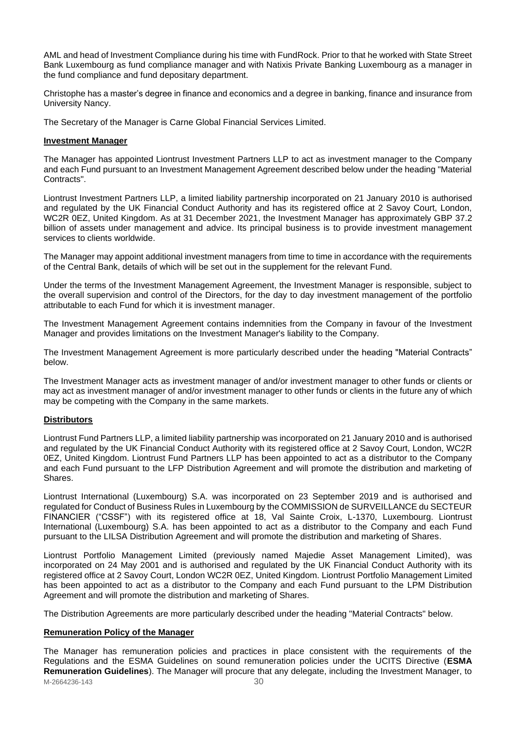AML and head of Investment Compliance during his time with FundRock. Prior to that he worked with State Street Bank Luxembourg as fund compliance manager and with Natixis Private Banking Luxembourg as a manager in the fund compliance and fund depositary department.

Christophe has a master's degree in finance and economics and a degree in banking, finance and insurance from University Nancy.

The Secretary of the Manager is Carne Global Financial Services Limited.

## <span id="page-29-0"></span>**Investment Manager**

The Manager has appointed Liontrust Investment Partners LLP to act as investment manager to the Company and each Fund pursuant to an Investment Management Agreement described below under the heading "Material Contracts".

Liontrust Investment Partners LLP, a limited liability partnership incorporated on 21 January 2010 is authorised and regulated by the UK Financial Conduct Authority and has its registered office at 2 Savoy Court, London, WC2R 0EZ, United Kingdom. As at 31 December 2021, the Investment Manager has approximately GBP 37.2 billion of assets under management and advice. Its principal business is to provide investment management services to clients worldwide.

The Manager may appoint additional investment managers from time to time in accordance with the requirements of the Central Bank, details of which will be set out in the supplement for the relevant Fund.

Under the terms of the Investment Management Agreement, the Investment Manager is responsible, subject to the overall supervision and control of the Directors, for the day to day investment management of the portfolio attributable to each Fund for which it is investment manager.

The Investment Management Agreement contains indemnities from the Company in favour of the Investment Manager and provides limitations on the Investment Manager's liability to the Company.

The Investment Management Agreement is more particularly described under the heading "Material Contracts" below.

The Investment Manager acts as investment manager of and/or investment manager to other funds or clients or may act as investment manager of and/or investment manager to other funds or clients in the future any of which may be competing with the Company in the same markets.

# <span id="page-29-1"></span>**Distributors**

Liontrust Fund Partners LLP, a limited liability partnership was incorporated on 21 January 2010 and is authorised and regulated by the UK Financial Conduct Authority with its registered office at 2 Savoy Court, London, WC2R 0EZ, United Kingdom. Liontrust Fund Partners LLP has been appointed to act as a distributor to the Company and each Fund pursuant to the LFP Distribution Agreement and will promote the distribution and marketing of Shares.

Liontrust International (Luxembourg) S.A. was incorporated on 23 September 2019 and is authorised and regulated for Conduct of Business Rules in Luxembourg by the COMMISSION de SURVEILLANCE du SECTEUR FINANCIER ("CSSF") with its registered office at 18, Val Sainte Croix, L-1370, Luxembourg. Liontrust International (Luxembourg) S.A. has been appointed to act as a distributor to the Company and each Fund pursuant to the LILSA Distribution Agreement and will promote the distribution and marketing of Shares.

Liontrust Portfolio Management Limited (previously named Majedie Asset Management Limited), was incorporated on 24 May 2001 and is authorised and regulated by the UK Financial Conduct Authority with its registered office at 2 Savoy Court, London WC2R 0EZ, United Kingdom. Liontrust Portfolio Management Limited has been appointed to act as a distributor to the Company and each Fund pursuant to the LPM Distribution Agreement and will promote the distribution and marketing of Shares.

<span id="page-29-2"></span>The Distribution Agreements are more particularly described under the heading "Material Contracts" below.

#### **Remuneration Policy of the Manager**

M-2664236-143 30 The Manager has remuneration policies and practices in place consistent with the requirements of the Regulations and the ESMA Guidelines on sound remuneration policies under the UCITS Directive (**ESMA Remuneration Guidelines**). The Manager will procure that any delegate, including the Investment Manager, to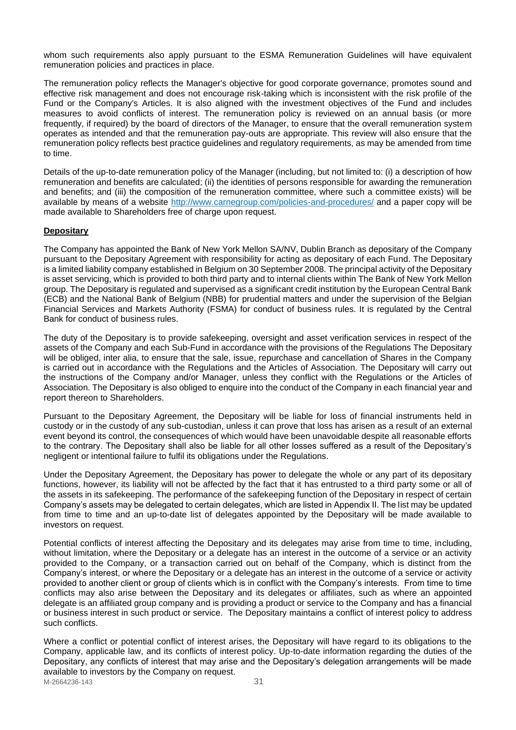whom such requirements also apply pursuant to the ESMA Remuneration Guidelines will have equivalent remuneration policies and practices in place.

The remuneration policy reflects the Manager's objective for good corporate governance, promotes sound and effective risk management and does not encourage risk-taking which is inconsistent with the risk profile of the Fund or the Company's Articles. It is also aligned with the investment objectives of the Fund and includes measures to avoid conflicts of interest. The remuneration policy is reviewed on an annual basis (or more frequently, if required) by the board of directors of the Manager, to ensure that the overall remuneration system operates as intended and that the remuneration pay-outs are appropriate. This review will also ensure that the remuneration policy reflects best practice guidelines and regulatory requirements, as may be amended from time to time.

Details of the up-to-date remuneration policy of the Manager (including, but not limited to: (i) a description of how remuneration and benefits are calculated; (ii) the identities of persons responsible for awarding the remuneration and benefits; and (iii) the composition of the remuneration committee, where such a committee exists) will be available by means of a website [http://www.carnegroup.com/policies-and-procedures/](https://protect-eu.mimecast.com/s/Ii8cCDRwmho005NhR-KNa) and a paper copy will be made available to Shareholders free of charge upon request.

# <span id="page-30-0"></span>**Depositary**

The Company has appointed the Bank of New York Mellon SA/NV, Dublin Branch as depositary of the Company pursuant to the Depositary Agreement with responsibility for acting as depositary of each Fund. The Depositary is a limited liability company established in Belgium on 30 September 2008. The principal activity of the Depositary is asset servicing, which is provided to both third party and to internal clients within The Bank of New York Mellon group. The Depositary is regulated and supervised as a significant credit institution by the European Central Bank (ECB) and the National Bank of Belgium (NBB) for prudential matters and under the supervision of the Belgian Financial Services and Markets Authority (FSMA) for conduct of business rules. It is regulated by the Central Bank for conduct of business rules.

The duty of the Depositary is to provide safekeeping, oversight and asset verification services in respect of the assets of the Company and each Sub-Fund in accordance with the provisions of the Regulations The Depositary will be obliged, inter alia, to ensure that the sale, issue, repurchase and cancellation of Shares in the Company is carried out in accordance with the Regulations and the Articles of Association. The Depositary will carry out the instructions of the Company and/or Manager, unless they conflict with the Regulations or the Articles of Association. The Depositary is also obliged to enquire into the conduct of the Company in each financial year and report thereon to Shareholders.

Pursuant to the Depositary Agreement, the Depositary will be liable for loss of financial instruments held in custody or in the custody of any sub-custodian, unless it can prove that loss has arisen as a result of an external event beyond its control, the consequences of which would have been unavoidable despite all reasonable efforts to the contrary. The Depositary shall also be liable for all other losses suffered as a result of the Depositary's negligent or intentional failure to fulfil its obligations under the Regulations.

Under the Depositary Agreement, the Depositary has power to delegate the whole or any part of its depositary functions, however, its liability will not be affected by the fact that it has entrusted to a third party some or all of the assets in its safekeeping. The performance of the safekeeping function of the Depositary in respect of certain Company's assets may be delegated to certain delegates, which are listed in Appendix II. The list may be updated from time to time and an up-to-date list of delegates appointed by the Depositary will be made available to investors on request.

Potential conflicts of interest affecting the Depositary and its delegates may arise from time to time, including, without limitation, where the Depositary or a delegate has an interest in the outcome of a service or an activity provided to the Company, or a transaction carried out on behalf of the Company, which is distinct from the Company's interest, or where the Depositary or a delegate has an interest in the outcome of a service or activity provided to another client or group of clients which is in conflict with the Company's interests. From time to time conflicts may also arise between the Depositary and its delegates or affiliates, such as where an appointed delegate is an affiliated group company and is providing a product or service to the Company and has a financial or business interest in such product or service. The Depositary maintains a conflict of interest policy to address such conflicts.

M-2664236-143 31 Where a conflict or potential conflict of interest arises, the Depositary will have regard to its obligations to the Company, applicable law, and its conflicts of interest policy. Up-to-date information regarding the duties of the Depositary, any conflicts of interest that may arise and the Depositary's delegation arrangements will be made available to investors by the Company on request.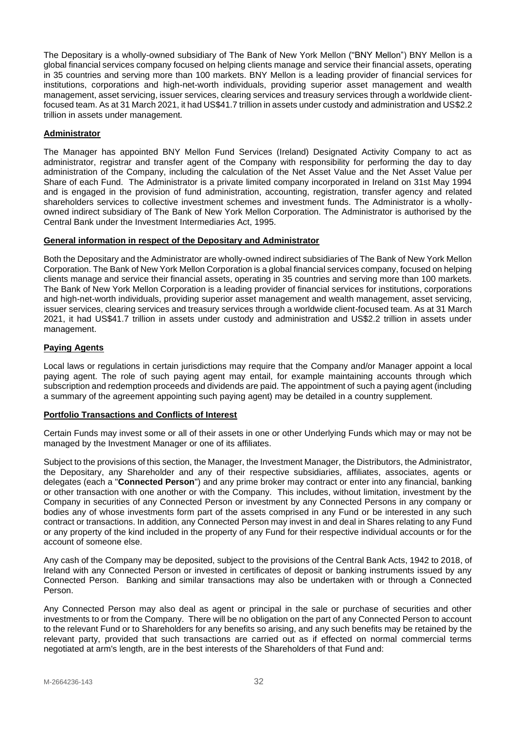The Depositary is a wholly-owned subsidiary of The Bank of New York Mellon ("BNY Mellon") BNY Mellon is a global financial services company focused on helping clients manage and service their financial assets, operating in 35 countries and serving more than 100 markets. BNY Mellon is a leading provider of financial services for institutions, corporations and high-net-worth individuals, providing superior asset management and wealth management, asset servicing, issuer services, clearing services and treasury services through a worldwide clientfocused team. As at 31 March 2021, it had US\$41.7 trillion in assets under custody and administration and US\$2.2 trillion in assets under management*.*

# <span id="page-31-0"></span>**Administrator**

The Manager has appointed BNY Mellon Fund Services (Ireland) Designated Activity Company to act as administrator, registrar and transfer agent of the Company with responsibility for performing the day to day administration of the Company, including the calculation of the Net Asset Value and the Net Asset Value per Share of each Fund. The Administrator is a private limited company incorporated in Ireland on 31st May 1994 and is engaged in the provision of fund administration, accounting, registration, transfer agency and related shareholders services to collective investment schemes and investment funds. The Administrator is a whollyowned indirect subsidiary of The Bank of New York Mellon Corporation. The Administrator is authorised by the Central Bank under the Investment Intermediaries Act, 1995.

# <span id="page-31-1"></span>**General information in respect of the Depositary and Administrator**

Both the Depositary and the Administrator are wholly-owned indirect subsidiaries of The Bank of New York Mellon Corporation. The Bank of New York Mellon Corporation is a global financial services company, focused on helping clients manage and service their financial assets, operating in 35 countries and serving more than 100 markets. The Bank of New York Mellon Corporation is a leading provider of financial services for institutions, corporations and high-net-worth individuals, providing superior asset management and wealth management, asset servicing, issuer services, clearing services and treasury services through a worldwide client-focused team. As at 31 March 2021, it had US\$41.7 trillion in assets under custody and administration and US\$2.2 trillion in assets under management.

# <span id="page-31-2"></span>**Paying Agents**

Local laws or regulations in certain jurisdictions may require that the Company and/or Manager appoint a local paying agent. The role of such paying agent may entail, for example maintaining accounts through which subscription and redemption proceeds and dividends are paid. The appointment of such a paying agent (including a summary of the agreement appointing such paying agent) may be detailed in a country supplement.

## <span id="page-31-3"></span>**Portfolio Transactions and Conflicts of Interest**

Certain Funds may invest some or all of their assets in one or other Underlying Funds which may or may not be managed by the Investment Manager or one of its affiliates.

Subject to the provisions of this section, the Manager, the Investment Manager, the Distributors, the Administrator, the Depositary, any Shareholder and any of their respective subsidiaries, affiliates, associates, agents or delegates (each a "**Connected Person**") and any prime broker may contract or enter into any financial, banking or other transaction with one another or with the Company. This includes, without limitation, investment by the Company in securities of any Connected Person or investment by any Connected Persons in any company or bodies any of whose investments form part of the assets comprised in any Fund or be interested in any such contract or transactions. In addition, any Connected Person may invest in and deal in Shares relating to any Fund or any property of the kind included in the property of any Fund for their respective individual accounts or for the account of someone else.

Any cash of the Company may be deposited, subject to the provisions of the Central Bank Acts, 1942 to 2018, of Ireland with any Connected Person or invested in certificates of deposit or banking instruments issued by any Connected Person. Banking and similar transactions may also be undertaken with or through a Connected Person.

Any Connected Person may also deal as agent or principal in the sale or purchase of securities and other investments to or from the Company. There will be no obligation on the part of any Connected Person to account to the relevant Fund or to Shareholders for any benefits so arising, and any such benefits may be retained by the relevant party, provided that such transactions are carried out as if effected on normal commercial terms negotiated at arm's length, are in the best interests of the Shareholders of that Fund and: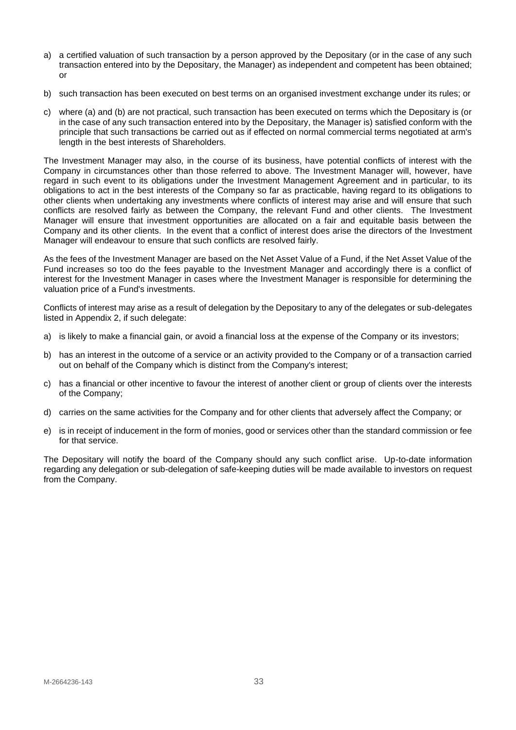- a) a certified valuation of such transaction by a person approved by the Depositary (or in the case of any such transaction entered into by the Depositary, the Manager) as independent and competent has been obtained; or
- b) such transaction has been executed on best terms on an organised investment exchange under its rules; or
- c) where (a) and (b) are not practical, such transaction has been executed on terms which the Depositary is (or in the case of any such transaction entered into by the Depositary, the Manager is) satisfied conform with the principle that such transactions be carried out as if effected on normal commercial terms negotiated at arm's length in the best interests of Shareholders.

The Investment Manager may also, in the course of its business, have potential conflicts of interest with the Company in circumstances other than those referred to above. The Investment Manager will, however, have regard in such event to its obligations under the Investment Management Agreement and in particular, to its obligations to act in the best interests of the Company so far as practicable, having regard to its obligations to other clients when undertaking any investments where conflicts of interest may arise and will ensure that such conflicts are resolved fairly as between the Company, the relevant Fund and other clients. The Investment Manager will ensure that investment opportunities are allocated on a fair and equitable basis between the Company and its other clients. In the event that a conflict of interest does arise the directors of the Investment Manager will endeavour to ensure that such conflicts are resolved fairly.

As the fees of the Investment Manager are based on the Net Asset Value of a Fund, if the Net Asset Value of the Fund increases so too do the fees payable to the Investment Manager and accordingly there is a conflict of interest for the Investment Manager in cases where the Investment Manager is responsible for determining the valuation price of a Fund's investments.

Conflicts of interest may arise as a result of delegation by the Depositary to any of the delegates or sub-delegates listed in Appendix 2, if such delegate:

- a) is likely to make a financial gain, or avoid a financial loss at the expense of the Company or its investors;
- b) has an interest in the outcome of a service or an activity provided to the Company or of a transaction carried out on behalf of the Company which is distinct from the Company's interest;
- c) has a financial or other incentive to favour the interest of another client or group of clients over the interests of the Company;
- d) carries on the same activities for the Company and for other clients that adversely affect the Company; or
- e) is in receipt of inducement in the form of monies, good or services other than the standard commission or fee for that service.

The Depositary will notify the board of the Company should any such conflict arise. Up-to-date information regarding any delegation or sub-delegation of safe-keeping duties will be made available to investors on request from the Company.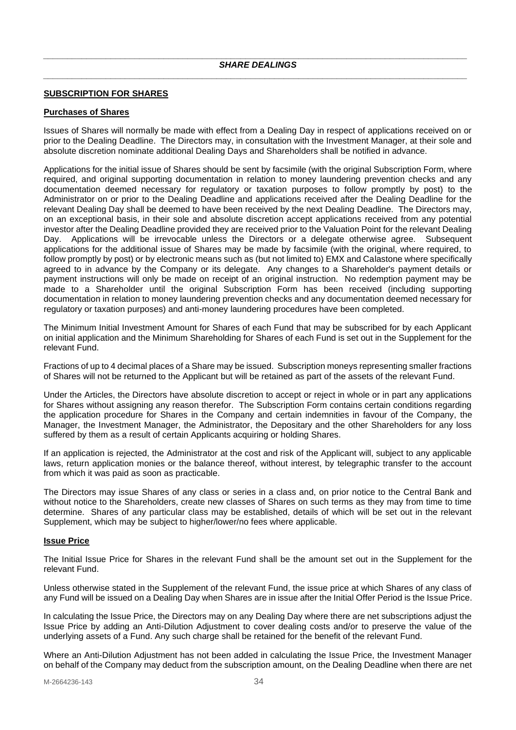# <span id="page-33-1"></span><span id="page-33-0"></span>**SUBSCRIPTION FOR SHARES**

## <span id="page-33-2"></span>**Purchases of Shares**

Issues of Shares will normally be made with effect from a Dealing Day in respect of applications received on or prior to the Dealing Deadline. The Directors may, in consultation with the Investment Manager, at their sole and absolute discretion nominate additional Dealing Days and Shareholders shall be notified in advance.

Applications for the initial issue of Shares should be sent by facsimile (with the original Subscription Form, where required, and original supporting documentation in relation to money laundering prevention checks and any documentation deemed necessary for regulatory or taxation purposes to follow promptly by post) to the Administrator on or prior to the Dealing Deadline and applications received after the Dealing Deadline for the relevant Dealing Day shall be deemed to have been received by the next Dealing Deadline. The Directors may, on an exceptional basis, in their sole and absolute discretion accept applications received from any potential investor after the Dealing Deadline provided they are received prior to the Valuation Point for the relevant Dealing Day. Applications will be irrevocable unless the Directors or a delegate otherwise agree. Subsequent applications for the additional issue of Shares may be made by facsimile (with the original, where required, to follow promptly by post) or by electronic means such as (but not limited to) EMX and Calastone where specifically agreed to in advance by the Company or its delegate. Any changes to a Shareholder's payment details or payment instructions will only be made on receipt of an original instruction. No redemption payment may be made to a Shareholder until the original Subscription Form has been received (including supporting documentation in relation to money laundering prevention checks and any documentation deemed necessary for regulatory or taxation purposes) and anti-money laundering procedures have been completed.

The Minimum Initial Investment Amount for Shares of each Fund that may be subscribed for by each Applicant on initial application and the Minimum Shareholding for Shares of each Fund is set out in the Supplement for the relevant Fund.

Fractions of up to 4 decimal places of a Share may be issued. Subscription moneys representing smaller fractions of Shares will not be returned to the Applicant but will be retained as part of the assets of the relevant Fund.

Under the Articles, the Directors have absolute discretion to accept or reject in whole or in part any applications for Shares without assigning any reason therefor. The Subscription Form contains certain conditions regarding the application procedure for Shares in the Company and certain indemnities in favour of the Company, the Manager, the Investment Manager, the Administrator, the Depositary and the other Shareholders for any loss suffered by them as a result of certain Applicants acquiring or holding Shares.

If an application is rejected, the Administrator at the cost and risk of the Applicant will, subject to any applicable laws, return application monies or the balance thereof, without interest, by telegraphic transfer to the account from which it was paid as soon as practicable.

The Directors may issue Shares of any class or series in a class and, on prior notice to the Central Bank and without notice to the Shareholders, create new classes of Shares on such terms as they may from time to time determine. Shares of any particular class may be established, details of which will be set out in the relevant Supplement, which may be subject to higher/lower/no fees where applicable.

#### <span id="page-33-3"></span>**Issue Price**

The Initial Issue Price for Shares in the relevant Fund shall be the amount set out in the Supplement for the relevant Fund.

Unless otherwise stated in the Supplement of the relevant Fund, the issue price at which Shares of any class of any Fund will be issued on a Dealing Day when Shares are in issue after the Initial Offer Period is the Issue Price.

In calculating the Issue Price, the Directors may on any Dealing Day where there are net subscriptions adjust the Issue Price by adding an Anti-Dilution Adjustment to cover dealing costs and/or to preserve the value of the underlying assets of a Fund. Any such charge shall be retained for the benefit of the relevant Fund.

Where an Anti-Dilution Adjustment has not been added in calculating the Issue Price, the Investment Manager on behalf of the Company may deduct from the subscription amount, on the Dealing Deadline when there are net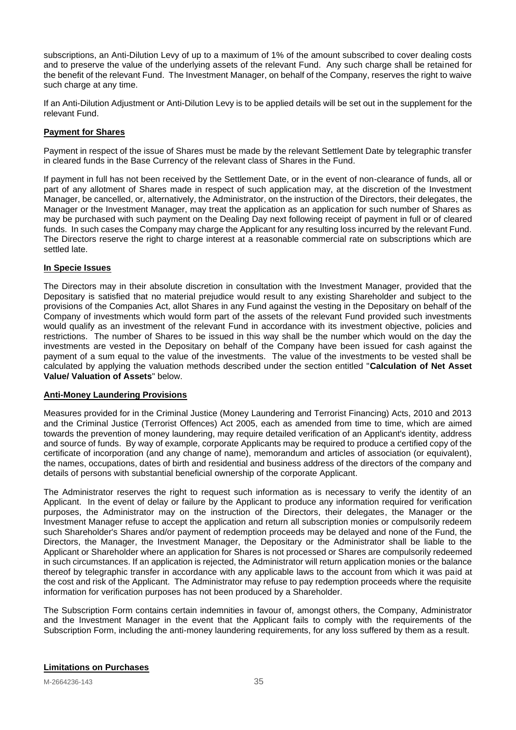subscriptions, an Anti-Dilution Levy of up to a maximum of 1% of the amount subscribed to cover dealing costs and to preserve the value of the underlying assets of the relevant Fund. Any such charge shall be retained for the benefit of the relevant Fund. The Investment Manager, on behalf of the Company, reserves the right to waive such charge at any time.

If an Anti-Dilution Adjustment or Anti-Dilution Levy is to be applied details will be set out in the supplement for the relevant Fund.

# <span id="page-34-0"></span>**Payment for Shares**

Payment in respect of the issue of Shares must be made by the relevant Settlement Date by telegraphic transfer in cleared funds in the Base Currency of the relevant class of Shares in the Fund.

If payment in full has not been received by the Settlement Date, or in the event of non-clearance of funds, all or part of any allotment of Shares made in respect of such application may, at the discretion of the Investment Manager, be cancelled, or, alternatively, the Administrator, on the instruction of the Directors, their delegates, the Manager or the Investment Manager, may treat the application as an application for such number of Shares as may be purchased with such payment on the Dealing Day next following receipt of payment in full or of cleared funds. In such cases the Company may charge the Applicant for any resulting loss incurred by the relevant Fund. The Directors reserve the right to charge interest at a reasonable commercial rate on subscriptions which are settled late.

## <span id="page-34-1"></span>**In Specie Issues**

The Directors may in their absolute discretion in consultation with the Investment Manager, provided that the Depositary is satisfied that no material prejudice would result to any existing Shareholder and subject to the provisions of the Companies Act, allot Shares in any Fund against the vesting in the Depositary on behalf of the Company of investments which would form part of the assets of the relevant Fund provided such investments would qualify as an investment of the relevant Fund in accordance with its investment objective, policies and restrictions. The number of Shares to be issued in this way shall be the number which would on the day the investments are vested in the Depositary on behalf of the Company have been issued for cash against the payment of a sum equal to the value of the investments. The value of the investments to be vested shall be calculated by applying the valuation methods described under the section entitled "**Calculation of Net Asset Value/ Valuation of Assets**" below.

#### <span id="page-34-2"></span>**Anti-Money Laundering Provisions**

Measures provided for in the Criminal Justice (Money Laundering and Terrorist Financing) Acts, 2010 and 2013 and the Criminal Justice (Terrorist Offences) Act 2005, each as amended from time to time, which are aimed towards the prevention of money laundering, may require detailed verification of an Applicant's identity, address and source of funds. By way of example, corporate Applicants may be required to produce a certified copy of the certificate of incorporation (and any change of name), memorandum and articles of association (or equivalent), the names, occupations, dates of birth and residential and business address of the directors of the company and details of persons with substantial beneficial ownership of the corporate Applicant.

The Administrator reserves the right to request such information as is necessary to verify the identity of an Applicant. In the event of delay or failure by the Applicant to produce any information required for verification purposes, the Administrator may on the instruction of the Directors, their delegates, the Manager or the Investment Manager refuse to accept the application and return all subscription monies or compulsorily redeem such Shareholder's Shares and/or payment of redemption proceeds may be delayed and none of the Fund, the Directors, the Manager, the Investment Manager, the Depositary or the Administrator shall be liable to the Applicant or Shareholder where an application for Shares is not processed or Shares are compulsorily redeemed in such circumstances. If an application is rejected, the Administrator will return application monies or the balance thereof by telegraphic transfer in accordance with any applicable laws to the account from which it was paid at the cost and risk of the Applicant. The Administrator may refuse to pay redemption proceeds where the requisite information for verification purposes has not been produced by a Shareholder.

<span id="page-34-3"></span>The Subscription Form contains certain indemnities in favour of, amongst others, the Company, Administrator and the Investment Manager in the event that the Applicant fails to comply with the requirements of the Subscription Form, including the anti-money laundering requirements, for any loss suffered by them as a result.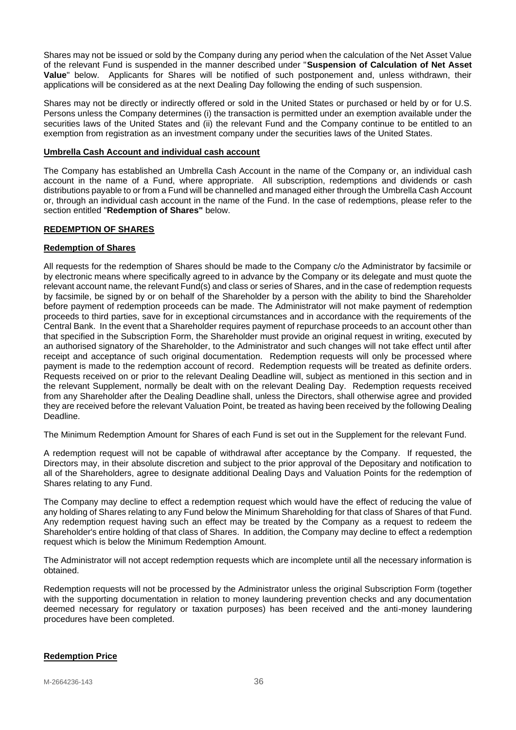Shares may not be issued or sold by the Company during any period when the calculation of the Net Asset Value of the relevant Fund is suspended in the manner described under "**Suspension of Calculation of Net Asset Value**" below. Applicants for Shares will be notified of such postponement and, unless withdrawn, their applications will be considered as at the next Dealing Day following the ending of such suspension.

Shares may not be directly or indirectly offered or sold in the United States or purchased or held by or for U.S. Persons unless the Company determines (i) the transaction is permitted under an exemption available under the securities laws of the United States and (ii) the relevant Fund and the Company continue to be entitled to an exemption from registration as an investment company under the securities laws of the United States.

#### <span id="page-35-0"></span>**Umbrella Cash Account and individual cash account**

The Company has established an Umbrella Cash Account in the name of the Company or, an individual cash account in the name of a Fund, where appropriate. All subscription, redemptions and dividends or cash distributions payable to or from a Fund will be channelled and managed either through the Umbrella Cash Account or, through an individual cash account in the name of the Fund. In the case of redemptions, please refer to the section entitled "**Redemption of Shares"** below.

## <span id="page-35-1"></span>**REDEMPTION OF SHARES**

## <span id="page-35-2"></span>**Redemption of Shares**

All requests for the redemption of Shares should be made to the Company c/o the Administrator by facsimile or by electronic means where specifically agreed to in advance by the Company or its delegate and must quote the relevant account name, the relevant Fund(s) and class or series of Shares, and in the case of redemption requests by facsimile, be signed by or on behalf of the Shareholder by a person with the ability to bind the Shareholder before payment of redemption proceeds can be made. The Administrator will not make payment of redemption proceeds to third parties, save for in exceptional circumstances and in accordance with the requirements of the Central Bank. In the event that a Shareholder requires payment of repurchase proceeds to an account other than that specified in the Subscription Form, the Shareholder must provide an original request in writing, executed by an authorised signatory of the Shareholder, to the Administrator and such changes will not take effect until after receipt and acceptance of such original documentation. Redemption requests will only be processed where payment is made to the redemption account of record. Redemption requests will be treated as definite orders. Requests received on or prior to the relevant Dealing Deadline will, subject as mentioned in this section and in the relevant Supplement, normally be dealt with on the relevant Dealing Day. Redemption requests received from any Shareholder after the Dealing Deadline shall, unless the Directors, shall otherwise agree and provided they are received before the relevant Valuation Point, be treated as having been received by the following Dealing Deadline.

The Minimum Redemption Amount for Shares of each Fund is set out in the Supplement for the relevant Fund.

A redemption request will not be capable of withdrawal after acceptance by the Company. If requested, the Directors may, in their absolute discretion and subject to the prior approval of the Depositary and notification to all of the Shareholders, agree to designate additional Dealing Days and Valuation Points for the redemption of Shares relating to any Fund.

The Company may decline to effect a redemption request which would have the effect of reducing the value of any holding of Shares relating to any Fund below the Minimum Shareholding for that class of Shares of that Fund. Any redemption request having such an effect may be treated by the Company as a request to redeem the Shareholder's entire holding of that class of Shares. In addition, the Company may decline to effect a redemption request which is below the Minimum Redemption Amount.

The Administrator will not accept redemption requests which are incomplete until all the necessary information is obtained.

Redemption requests will not be processed by the Administrator unless the original Subscription Form (together with the supporting documentation in relation to money laundering prevention checks and any documentation deemed necessary for regulatory or taxation purposes) has been received and the anti-money laundering procedures have been completed.

#### <span id="page-35-3"></span>**Redemption Price**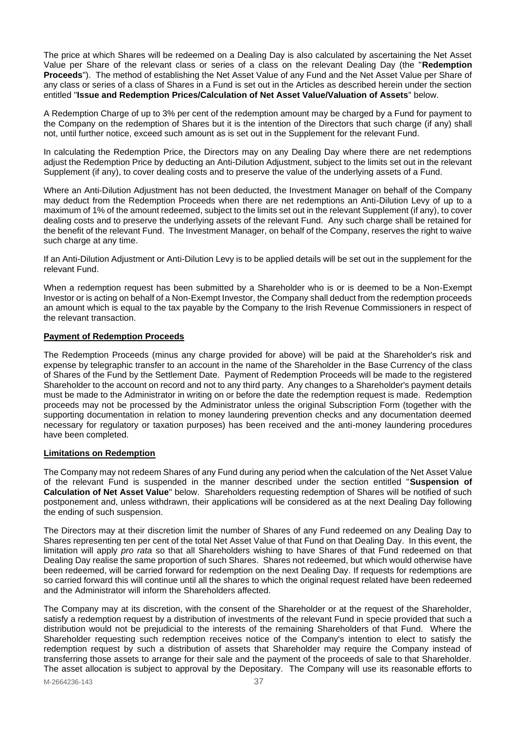The price at which Shares will be redeemed on a Dealing Day is also calculated by ascertaining the Net Asset Value per Share of the relevant class or series of a class on the relevant Dealing Day (the "**Redemption Proceeds**"). The method of establishing the Net Asset Value of any Fund and the Net Asset Value per Share of any class or series of a class of Shares in a Fund is set out in the Articles as described herein under the section entitled "**Issue and Redemption Prices/Calculation of Net Asset Value/Valuation of Assets**" below.

A Redemption Charge of up to 3% per cent of the redemption amount may be charged by a Fund for payment to the Company on the redemption of Shares but it is the intention of the Directors that such charge (if any) shall not, until further notice, exceed such amount as is set out in the Supplement for the relevant Fund.

In calculating the Redemption Price, the Directors may on any Dealing Day where there are net redemptions adjust the Redemption Price by deducting an Anti-Dilution Adjustment, subject to the limits set out in the relevant Supplement (if any), to cover dealing costs and to preserve the value of the underlying assets of a Fund.

Where an Anti-Dilution Adjustment has not been deducted, the Investment Manager on behalf of the Company may deduct from the Redemption Proceeds when there are net redemptions an Anti-Dilution Levy of up to a maximum of 1% of the amount redeemed, subject to the limits set out in the relevant Supplement (if any), to cover dealing costs and to preserve the underlying assets of the relevant Fund. Any such charge shall be retained for the benefit of the relevant Fund. The Investment Manager, on behalf of the Company, reserves the right to waive such charge at any time.

If an Anti-Dilution Adjustment or Anti-Dilution Levy is to be applied details will be set out in the supplement for the relevant Fund.

When a redemption request has been submitted by a Shareholder who is or is deemed to be a Non-Exempt Investor or is acting on behalf of a Non-Exempt Investor, the Company shall deduct from the redemption proceeds an amount which is equal to the tax payable by the Company to the Irish Revenue Commissioners in respect of the relevant transaction.

## <span id="page-36-0"></span>**Payment of Redemption Proceeds**

The Redemption Proceeds (minus any charge provided for above) will be paid at the Shareholder's risk and expense by telegraphic transfer to an account in the name of the Shareholder in the Base Currency of the class of Shares of the Fund by the Settlement Date. Payment of Redemption Proceeds will be made to the registered Shareholder to the account on record and not to any third party. Any changes to a Shareholder's payment details must be made to the Administrator in writing on or before the date the redemption request is made. Redemption proceeds may not be processed by the Administrator unless the original Subscription Form (together with the supporting documentation in relation to money laundering prevention checks and any documentation deemed necessary for regulatory or taxation purposes) has been received and the anti-money laundering procedures have been completed.

## <span id="page-36-1"></span>**Limitations on Redemption**

The Company may not redeem Shares of any Fund during any period when the calculation of the Net Asset Value of the relevant Fund is suspended in the manner described under the section entitled "**Suspension of Calculation of Net Asset Value**" below. Shareholders requesting redemption of Shares will be notified of such postponement and, unless withdrawn, their applications will be considered as at the next Dealing Day following the ending of such suspension.

The Directors may at their discretion limit the number of Shares of any Fund redeemed on any Dealing Day to Shares representing ten per cent of the total Net Asset Value of that Fund on that Dealing Day. In this event, the limitation will apply *pro rata* so that all Shareholders wishing to have Shares of that Fund redeemed on that Dealing Day realise the same proportion of such Shares. Shares not redeemed, but which would otherwise have been redeemed, will be carried forward for redemption on the next Dealing Day. If requests for redemptions are so carried forward this will continue until all the shares to which the original request related have been redeemed and the Administrator will inform the Shareholders affected.

The Company may at its discretion, with the consent of the Shareholder or at the request of the Shareholder, satisfy a redemption request by a distribution of investments of the relevant Fund in specie provided that such a distribution would not be prejudicial to the interests of the remaining Shareholders of that Fund. Where the Shareholder requesting such redemption receives notice of the Company's intention to elect to satisfy the redemption request by such a distribution of assets that Shareholder may require the Company instead of transferring those assets to arrange for their sale and the payment of the proceeds of sale to that Shareholder. The asset allocation is subject to approval by the Depositary. The Company will use its reasonable efforts to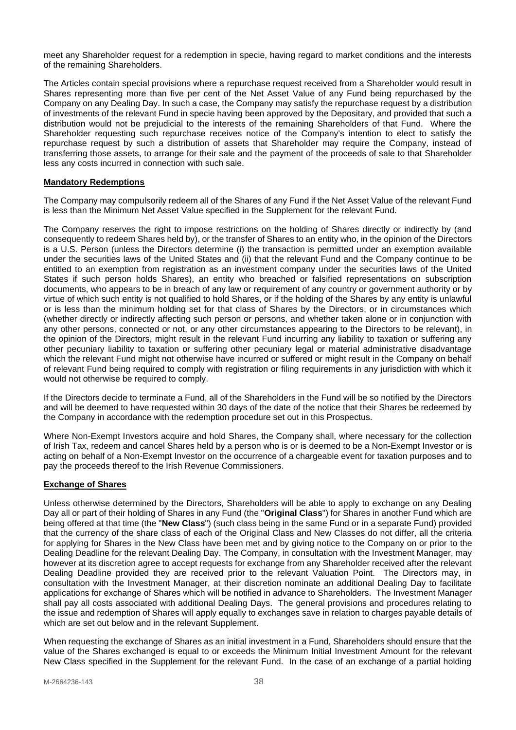meet any Shareholder request for a redemption in specie, having regard to market conditions and the interests of the remaining Shareholders.

The Articles contain special provisions where a repurchase request received from a Shareholder would result in Shares representing more than five per cent of the Net Asset Value of any Fund being repurchased by the Company on any Dealing Day. In such a case, the Company may satisfy the repurchase request by a distribution of investments of the relevant Fund in specie having been approved by the Depositary, and provided that such a distribution would not be prejudicial to the interests of the remaining Shareholders of that Fund. Where the Shareholder requesting such repurchase receives notice of the Company's intention to elect to satisfy the repurchase request by such a distribution of assets that Shareholder may require the Company, instead of transferring those assets, to arrange for their sale and the payment of the proceeds of sale to that Shareholder less any costs incurred in connection with such sale.

## <span id="page-37-0"></span>**Mandatory Redemptions**

The Company may compulsorily redeem all of the Shares of any Fund if the Net Asset Value of the relevant Fund is less than the Minimum Net Asset Value specified in the Supplement for the relevant Fund.

The Company reserves the right to impose restrictions on the holding of Shares directly or indirectly by (and consequently to redeem Shares held by), or the transfer of Shares to an entity who, in the opinion of the Directors is a U.S. Person (unless the Directors determine (i) the transaction is permitted under an exemption available under the securities laws of the United States and (ii) that the relevant Fund and the Company continue to be entitled to an exemption from registration as an investment company under the securities laws of the United States if such person holds Shares), an entity who breached or falsified representations on subscription documents, who appears to be in breach of any law or requirement of any country or government authority or by virtue of which such entity is not qualified to hold Shares, or if the holding of the Shares by any entity is unlawful or is less than the minimum holding set for that class of Shares by the Directors, or in circumstances which (whether directly or indirectly affecting such person or persons, and whether taken alone or in conjunction with any other persons, connected or not, or any other circumstances appearing to the Directors to be relevant), in the opinion of the Directors, might result in the relevant Fund incurring any liability to taxation or suffering any other pecuniary liability to taxation or suffering other pecuniary legal or material administrative disadvantage which the relevant Fund might not otherwise have incurred or suffered or might result in the Company on behalf of relevant Fund being required to comply with registration or filing requirements in any jurisdiction with which it would not otherwise be required to comply.

If the Directors decide to terminate a Fund, all of the Shareholders in the Fund will be so notified by the Directors and will be deemed to have requested within 30 days of the date of the notice that their Shares be redeemed by the Company in accordance with the redemption procedure set out in this Prospectus.

Where Non-Exempt Investors acquire and hold Shares, the Company shall, where necessary for the collection of Irish Tax, redeem and cancel Shares held by a person who is or is deemed to be a Non-Exempt Investor or is acting on behalf of a Non-Exempt Investor on the occurrence of a chargeable event for taxation purposes and to pay the proceeds thereof to the Irish Revenue Commissioners.

# <span id="page-37-1"></span>**Exchange of Shares**

Unless otherwise determined by the Directors, Shareholders will be able to apply to exchange on any Dealing Day all or part of their holding of Shares in any Fund (the "**Original Class**") for Shares in another Fund which are being offered at that time (the "**New Class**") (such class being in the same Fund or in a separate Fund) provided that the currency of the share class of each of the Original Class and New Classes do not differ, all the criteria for applying for Shares in the New Class have been met and by giving notice to the Company on or prior to the Dealing Deadline for the relevant Dealing Day. The Company, in consultation with the Investment Manager, may however at its discretion agree to accept requests for exchange from any Shareholder received after the relevant Dealing Deadline provided they are received prior to the relevant Valuation Point. The Directors may, in consultation with the Investment Manager, at their discretion nominate an additional Dealing Day to facilitate applications for exchange of Shares which will be notified in advance to Shareholders. The Investment Manager shall pay all costs associated with additional Dealing Days. The general provisions and procedures relating to the issue and redemption of Shares will apply equally to exchanges save in relation to charges payable details of which are set out below and in the relevant Supplement.

When requesting the exchange of Shares as an initial investment in a Fund, Shareholders should ensure that the value of the Shares exchanged is equal to or exceeds the Minimum Initial Investment Amount for the relevant New Class specified in the Supplement for the relevant Fund. In the case of an exchange of a partial holding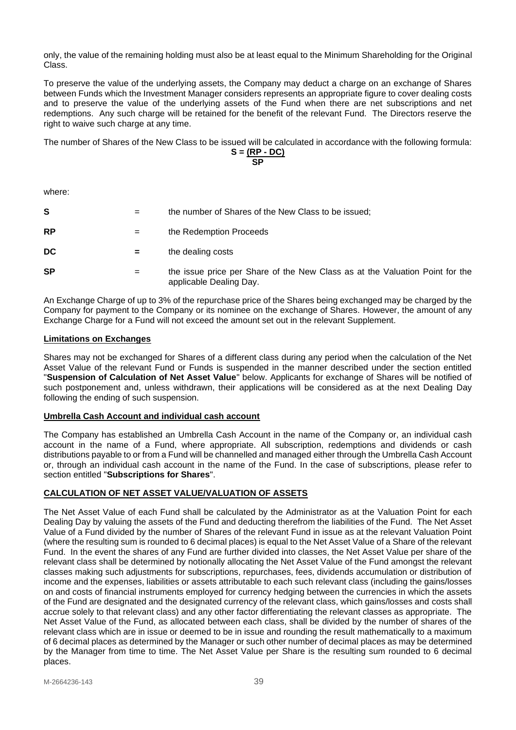only, the value of the remaining holding must also be at least equal to the Minimum Shareholding for the Original Class.

To preserve the value of the underlying assets, the Company may deduct a charge on an exchange of Shares between Funds which the Investment Manager considers represents an appropriate figure to cover dealing costs and to preserve the value of the underlying assets of the Fund when there are net subscriptions and net redemptions. Any such charge will be retained for the benefit of the relevant Fund. The Directors reserve the right to waive such charge at any time.

The number of Shares of the New Class to be issued will be calculated in accordance with the following formula:

$$
S = \frac{(RP - DC)}{SP}
$$

where:

| S         | $=$ | the number of Shares of the New Class to be issued;                                                     |
|-----------|-----|---------------------------------------------------------------------------------------------------------|
| <b>RP</b> | $=$ | the Redemption Proceeds                                                                                 |
| DC        | $=$ | the dealing costs                                                                                       |
| <b>SP</b> | $=$ | the issue price per Share of the New Class as at the Valuation Point for the<br>applicable Dealing Day. |

An Exchange Charge of up to 3% of the repurchase price of the Shares being exchanged may be charged by the Company for payment to the Company or its nominee on the exchange of Shares. However, the amount of any Exchange Charge for a Fund will not exceed the amount set out in the relevant Supplement.

# <span id="page-38-0"></span>**Limitations on Exchanges**

Shares may not be exchanged for Shares of a different class during any period when the calculation of the Net Asset Value of the relevant Fund or Funds is suspended in the manner described under the section entitled "**Suspension of Calculation of Net Asset Value**" below. Applicants for exchange of Shares will be notified of such postponement and, unless withdrawn, their applications will be considered as at the next Dealing Day following the ending of such suspension.

# <span id="page-38-1"></span>**Umbrella Cash Account and individual cash account**

The Company has established an Umbrella Cash Account in the name of the Company or, an individual cash account in the name of a Fund, where appropriate. All subscription, redemptions and dividends or cash distributions payable to or from a Fund will be channelled and managed either through the Umbrella Cash Account or, through an individual cash account in the name of the Fund. In the case of subscriptions, please refer to section entitled "**Subscriptions for Shares**".

# <span id="page-38-2"></span>**CALCULATION OF NET ASSET VALUE/VALUATION OF ASSETS**

The Net Asset Value of each Fund shall be calculated by the Administrator as at the Valuation Point for each Dealing Day by valuing the assets of the Fund and deducting therefrom the liabilities of the Fund. The Net Asset Value of a Fund divided by the number of Shares of the relevant Fund in issue as at the relevant Valuation Point (where the resulting sum is rounded to 6 decimal places) is equal to the Net Asset Value of a Share of the relevant Fund. In the event the shares of any Fund are further divided into classes, the Net Asset Value per share of the relevant class shall be determined by notionally allocating the Net Asset Value of the Fund amongst the relevant classes making such adjustments for subscriptions, repurchases, fees, dividends accumulation or distribution of income and the expenses, liabilities or assets attributable to each such relevant class (including the gains/losses on and costs of financial instruments employed for currency hedging between the currencies in which the assets of the Fund are designated and the designated currency of the relevant class, which gains/losses and costs shall accrue solely to that relevant class) and any other factor differentiating the relevant classes as appropriate. The Net Asset Value of the Fund, as allocated between each class, shall be divided by the number of shares of the relevant class which are in issue or deemed to be in issue and rounding the result mathematically to a maximum of 6 decimal places as determined by the Manager or such other number of decimal places as may be determined by the Manager from time to time. The Net Asset Value per Share is the resulting sum rounded to 6 decimal places.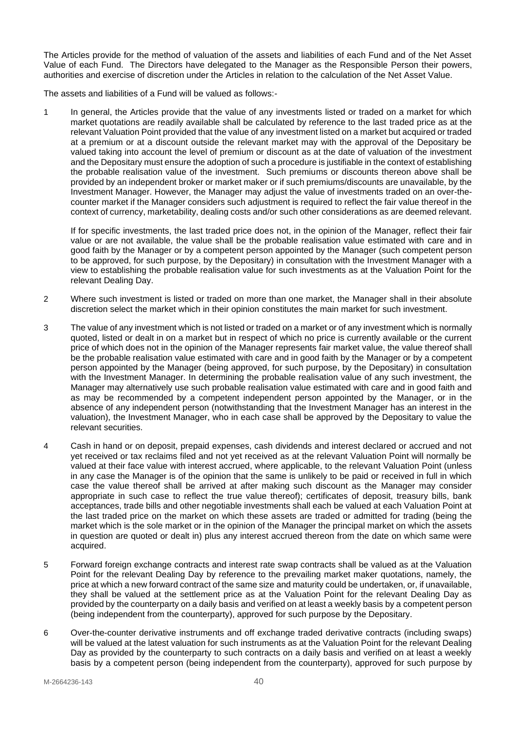The Articles provide for the method of valuation of the assets and liabilities of each Fund and of the Net Asset Value of each Fund. The Directors have delegated to the Manager as the Responsible Person their powers, authorities and exercise of discretion under the Articles in relation to the calculation of the Net Asset Value.

The assets and liabilities of a Fund will be valued as follows:-

1 In general, the Articles provide that the value of any investments listed or traded on a market for which market quotations are readily available shall be calculated by reference to the last traded price as at the relevant Valuation Point provided that the value of any investment listed on a market but acquired or traded at a premium or at a discount outside the relevant market may with the approval of the Depositary be valued taking into account the level of premium or discount as at the date of valuation of the investment and the Depositary must ensure the adoption of such a procedure is justifiable in the context of establishing the probable realisation value of the investment. Such premiums or discounts thereon above shall be provided by an independent broker or market maker or if such premiums/discounts are unavailable, by the Investment Manager. However, the Manager may adjust the value of investments traded on an over-thecounter market if the Manager considers such adjustment is required to reflect the fair value thereof in the context of currency, marketability, dealing costs and/or such other considerations as are deemed relevant.

If for specific investments, the last traded price does not, in the opinion of the Manager, reflect their fair value or are not available, the value shall be the probable realisation value estimated with care and in good faith by the Manager or by a competent person appointed by the Manager (such competent person to be approved, for such purpose, by the Depositary) in consultation with the Investment Manager with a view to establishing the probable realisation value for such investments as at the Valuation Point for the relevant Dealing Day.

- 2 Where such investment is listed or traded on more than one market, the Manager shall in their absolute discretion select the market which in their opinion constitutes the main market for such investment.
- 3 The value of any investment which is not listed or traded on a market or of any investment which is normally quoted, listed or dealt in on a market but in respect of which no price is currently available or the current price of which does not in the opinion of the Manager represents fair market value, the value thereof shall be the probable realisation value estimated with care and in good faith by the Manager or by a competent person appointed by the Manager (being approved, for such purpose, by the Depositary) in consultation with the Investment Manager. In determining the probable realisation value of any such investment, the Manager may alternatively use such probable realisation value estimated with care and in good faith and as may be recommended by a competent independent person appointed by the Manager, or in the absence of any independent person (notwithstanding that the Investment Manager has an interest in the valuation), the Investment Manager, who in each case shall be approved by the Depositary to value the relevant securities.
- 4 Cash in hand or on deposit, prepaid expenses, cash dividends and interest declared or accrued and not yet received or tax reclaims filed and not yet received as at the relevant Valuation Point will normally be valued at their face value with interest accrued, where applicable, to the relevant Valuation Point (unless in any case the Manager is of the opinion that the same is unlikely to be paid or received in full in which case the value thereof shall be arrived at after making such discount as the Manager may consider appropriate in such case to reflect the true value thereof); certificates of deposit, treasury bills, bank acceptances, trade bills and other negotiable investments shall each be valued at each Valuation Point at the last traded price on the market on which these assets are traded or admitted for trading (being the market which is the sole market or in the opinion of the Manager the principal market on which the assets in question are quoted or dealt in) plus any interest accrued thereon from the date on which same were acquired.
- 5 Forward foreign exchange contracts and interest rate swap contracts shall be valued as at the Valuation Point for the relevant Dealing Day by reference to the prevailing market maker quotations, namely, the price at which a new forward contract of the same size and maturity could be undertaken, or, if unavailable, they shall be valued at the settlement price as at the Valuation Point for the relevant Dealing Day as provided by the counterparty on a daily basis and verified on at least a weekly basis by a competent person (being independent from the counterparty), approved for such purpose by the Depositary.
- 6 Over-the-counter derivative instruments and off exchange traded derivative contracts (including swaps) will be valued at the latest valuation for such instruments as at the Valuation Point for the relevant Dealing Day as provided by the counterparty to such contracts on a daily basis and verified on at least a weekly basis by a competent person (being independent from the counterparty), approved for such purpose by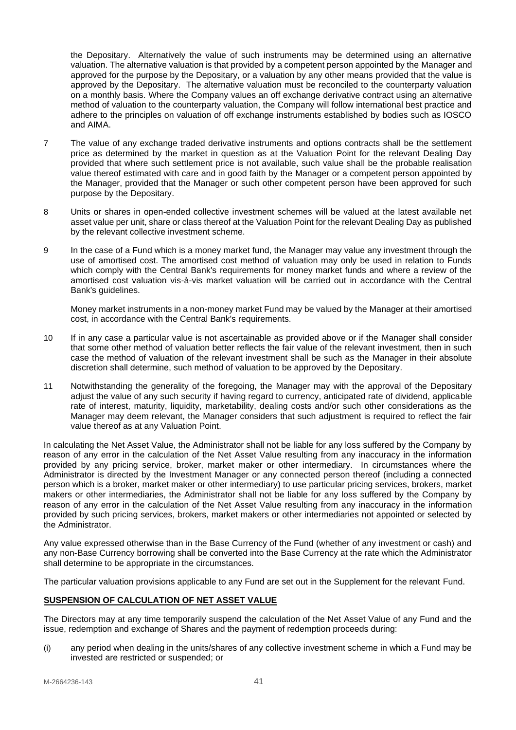the Depositary. Alternatively the value of such instruments may be determined using an alternative valuation. The alternative valuation is that provided by a competent person appointed by the Manager and approved for the purpose by the Depositary, or a valuation by any other means provided that the value is approved by the Depositary. The alternative valuation must be reconciled to the counterparty valuation on a monthly basis. Where the Company values an off exchange derivative contract using an alternative method of valuation to the counterparty valuation, the Company will follow international best practice and adhere to the principles on valuation of off exchange instruments established by bodies such as IOSCO and AIMA.

- 7 The value of any exchange traded derivative instruments and options contracts shall be the settlement price as determined by the market in question as at the Valuation Point for the relevant Dealing Day provided that where such settlement price is not available, such value shall be the probable realisation value thereof estimated with care and in good faith by the Manager or a competent person appointed by the Manager, provided that the Manager or such other competent person have been approved for such purpose by the Depositary.
- 8 Units or shares in open-ended collective investment schemes will be valued at the latest available net asset value per unit, share or class thereof at the Valuation Point for the relevant Dealing Day as published by the relevant collective investment scheme.
- 9 In the case of a Fund which is a money market fund, the Manager may value any investment through the use of amortised cost. The amortised cost method of valuation may only be used in relation to Funds which comply with the Central Bank's requirements for money market funds and where a review of the amortised cost valuation vis-à-vis market valuation will be carried out in accordance with the Central Bank's quidelines.

Money market instruments in a non-money market Fund may be valued by the Manager at their amortised cost, in accordance with the Central Bank's requirements.

- 10 If in any case a particular value is not ascertainable as provided above or if the Manager shall consider that some other method of valuation better reflects the fair value of the relevant investment, then in such case the method of valuation of the relevant investment shall be such as the Manager in their absolute discretion shall determine, such method of valuation to be approved by the Depositary.
- 11 Notwithstanding the generality of the foregoing, the Manager may with the approval of the Depositary adjust the value of any such security if having regard to currency, anticipated rate of dividend, applicable rate of interest, maturity, liquidity, marketability, dealing costs and/or such other considerations as the Manager may deem relevant, the Manager considers that such adjustment is required to reflect the fair value thereof as at any Valuation Point.

In calculating the Net Asset Value, the Administrator shall not be liable for any loss suffered by the Company by reason of any error in the calculation of the Net Asset Value resulting from any inaccuracy in the information provided by any pricing service, broker, market maker or other intermediary. In circumstances where the Administrator is directed by the Investment Manager or any connected person thereof (including a connected person which is a broker, market maker or other intermediary) to use particular pricing services, brokers, market makers or other intermediaries, the Administrator shall not be liable for any loss suffered by the Company by reason of any error in the calculation of the Net Asset Value resulting from any inaccuracy in the information provided by such pricing services, brokers, market makers or other intermediaries not appointed or selected by the Administrator.

Any value expressed otherwise than in the Base Currency of the Fund (whether of any investment or cash) and any non-Base Currency borrowing shall be converted into the Base Currency at the rate which the Administrator shall determine to be appropriate in the circumstances.

<span id="page-40-0"></span>The particular valuation provisions applicable to any Fund are set out in the Supplement for the relevant Fund.

# **SUSPENSION OF CALCULATION OF NET ASSET VALUE**

The Directors may at any time temporarily suspend the calculation of the Net Asset Value of any Fund and the issue, redemption and exchange of Shares and the payment of redemption proceeds during:

(i) any period when dealing in the units/shares of any collective investment scheme in which a Fund may be invested are restricted or suspended; or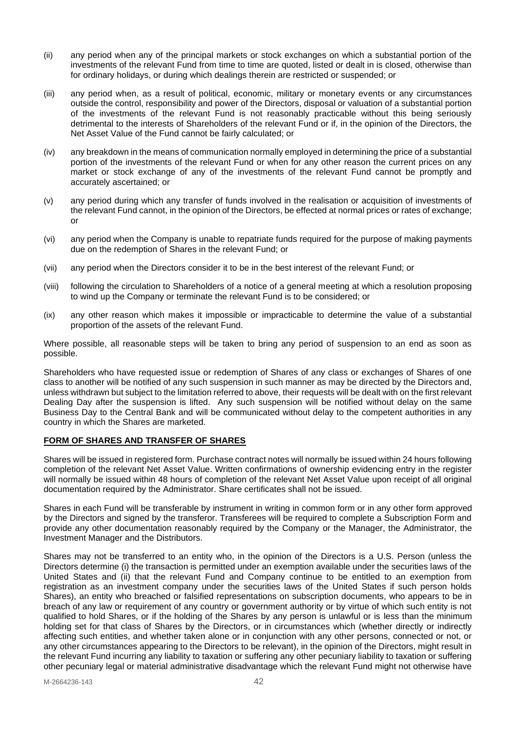- (ii) any period when any of the principal markets or stock exchanges on which a substantial portion of the investments of the relevant Fund from time to time are quoted, listed or dealt in is closed, otherwise than for ordinary holidays, or during which dealings therein are restricted or suspended; or
- (iii) any period when, as a result of political, economic, military or monetary events or any circumstances outside the control, responsibility and power of the Directors, disposal or valuation of a substantial portion of the investments of the relevant Fund is not reasonably practicable without this being seriously detrimental to the interests of Shareholders of the relevant Fund or if, in the opinion of the Directors, the Net Asset Value of the Fund cannot be fairly calculated; or
- (iv) any breakdown in the means of communication normally employed in determining the price of a substantial portion of the investments of the relevant Fund or when for any other reason the current prices on any market or stock exchange of any of the investments of the relevant Fund cannot be promptly and accurately ascertained; or
- (v) any period during which any transfer of funds involved in the realisation or acquisition of investments of the relevant Fund cannot, in the opinion of the Directors, be effected at normal prices or rates of exchange; or
- (vi) any period when the Company is unable to repatriate funds required for the purpose of making payments due on the redemption of Shares in the relevant Fund; or
- (vii) any period when the Directors consider it to be in the best interest of the relevant Fund; or
- (viii) following the circulation to Shareholders of a notice of a general meeting at which a resolution proposing to wind up the Company or terminate the relevant Fund is to be considered; or
- (ix) any other reason which makes it impossible or impracticable to determine the value of a substantial proportion of the assets of the relevant Fund.

Where possible, all reasonable steps will be taken to bring any period of suspension to an end as soon as possible.

Shareholders who have requested issue or redemption of Shares of any class or exchanges of Shares of one class to another will be notified of any such suspension in such manner as may be directed by the Directors and, unless withdrawn but subject to the limitation referred to above, their requests will be dealt with on the first relevant Dealing Day after the suspension is lifted. Any such suspension will be notified without delay on the same Business Day to the Central Bank and will be communicated without delay to the competent authorities in any country in which the Shares are marketed.

# <span id="page-41-0"></span>**FORM OF SHARES AND TRANSFER OF SHARES**

Shares will be issued in registered form. Purchase contract notes will normally be issued within 24 hours following completion of the relevant Net Asset Value. Written confirmations of ownership evidencing entry in the register will normally be issued within 48 hours of completion of the relevant Net Asset Value upon receipt of all original documentation required by the Administrator. Share certificates shall not be issued.

Shares in each Fund will be transferable by instrument in writing in common form or in any other form approved by the Directors and signed by the transferor. Transferees will be required to complete a Subscription Form and provide any other documentation reasonably required by the Company or the Manager, the Administrator, the Investment Manager and the Distributors.

Shares may not be transferred to an entity who, in the opinion of the Directors is a U.S. Person (unless the Directors determine (i) the transaction is permitted under an exemption available under the securities laws of the United States and (ii) that the relevant Fund and Company continue to be entitled to an exemption from registration as an investment company under the securities laws of the United States if such person holds Shares), an entity who breached or falsified representations on subscription documents, who appears to be in breach of any law or requirement of any country or government authority or by virtue of which such entity is not qualified to hold Shares, or if the holding of the Shares by any person is unlawful or is less than the minimum holding set for that class of Shares by the Directors, or in circumstances which (whether directly or indirectly affecting such entities, and whether taken alone or in conjunction with any other persons, connected or not, or any other circumstances appearing to the Directors to be relevant), in the opinion of the Directors, might result in the relevant Fund incurring any liability to taxation or suffering any other pecuniary liability to taxation or suffering other pecuniary legal or material administrative disadvantage which the relevant Fund might not otherwise have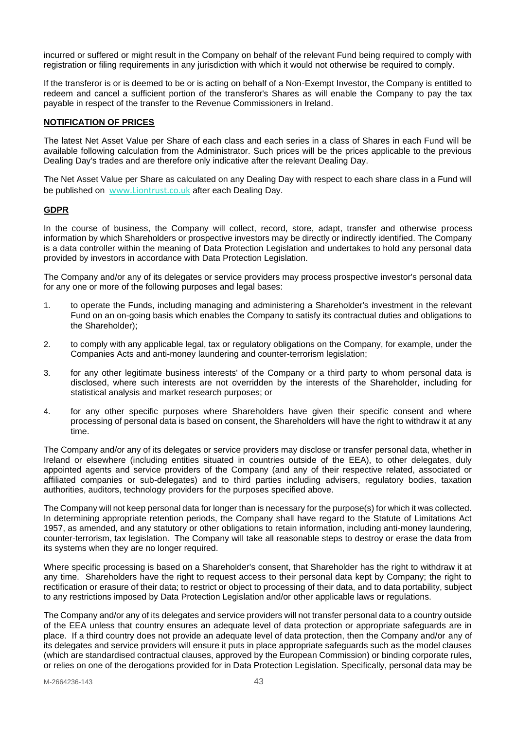incurred or suffered or might result in the Company on behalf of the relevant Fund being required to comply with registration or filing requirements in any jurisdiction with which it would not otherwise be required to comply.

If the transferor is or is deemed to be or is acting on behalf of a Non-Exempt Investor, the Company is entitled to redeem and cancel a sufficient portion of the transferor's Shares as will enable the Company to pay the tax payable in respect of the transfer to the Revenue Commissioners in Ireland.

## <span id="page-42-0"></span>**NOTIFICATION OF PRICES**

The latest Net Asset Value per Share of each class and each series in a class of Shares in each Fund will be available following calculation from the Administrator. Such prices will be the prices applicable to the previous Dealing Day's trades and are therefore only indicative after the relevant Dealing Day.

The Net Asset Value per Share as calculated on any Dealing Day with respect to each share class in a Fund will be published on [www.Liontrust.co.uk](http://www.liontrust.co.uk/) after each Dealing Day.

## <span id="page-42-1"></span>**GDPR**

In the course of business, the Company will collect, record, store, adapt, transfer and otherwise process information by which Shareholders or prospective investors may be directly or indirectly identified. The Company is a data controller within the meaning of Data Protection Legislation and undertakes to hold any personal data provided by investors in accordance with Data Protection Legislation.

The Company and/or any of its delegates or service providers may process prospective investor's personal data for any one or more of the following purposes and legal bases:

- 1. to operate the Funds, including managing and administering a Shareholder's investment in the relevant Fund on an on-going basis which enables the Company to satisfy its contractual duties and obligations to the Shareholder);
- 2. to comply with any applicable legal, tax or regulatory obligations on the Company, for example, under the Companies Acts and anti-money laundering and counter-terrorism legislation;
- 3. for any other legitimate business interests' of the Company or a third party to whom personal data is disclosed, where such interests are not overridden by the interests of the Shareholder, including for statistical analysis and market research purposes; or
- 4. for any other specific purposes where Shareholders have given their specific consent and where processing of personal data is based on consent, the Shareholders will have the right to withdraw it at any time.

The Company and/or any of its delegates or service providers may disclose or transfer personal data, whether in Ireland or elsewhere (including entities situated in countries outside of the EEA), to other delegates, duly appointed agents and service providers of the Company (and any of their respective related, associated or affiliated companies or sub-delegates) and to third parties including advisers, regulatory bodies, taxation authorities, auditors, technology providers for the purposes specified above.

The Company will not keep personal data for longer than is necessary for the purpose(s) for which it was collected. In determining appropriate retention periods, the Company shall have regard to the Statute of Limitations Act 1957, as amended, and any statutory or other obligations to retain information, including anti-money laundering, counter-terrorism, tax legislation. The Company will take all reasonable steps to destroy or erase the data from its systems when they are no longer required.

Where specific processing is based on a Shareholder's consent, that Shareholder has the right to withdraw it at any time. Shareholders have the right to request access to their personal data kept by Company; the right to rectification or erasure of their data; to restrict or object to processing of their data, and to data portability, subject to any restrictions imposed by Data Protection Legislation and/or other applicable laws or regulations.

The Company and/or any of its delegates and service providers will not transfer personal data to a country outside of the EEA unless that country ensures an adequate level of data protection or appropriate safeguards are in place. If a third country does not provide an adequate level of data protection, then the Company and/or any of its delegates and service providers will ensure it puts in place appropriate safeguards such as the model clauses (which are standardised contractual clauses, approved by the European Commission) or binding corporate rules, or relies on one of the derogations provided for in Data Protection Legislation. Specifically, personal data may be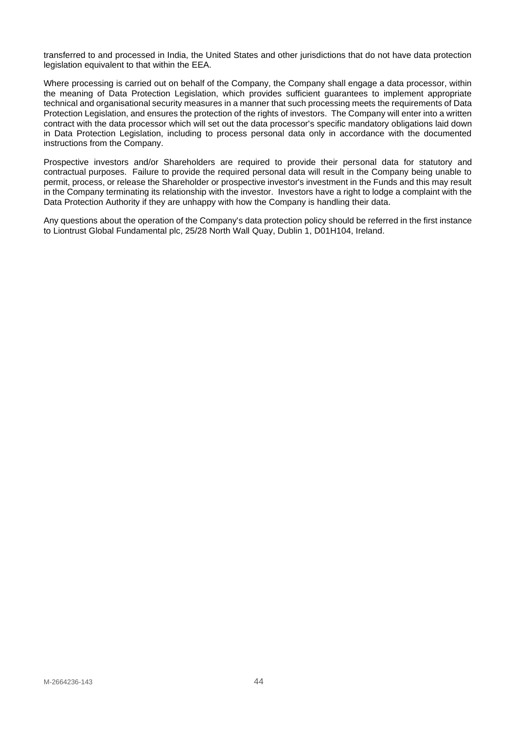transferred to and processed in India, the United States and other jurisdictions that do not have data protection legislation equivalent to that within the EEA.

Where processing is carried out on behalf of the Company, the Company shall engage a data processor, within the meaning of Data Protection Legislation, which provides sufficient guarantees to implement appropriate technical and organisational security measures in a manner that such processing meets the requirements of Data Protection Legislation, and ensures the protection of the rights of investors. The Company will enter into a written contract with the data processor which will set out the data processor's specific mandatory obligations laid down in Data Protection Legislation, including to process personal data only in accordance with the documented instructions from the Company.

Prospective investors and/or Shareholders are required to provide their personal data for statutory and contractual purposes. Failure to provide the required personal data will result in the Company being unable to permit, process, or release the Shareholder or prospective investor's investment in the Funds and this may result in the Company terminating its relationship with the investor. Investors have a right to lodge a complaint with the Data Protection Authority if they are unhappy with how the Company is handling their data.

Any questions about the operation of the Company's data protection policy should be referred in the first instance to Liontrust Global Fundamental plc, 25/28 North Wall Quay, Dublin 1, D01H104, Ireland.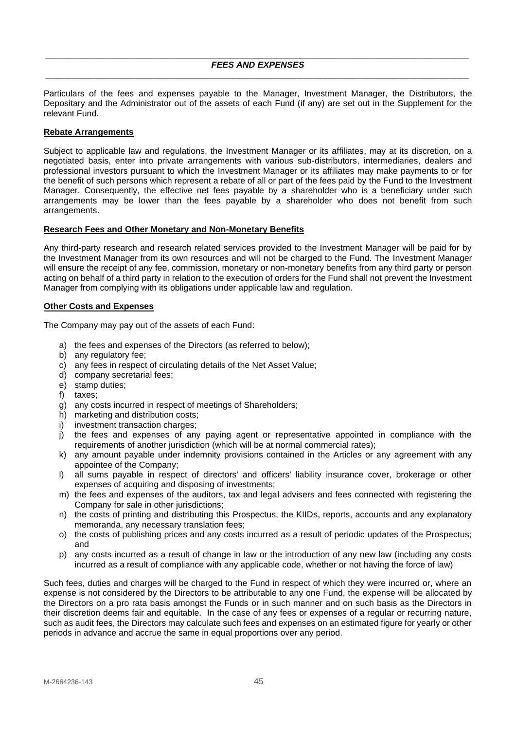#### <span id="page-44-0"></span>*\_\_\_\_\_\_\_\_\_\_\_\_\_\_\_\_\_\_\_\_\_\_\_\_\_\_\_\_\_\_\_\_\_\_\_\_\_\_\_\_\_\_\_\_\_\_\_\_\_\_\_\_\_\_\_\_\_\_\_\_\_\_\_\_\_\_\_\_\_\_\_\_\_\_\_\_\_\_\_\_\_\_\_\_\_\_\_\_ FEES AND EXPENSES \_\_\_\_\_\_\_\_\_\_\_\_\_\_\_\_\_\_\_\_\_\_\_\_\_\_\_\_\_\_\_\_\_\_\_\_\_\_\_\_\_\_\_\_\_\_\_\_\_\_\_\_\_\_\_\_\_\_\_\_\_\_\_\_\_\_\_\_\_\_\_\_\_\_\_\_\_\_\_\_\_\_\_\_\_\_\_\_*

Particulars of the fees and expenses payable to the Manager, Investment Manager, the Distributors, the Depositary and the Administrator out of the assets of each Fund (if any) are set out in the Supplement for the relevant Fund.

#### **Rebate Arrangements**

Subject to applicable law and regulations, the Investment Manager or its affiliates, may at its discretion, on a negotiated basis, enter into private arrangements with various sub-distributors, intermediaries, dealers and professional investors pursuant to which the Investment Manager or its affiliates may make payments to or for the benefit of such persons which represent a rebate of all or part of the fees paid by the Fund to the Investment Manager. Consequently, the effective net fees payable by a shareholder who is a beneficiary under such arrangements may be lower than the fees payable by a shareholder who does not benefit from such arrangements.

#### **Research Fees and Other Monetary and Non-Monetary Benefits**

Any third-party research and research related services provided to the Investment Manager will be paid for by the Investment Manager from its own resources and will not be charged to the Fund. The Investment Manager will ensure the receipt of any fee, commission, monetary or non-monetary benefits from any third party or person acting on behalf of a third party in relation to the execution of orders for the Fund shall not prevent the Investment Manager from complying with its obligations under applicable law and regulation.

## **Other Costs and Expenses**

The Company may pay out of the assets of each Fund:

- a) the fees and expenses of the Directors (as referred to below);
- b) any regulatory fee;
- c) any fees in respect of circulating details of the Net Asset Value;
- d) company secretarial fees;
- e) stamp duties;
- f) taxes;
- g) any costs incurred in respect of meetings of Shareholders;
- h) marketing and distribution costs;
- i) investment transaction charges;
- j) the fees and expenses of any paying agent or representative appointed in compliance with the requirements of another jurisdiction (which will be at normal commercial rates);
- k) any amount payable under indemnity provisions contained in the Articles or any agreement with any appointee of the Company;
- l) all sums payable in respect of directors' and officers' liability insurance cover, brokerage or other expenses of acquiring and disposing of investments;
- m) the fees and expenses of the auditors, tax and legal advisers and fees connected with registering the Company for sale in other jurisdictions;
- n) the costs of printing and distributing this Prospectus, the KIIDs, reports, accounts and any explanatory memoranda, any necessary translation fees;
- o) the costs of publishing prices and any costs incurred as a result of periodic updates of the Prospectus; and
- p) any costs incurred as a result of change in law or the introduction of any new law (including any costs incurred as a result of compliance with any applicable code, whether or not having the force of law)

Such fees, duties and charges will be charged to the Fund in respect of which they were incurred or, where an expense is not considered by the Directors to be attributable to any one Fund, the expense will be allocated by the Directors on a pro rata basis amongst the Funds or in such manner and on such basis as the Directors in their discretion deems fair and equitable. In the case of any fees or expenses of a regular or recurring nature, such as audit fees, the Directors may calculate such fees and expenses on an estimated figure for yearly or other periods in advance and accrue the same in equal proportions over any period.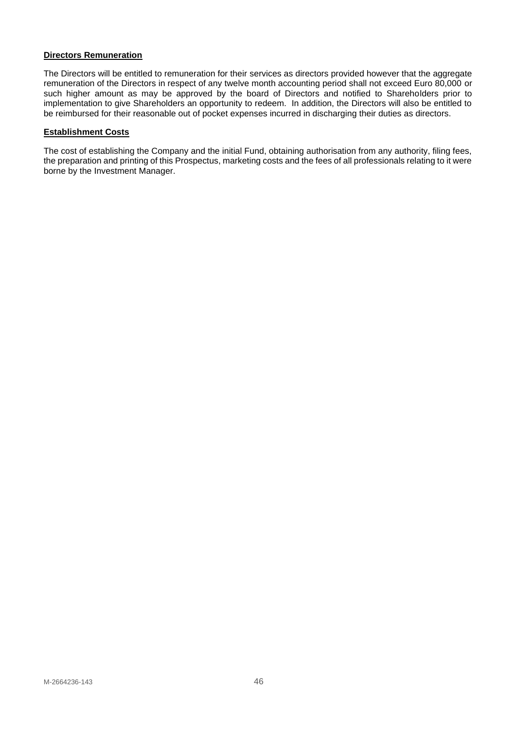## **Directors Remuneration**

The Directors will be entitled to remuneration for their services as directors provided however that the aggregate remuneration of the Directors in respect of any twelve month accounting period shall not exceed Euro 80,000 or such higher amount as may be approved by the board of Directors and notified to Shareholders prior to implementation to give Shareholders an opportunity to redeem. In addition, the Directors will also be entitled to be reimbursed for their reasonable out of pocket expenses incurred in discharging their duties as directors.

#### **Establishment Costs**

The cost of establishing the Company and the initial Fund, obtaining authorisation from any authority, filing fees, the preparation and printing of this Prospectus, marketing costs and the fees of all professionals relating to it were borne by the Investment Manager.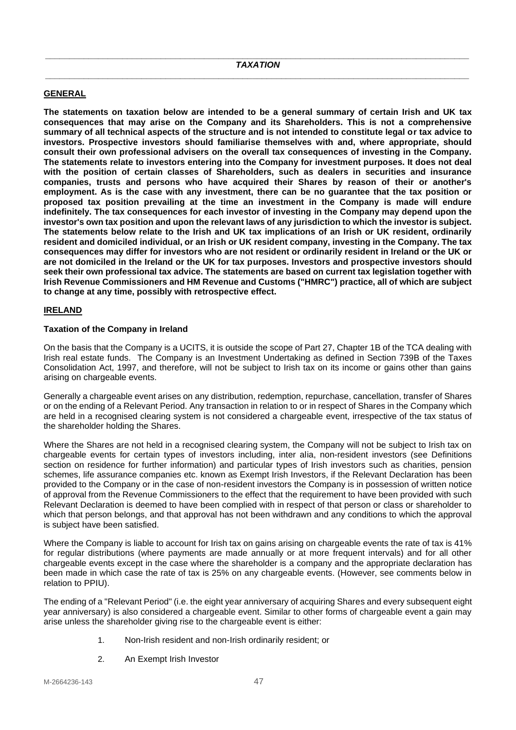# <span id="page-46-1"></span><span id="page-46-0"></span>**GENERAL**

**The statements on taxation below are intended to be a general summary of certain Irish and UK tax consequences that may arise on the Company and its Shareholders. This is not a comprehensive summary of all technical aspects of the structure and is not intended to constitute legal or tax advice to investors. Prospective investors should familiarise themselves with and, where appropriate, should consult their own professional advisers on the overall tax consequences of investing in the Company. The statements relate to investors entering into the Company for investment purposes. It does not deal with the position of certain classes of Shareholders, such as dealers in securities and insurance companies, trusts and persons who have acquired their Shares by reason of their or another's employment. As is the case with any investment, there can be no guarantee that the tax position or proposed tax position prevailing at the time an investment in the Company is made will endure indefinitely. The tax consequences for each investor of investing in the Company may depend upon the investor's own tax position and upon the relevant laws of any jurisdiction to which the investor is subject. The statements below relate to the Irish and UK tax implications of an Irish or UK resident, ordinarily resident and domiciled individual, or an Irish or UK resident company, investing in the Company. The tax consequences may differ for investors who are not resident or ordinarily resident in Ireland or the UK or are not domiciled in the Ireland or the UK for tax purposes. Investors and prospective investors should seek their own professional tax advice. The statements are based on current tax legislation together with Irish Revenue Commissioners and HM Revenue and Customs ("HMRC") practice, all of which are subject to change at any time, possibly with retrospective effect.** 

# <span id="page-46-2"></span>**IRELAND**

# **Taxation of the Company in Ireland**

On the basis that the Company is a UCITS, it is outside the scope of Part 27, Chapter 1B of the TCA dealing with Irish real estate funds. The Company is an Investment Undertaking as defined in Section 739B of the Taxes Consolidation Act, 1997, and therefore, will not be subject to Irish tax on its income or gains other than gains arising on chargeable events.

Generally a chargeable event arises on any distribution, redemption, repurchase, cancellation, transfer of Shares or on the ending of a Relevant Period. Any transaction in relation to or in respect of Shares in the Company which are held in a recognised clearing system is not considered a chargeable event, irrespective of the tax status of the shareholder holding the Shares.

Where the Shares are not held in a recognised clearing system, the Company will not be subject to Irish tax on chargeable events for certain types of investors including, inter alia, non-resident investors (see Definitions section on residence for further information) and particular types of Irish investors such as charities, pension schemes, life assurance companies etc. known as Exempt Irish Investors, if the Relevant Declaration has been provided to the Company or in the case of non-resident investors the Company is in possession of written notice of approval from the Revenue Commissioners to the effect that the requirement to have been provided with such Relevant Declaration is deemed to have been complied with in respect of that person or class or shareholder to which that person belongs, and that approval has not been withdrawn and any conditions to which the approval is subject have been satisfied.

Where the Company is liable to account for Irish tax on gains arising on chargeable events the rate of tax is 41% for regular distributions (where payments are made annually or at more frequent intervals) and for all other chargeable events except in the case where the shareholder is a company and the appropriate declaration has been made in which case the rate of tax is 25% on any chargeable events. (However, see comments below in relation to PPIU).

The ending of a "Relevant Period" (i.e. the eight year anniversary of acquiring Shares and every subsequent eight year anniversary) is also considered a chargeable event. Similar to other forms of chargeable event a gain may arise unless the shareholder giving rise to the chargeable event is either:

- 1. Non-Irish resident and non-Irish ordinarily resident; or
- 2. An Exempt Irish Investor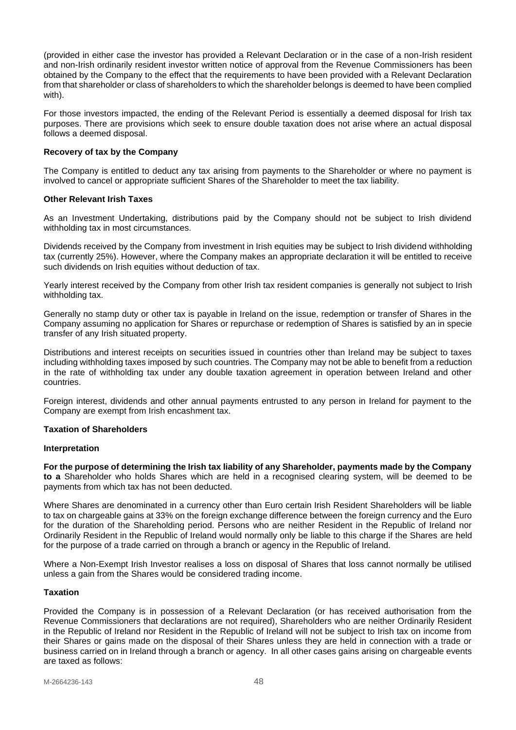(provided in either case the investor has provided a Relevant Declaration or in the case of a non-Irish resident and non-Irish ordinarily resident investor written notice of approval from the Revenue Commissioners has been obtained by the Company to the effect that the requirements to have been provided with a Relevant Declaration from that shareholder or class of shareholders to which the shareholder belongs is deemed to have been complied with).

For those investors impacted, the ending of the Relevant Period is essentially a deemed disposal for Irish tax purposes. There are provisions which seek to ensure double taxation does not arise where an actual disposal follows a deemed disposal.

## **Recovery of tax by the Company**

The Company is entitled to deduct any tax arising from payments to the Shareholder or where no payment is involved to cancel or appropriate sufficient Shares of the Shareholder to meet the tax liability.

#### **Other Relevant Irish Taxes**

As an Investment Undertaking, distributions paid by the Company should not be subject to Irish dividend withholding tax in most circumstances.

Dividends received by the Company from investment in Irish equities may be subject to Irish dividend withholding tax (currently 25%). However, where the Company makes an appropriate declaration it will be entitled to receive such dividends on Irish equities without deduction of tax.

Yearly interest received by the Company from other Irish tax resident companies is generally not subject to Irish withholding tax.

Generally no stamp duty or other tax is payable in Ireland on the issue, redemption or transfer of Shares in the Company assuming no application for Shares or repurchase or redemption of Shares is satisfied by an in specie transfer of any Irish situated property.

Distributions and interest receipts on securities issued in countries other than Ireland may be subject to taxes including withholding taxes imposed by such countries. The Company may not be able to benefit from a reduction in the rate of withholding tax under any double taxation agreement in operation between Ireland and other countries.

Foreign interest, dividends and other annual payments entrusted to any person in Ireland for payment to the Company are exempt from Irish encashment tax.

#### **Taxation of Shareholders**

#### **Interpretation**

**For the purpose of determining the Irish tax liability of any Shareholder, payments made by the Company to a** Shareholder who holds Shares which are held in a recognised clearing system, will be deemed to be payments from which tax has not been deducted.

Where Shares are denominated in a currency other than Euro certain Irish Resident Shareholders will be liable to tax on chargeable gains at 33% on the foreign exchange difference between the foreign currency and the Euro for the duration of the Shareholding period. Persons who are neither Resident in the Republic of Ireland nor Ordinarily Resident in the Republic of Ireland would normally only be liable to this charge if the Shares are held for the purpose of a trade carried on through a branch or agency in the Republic of Ireland.

Where a Non-Exempt Irish Investor realises a loss on disposal of Shares that loss cannot normally be utilised unless a gain from the Shares would be considered trading income.

## **Taxation**

Provided the Company is in possession of a Relevant Declaration (or has received authorisation from the Revenue Commissioners that declarations are not required), Shareholders who are neither Ordinarily Resident in the Republic of Ireland nor Resident in the Republic of Ireland will not be subject to Irish tax on income from their Shares or gains made on the disposal of their Shares unless they are held in connection with a trade or business carried on in Ireland through a branch or agency. In all other cases gains arising on chargeable events are taxed as follows: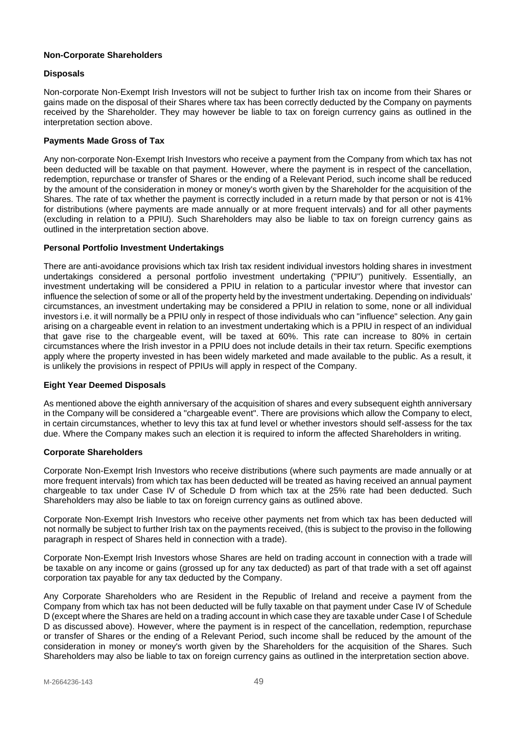## **Non-Corporate Shareholders**

## **Disposals**

Non-corporate Non-Exempt Irish Investors will not be subject to further Irish tax on income from their Shares or gains made on the disposal of their Shares where tax has been correctly deducted by the Company on payments received by the Shareholder. They may however be liable to tax on foreign currency gains as outlined in the interpretation section above.

## **Payments Made Gross of Tax**

Any non-corporate Non-Exempt Irish Investors who receive a payment from the Company from which tax has not been deducted will be taxable on that payment. However, where the payment is in respect of the cancellation, redemption, repurchase or transfer of Shares or the ending of a Relevant Period, such income shall be reduced by the amount of the consideration in money or money's worth given by the Shareholder for the acquisition of the Shares. The rate of tax whether the payment is correctly included in a return made by that person or not is 41% for distributions (where payments are made annually or at more frequent intervals) and for all other payments (excluding in relation to a PPIU). Such Shareholders may also be liable to tax on foreign currency gains as outlined in the interpretation section above.

## **Personal Portfolio Investment Undertakings**

There are anti-avoidance provisions which tax Irish tax resident individual investors holding shares in investment undertakings considered a personal portfolio investment undertaking ("PPIU") punitively. Essentially, an investment undertaking will be considered a PPIU in relation to a particular investor where that investor can influence the selection of some or all of the property held by the investment undertaking. Depending on individuals' circumstances, an investment undertaking may be considered a PPIU in relation to some, none or all individual investors i.e. it will normally be a PPIU only in respect of those individuals who can "influence" selection. Any gain arising on a chargeable event in relation to an investment undertaking which is a PPIU in respect of an individual that gave rise to the chargeable event, will be taxed at 60%. This rate can increase to 80% in certain circumstances where the Irish investor in a PPIU does not include details in their tax return. Specific exemptions apply where the property invested in has been widely marketed and made available to the public. As a result, it is unlikely the provisions in respect of PPIUs will apply in respect of the Company.

# **Eight Year Deemed Disposals**

As mentioned above the eighth anniversary of the acquisition of shares and every subsequent eighth anniversary in the Company will be considered a "chargeable event". There are provisions which allow the Company to elect, in certain circumstances, whether to levy this tax at fund level or whether investors should self-assess for the tax due. Where the Company makes such an election it is required to inform the affected Shareholders in writing.

#### **Corporate Shareholders**

Corporate Non-Exempt Irish Investors who receive distributions (where such payments are made annually or at more frequent intervals) from which tax has been deducted will be treated as having received an annual payment chargeable to tax under Case IV of Schedule D from which tax at the 25% rate had been deducted. Such Shareholders may also be liable to tax on foreign currency gains as outlined above.

Corporate Non-Exempt Irish Investors who receive other payments net from which tax has been deducted will not normally be subject to further Irish tax on the payments received, (this is subject to the proviso in the following paragraph in respect of Shares held in connection with a trade).

Corporate Non-Exempt Irish Investors whose Shares are held on trading account in connection with a trade will be taxable on any income or gains (grossed up for any tax deducted) as part of that trade with a set off against corporation tax payable for any tax deducted by the Company.

Any Corporate Shareholders who are Resident in the Republic of Ireland and receive a payment from the Company from which tax has not been deducted will be fully taxable on that payment under Case IV of Schedule D (except where the Shares are held on a trading account in which case they are taxable under Case I of Schedule D as discussed above). However, where the payment is in respect of the cancellation, redemption, repurchase or transfer of Shares or the ending of a Relevant Period, such income shall be reduced by the amount of the consideration in money or money's worth given by the Shareholders for the acquisition of the Shares. Such Shareholders may also be liable to tax on foreign currency gains as outlined in the interpretation section above.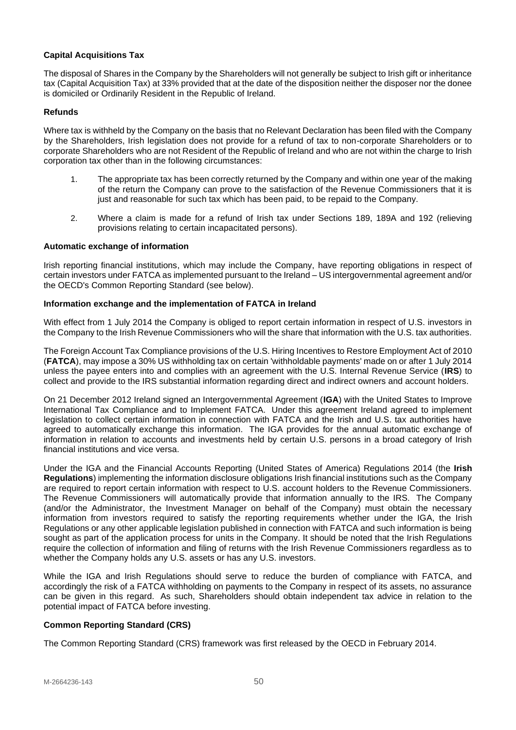# **Capital Acquisitions Tax**

The disposal of Shares in the Company by the Shareholders will not generally be subject to Irish gift or inheritance tax (Capital Acquisition Tax) at 33% provided that at the date of the disposition neither the disposer nor the donee is domiciled or Ordinarily Resident in the Republic of Ireland.

## **Refunds**

Where tax is withheld by the Company on the basis that no Relevant Declaration has been filed with the Company by the Shareholders, Irish legislation does not provide for a refund of tax to non-corporate Shareholders or to corporate Shareholders who are not Resident of the Republic of Ireland and who are not within the charge to Irish corporation tax other than in the following circumstances:

- 1. The appropriate tax has been correctly returned by the Company and within one year of the making of the return the Company can prove to the satisfaction of the Revenue Commissioners that it is just and reasonable for such tax which has been paid, to be repaid to the Company.
- 2. Where a claim is made for a refund of Irish tax under Sections 189, 189A and 192 (relieving provisions relating to certain incapacitated persons).

#### **Automatic exchange of information**

Irish reporting financial institutions, which may include the Company, have reporting obligations in respect of certain investors under FATCA as implemented pursuant to the Ireland – US intergovernmental agreement and/or the OECD's Common Reporting Standard (see below).

#### **Information exchange and the implementation of FATCA in Ireland**

With effect from 1 July 2014 the Company is obliged to report certain information in respect of U.S. investors in the Company to the Irish Revenue Commissioners who will the share that information with the U.S. tax authorities.

The Foreign Account Tax Compliance provisions of the U.S. Hiring Incentives to Restore Employment Act of 2010 (**FATCA**), may impose a 30% US withholding tax on certain 'withholdable payments' made on or after 1 July 2014 unless the payee enters into and complies with an agreement with the U.S. Internal Revenue Service (**IRS**) to collect and provide to the IRS substantial information regarding direct and indirect owners and account holders.

On 21 December 2012 Ireland signed an Intergovernmental Agreement (**IGA**) with the United States to Improve International Tax Compliance and to Implement FATCA. Under this agreement Ireland agreed to implement legislation to collect certain information in connection with FATCA and the Irish and U.S. tax authorities have agreed to automatically exchange this information. The IGA provides for the annual automatic exchange of information in relation to accounts and investments held by certain U.S. persons in a broad category of Irish financial institutions and vice versa.

Under the IGA and the Financial Accounts Reporting (United States of America) Regulations 2014 (the **Irish Regulations**) implementing the information disclosure obligations Irish financial institutions such as the Company are required to report certain information with respect to U.S. account holders to the Revenue Commissioners. The Revenue Commissioners will automatically provide that information annually to the IRS. The Company (and/or the Administrator, the Investment Manager on behalf of the Company) must obtain the necessary information from investors required to satisfy the reporting requirements whether under the IGA, the Irish Regulations or any other applicable legislation published in connection with FATCA and such information is being sought as part of the application process for units in the Company. It should be noted that the Irish Regulations require the collection of information and filing of returns with the Irish Revenue Commissioners regardless as to whether the Company holds any U.S. assets or has any U.S. investors.

While the IGA and Irish Regulations should serve to reduce the burden of compliance with FATCA, and accordingly the risk of a FATCA withholding on payments to the Company in respect of its assets, no assurance can be given in this regard. As such, Shareholders should obtain independent tax advice in relation to the potential impact of FATCA before investing.

# **Common Reporting Standard (CRS)**

The Common Reporting Standard (CRS) framework was first released by the OECD in February 2014.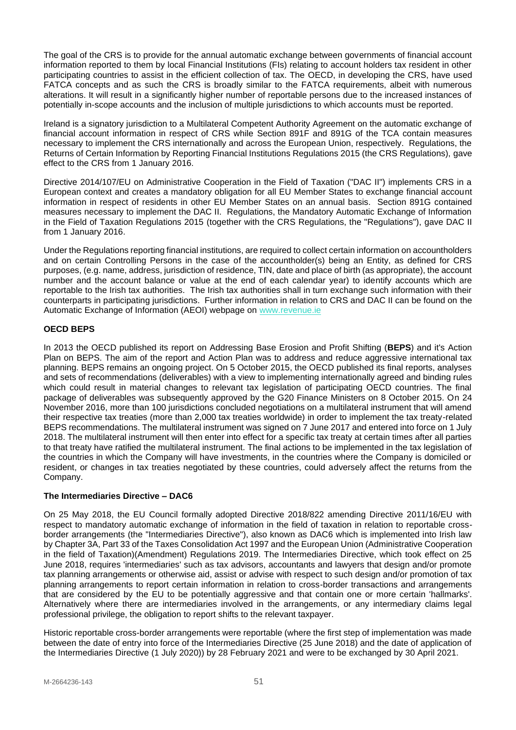The goal of the CRS is to provide for the annual automatic exchange between governments of financial account information reported to them by local Financial Institutions (FIs) relating to account holders tax resident in other participating countries to assist in the efficient collection of tax. The OECD, in developing the CRS, have used FATCA concepts and as such the CRS is broadly similar to the FATCA requirements, albeit with numerous alterations. It will result in a significantly higher number of reportable persons due to the increased instances of potentially in-scope accounts and the inclusion of multiple jurisdictions to which accounts must be reported.

Ireland is a signatory jurisdiction to a Multilateral Competent Authority Agreement on the automatic exchange of financial account information in respect of CRS while Section 891F and 891G of the TCA contain measures necessary to implement the CRS internationally and across the European Union, respectively. Regulations, the Returns of Certain Information by Reporting Financial Institutions Regulations 2015 (the CRS Regulations), gave effect to the CRS from 1 January 2016.

Directive 2014/107/EU on Administrative Cooperation in the Field of Taxation ("DAC II") implements CRS in a European context and creates a mandatory obligation for all EU Member States to exchange financial account information in respect of residents in other EU Member States on an annual basis. Section 891G contained measures necessary to implement the DAC II. Regulations, the Mandatory Automatic Exchange of Information in the Field of Taxation Regulations 2015 (together with the CRS Regulations, the "Regulations"), gave DAC II from 1 January 2016.

Under the Regulations reporting financial institutions, are required to collect certain information on accountholders and on certain Controlling Persons in the case of the accountholder(s) being an Entity, as defined for CRS purposes, (e.g. name, address, jurisdiction of residence, TIN, date and place of birth (as appropriate), the account number and the account balance or value at the end of each calendar year) to identify accounts which are reportable to the Irish tax authorities. The Irish tax authorities shall in turn exchange such information with their counterparts in participating jurisdictions. Further information in relation to CRS and DAC II can be found on the Automatic Exchange of Information (AEOI) webpage on [www.revenue.ie](http://www.revenue.ie/)

# **OECD BEPS**

In 2013 the OECD published its report on Addressing Base Erosion and Profit Shifting (**BEPS**) and it's Action Plan on BEPS. The aim of the report and Action Plan was to address and reduce aggressive international tax planning. BEPS remains an ongoing project. On 5 October 2015, the OECD published its final reports, analyses and sets of recommendations (deliverables) with a view to implementing internationally agreed and binding rules which could result in material changes to relevant tax legislation of participating OECD countries. The final package of deliverables was subsequently approved by the G20 Finance Ministers on 8 October 2015. On 24 November 2016, more than 100 jurisdictions concluded negotiations on a multilateral instrument that will amend their respective tax treaties (more than 2,000 tax treaties worldwide) in order to implement the tax treaty-related BEPS recommendations. The multilateral instrument was signed on 7 June 2017 and entered into force on 1 July 2018. The multilateral instrument will then enter into effect for a specific tax treaty at certain times after all parties to that treaty have ratified the multilateral instrument. The final actions to be implemented in the tax legislation of the countries in which the Company will have investments, in the countries where the Company is domiciled or resident, or changes in tax treaties negotiated by these countries, could adversely affect the returns from the Company.

# **The Intermediaries Directive – DAC6**

On 25 May 2018, the EU Council formally adopted Directive 2018/822 amending Directive 2011/16/EU with respect to mandatory automatic exchange of information in the field of taxation in relation to reportable crossborder arrangements (the "Intermediaries Directive"), also known as DAC6 which is implemented into Irish law by Chapter 3A, Part 33 of the Taxes Consolidation Act 1997 and the European Union (Administrative Cooperation in the field of Taxation)(Amendment) Regulations 2019. The Intermediaries Directive, which took effect on 25 June 2018, requires 'intermediaries' such as tax advisors, accountants and lawyers that design and/or promote tax planning arrangements or otherwise aid, assist or advise with respect to such design and/or promotion of tax planning arrangements to report certain information in relation to cross-border transactions and arrangements that are considered by the EU to be potentially aggressive and that contain one or more certain 'hallmarks'. Alternatively where there are intermediaries involved in the arrangements, or any intermediary claims legal professional privilege, the obligation to report shifts to the relevant taxpayer.

Historic reportable cross-border arrangements were reportable (where the first step of implementation was made between the date of entry into force of the Intermediaries Directive (25 June 2018) and the date of application of the Intermediaries Directive (1 July 2020)) by 28 February 2021 and were to be exchanged by 30 April 2021.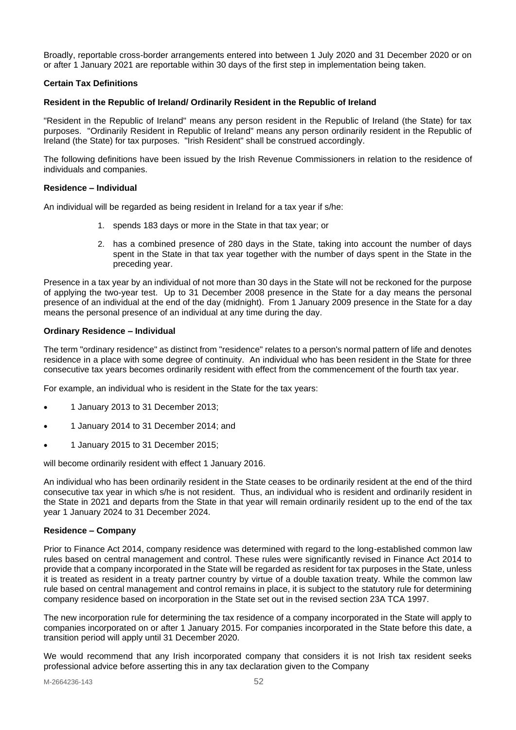Broadly, reportable cross-border arrangements entered into between 1 July 2020 and 31 December 2020 or on or after 1 January 2021 are reportable within 30 days of the first step in implementation being taken.

## **Certain Tax Definitions**

#### **Resident in the Republic of Ireland/ Ordinarily Resident in the Republic of Ireland**

"Resident in the Republic of Ireland" means any person resident in the Republic of Ireland (the State) for tax purposes. "Ordinarily Resident in Republic of Ireland" means any person ordinarily resident in the Republic of Ireland (the State) for tax purposes. "Irish Resident" shall be construed accordingly.

The following definitions have been issued by the Irish Revenue Commissioners in relation to the residence of individuals and companies.

#### **Residence – Individual**

An individual will be regarded as being resident in Ireland for a tax year if s/he:

- 1. spends 183 days or more in the State in that tax year; or
- 2. has a combined presence of 280 days in the State, taking into account the number of days spent in the State in that tax year together with the number of days spent in the State in the preceding year.

Presence in a tax year by an individual of not more than 30 days in the State will not be reckoned for the purpose of applying the two-year test. Up to 31 December 2008 presence in the State for a day means the personal presence of an individual at the end of the day (midnight). From 1 January 2009 presence in the State for a day means the personal presence of an individual at any time during the day.

#### **Ordinary Residence – Individual**

The term "ordinary residence" as distinct from "residence" relates to a person's normal pattern of life and denotes residence in a place with some degree of continuity. An individual who has been resident in the State for three consecutive tax years becomes ordinarily resident with effect from the commencement of the fourth tax year.

For example, an individual who is resident in the State for the tax years:

- 1 January 2013 to 31 December 2013;
- 1 January 2014 to 31 December 2014; and
- 1 January 2015 to 31 December 2015;

will become ordinarily resident with effect 1 January 2016.

An individual who has been ordinarily resident in the State ceases to be ordinarily resident at the end of the third consecutive tax year in which s/he is not resident. Thus, an individual who is resident and ordinarily resident in the State in 2021 and departs from the State in that year will remain ordinarily resident up to the end of the tax year 1 January 2024 to 31 December 2024.

#### **Residence – Company**

Prior to Finance Act 2014, company residence was determined with regard to the long-established common law rules based on central management and control. These rules were significantly revised in Finance Act 2014 to provide that a company incorporated in the State will be regarded as resident for tax purposes in the State, unless it is treated as resident in a treaty partner country by virtue of a double taxation treaty. While the common law rule based on central management and control remains in place, it is subject to the statutory rule for determining company residence based on incorporation in the State set out in the revised section 23A TCA 1997.

The new incorporation rule for determining the tax residence of a company incorporated in the State will apply to companies incorporated on or after 1 January 2015. For companies incorporated in the State before this date, a transition period will apply until 31 December 2020.

We would recommend that any Irish incorporated company that considers it is not Irish tax resident seeks professional advice before asserting this in any tax declaration given to the Company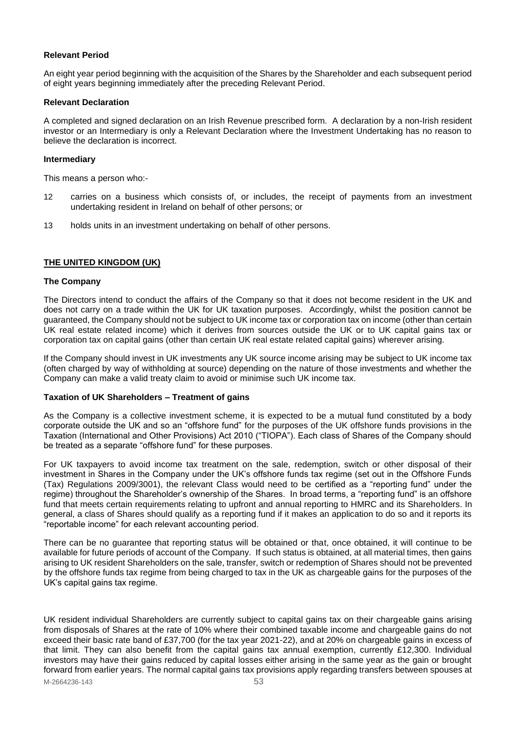## **Relevant Period**

An eight year period beginning with the acquisition of the Shares by the Shareholder and each subsequent period of eight years beginning immediately after the preceding Relevant Period.

#### **Relevant Declaration**

A completed and signed declaration on an Irish Revenue prescribed form. A declaration by a non-Irish resident investor or an Intermediary is only a Relevant Declaration where the Investment Undertaking has no reason to believe the declaration is incorrect.

## **Intermediary**

This means a person who:-

- 12 carries on a business which consists of, or includes, the receipt of payments from an investment undertaking resident in Ireland on behalf of other persons; or
- 13 holds units in an investment undertaking on behalf of other persons.

# <span id="page-52-0"></span>**THE UNITED KINGDOM (UK)**

#### **The Company**

The Directors intend to conduct the affairs of the Company so that it does not become resident in the UK and does not carry on a trade within the UK for UK taxation purposes. Accordingly, whilst the position cannot be guaranteed, the Company should not be subject to UK income tax or corporation tax on income (other than certain UK real estate related income) which it derives from sources outside the UK or to UK capital gains tax or corporation tax on capital gains (other than certain UK real estate related capital gains) wherever arising.

If the Company should invest in UK investments any UK source income arising may be subject to UK income tax (often charged by way of withholding at source) depending on the nature of those investments and whether the Company can make a valid treaty claim to avoid or minimise such UK income tax.

#### **Taxation of UK Shareholders – Treatment of gains**

As the Company is a collective investment scheme, it is expected to be a mutual fund constituted by a body corporate outside the UK and so an "offshore fund" for the purposes of the UK offshore funds provisions in the Taxation (International and Other Provisions) Act 2010 ("TIOPA"). Each class of Shares of the Company should be treated as a separate "offshore fund" for these purposes.

For UK taxpayers to avoid income tax treatment on the sale, redemption, switch or other disposal of their investment in Shares in the Company under the UK's offshore funds tax regime (set out in the Offshore Funds (Tax) Regulations 2009/3001), the relevant Class would need to be certified as a "reporting fund" under the regime) throughout the Shareholder's ownership of the Shares. In broad terms, a "reporting fund" is an offshore fund that meets certain requirements relating to upfront and annual reporting to HMRC and its Shareholders. In general, a class of Shares should qualify as a reporting fund if it makes an application to do so and it reports its "reportable income" for each relevant accounting period.

There can be no guarantee that reporting status will be obtained or that, once obtained, it will continue to be available for future periods of account of the Company. If such status is obtained, at all material times, then gains arising to UK resident Shareholders on the sale, transfer, switch or redemption of Shares should not be prevented by the offshore funds tax regime from being charged to tax in the UK as chargeable gains for the purposes of the UK's capital gains tax regime.

M-2664236-143 53 UK resident individual Shareholders are currently subject to capital gains tax on their chargeable gains arising from disposals of Shares at the rate of 10% where their combined taxable income and chargeable gains do not exceed their basic rate band of £37,700 (for the tax year 2021-22), and at 20% on chargeable gains in excess of that limit. They can also benefit from the capital gains tax annual exemption, currently £12,300. Individual investors may have their gains reduced by capital losses either arising in the same year as the gain or brought forward from earlier years. The normal capital gains tax provisions apply regarding transfers between spouses at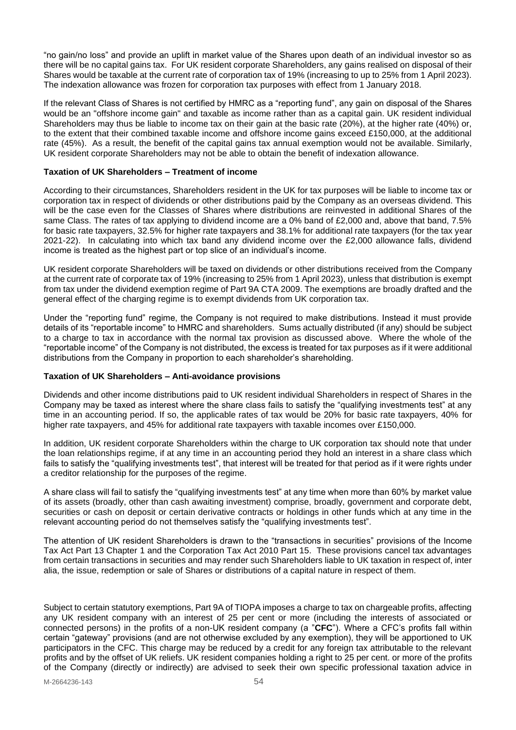"no gain/no loss" and provide an uplift in market value of the Shares upon death of an individual investor so as there will be no capital gains tax. For UK resident corporate Shareholders, any gains realised on disposal of their Shares would be taxable at the current rate of corporation tax of 19% (increasing to up to 25% from 1 April 2023). The indexation allowance was frozen for corporation tax purposes with effect from 1 January 2018.

If the relevant Class of Shares is not certified by HMRC as a "reporting fund", any gain on disposal of the Shares would be an "offshore income gain" and taxable as income rather than as a capital gain. UK resident individual Shareholders may thus be liable to income tax on their gain at the basic rate (20%), at the higher rate (40%) or, to the extent that their combined taxable income and offshore income gains exceed £150,000, at the additional rate (45%). As a result, the benefit of the capital gains tax annual exemption would not be available. Similarly, UK resident corporate Shareholders may not be able to obtain the benefit of indexation allowance.

## **Taxation of UK Shareholders – Treatment of income**

According to their circumstances, Shareholders resident in the UK for tax purposes will be liable to income tax or corporation tax in respect of dividends or other distributions paid by the Company as an overseas dividend. This will be the case even for the Classes of Shares where distributions are reinvested in additional Shares of the same Class. The rates of tax applying to dividend income are a 0% band of £2,000 and, above that band, 7.5% for basic rate taxpayers, 32.5% for higher rate taxpayers and 38.1% for additional rate taxpayers (for the tax year 2021-22). In calculating into which tax band any dividend income over the £2,000 allowance falls, dividend income is treated as the highest part or top slice of an individual's income.

UK resident corporate Shareholders will be taxed on dividends or other distributions received from the Company at the current rate of corporate tax of 19% (increasing to 25% from 1 April 2023), unless that distribution is exempt from tax under the dividend exemption regime of Part 9A CTA 2009. The exemptions are broadly drafted and the general effect of the charging regime is to exempt dividends from UK corporation tax.

Under the "reporting fund" regime, the Company is not required to make distributions. Instead it must provide details of its "reportable income" to HMRC and shareholders. Sums actually distributed (if any) should be subject to a charge to tax in accordance with the normal tax provision as discussed above. Where the whole of the "reportable income" of the Company is not distributed, the excess is treated for tax purposes as if it were additional distributions from the Company in proportion to each shareholder's shareholding.

# **Taxation of UK Shareholders – Anti-avoidance provisions**

Dividends and other income distributions paid to UK resident individual Shareholders in respect of Shares in the Company may be taxed as interest where the share class fails to satisfy the "qualifying investments test" at any time in an accounting period. If so, the applicable rates of tax would be 20% for basic rate taxpayers, 40% for higher rate taxpayers, and 45% for additional rate taxpayers with taxable incomes over £150,000.

In addition, UK resident corporate Shareholders within the charge to UK corporation tax should note that under the loan relationships regime, if at any time in an accounting period they hold an interest in a share class which fails to satisfy the "qualifying investments test", that interest will be treated for that period as if it were rights under a creditor relationship for the purposes of the regime.

A share class will fail to satisfy the "qualifying investments test" at any time when more than 60% by market value of its assets (broadly, other than cash awaiting investment) comprise, broadly, government and corporate debt, securities or cash on deposit or certain derivative contracts or holdings in other funds which at any time in the relevant accounting period do not themselves satisfy the "qualifying investments test".

The attention of UK resident Shareholders is drawn to the "transactions in securities" provisions of the Income Tax Act Part 13 Chapter 1 and the Corporation Tax Act 2010 Part 15. These provisions cancel tax advantages from certain transactions in securities and may render such Shareholders liable to UK taxation in respect of, inter alia, the issue, redemption or sale of Shares or distributions of a capital nature in respect of them.

Subject to certain statutory exemptions, Part 9A of TIOPA imposes a charge to tax on chargeable profits, affecting any UK resident company with an interest of 25 per cent or more (including the interests of associated or connected persons) in the profits of a non-UK resident company (a "**CFC**"). Where a CFC's profits fall within certain "gateway" provisions (and are not otherwise excluded by any exemption), they will be apportioned to UK participators in the CFC. This charge may be reduced by a credit for any foreign tax attributable to the relevant profits and by the offset of UK reliefs. UK resident companies holding a right to 25 per cent. or more of the profits of the Company (directly or indirectly) are advised to seek their own specific professional taxation advice in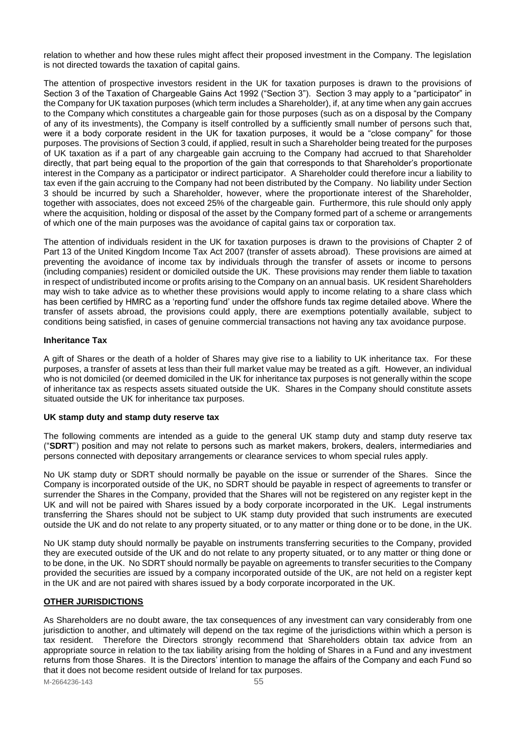relation to whether and how these rules might affect their proposed investment in the Company. The legislation is not directed towards the taxation of capital gains.

The attention of prospective investors resident in the UK for taxation purposes is drawn to the provisions of Section 3 of the Taxation of Chargeable Gains Act 1992 ("Section 3"). Section 3 may apply to a "participator" in the Company for UK taxation purposes (which term includes a Shareholder), if, at any time when any gain accrues to the Company which constitutes a chargeable gain for those purposes (such as on a disposal by the Company of any of its investments), the Company is itself controlled by a sufficiently small number of persons such that, were it a body corporate resident in the UK for taxation purposes, it would be a "close company" for those purposes. The provisions of Section 3 could, if applied, result in such a Shareholder being treated for the purposes of UK taxation as if a part of any chargeable gain accruing to the Company had accrued to that Shareholder directly, that part being equal to the proportion of the gain that corresponds to that Shareholder's proportionate interest in the Company as a participator or indirect participator. A Shareholder could therefore incur a liability to tax even if the gain accruing to the Company had not been distributed by the Company. No liability under Section 3 should be incurred by such a Shareholder, however, where the proportionate interest of the Shareholder, together with associates, does not exceed 25% of the chargeable gain. Furthermore, this rule should only apply where the acquisition, holding or disposal of the asset by the Company formed part of a scheme or arrangements of which one of the main purposes was the avoidance of capital gains tax or corporation tax.

The attention of individuals resident in the UK for taxation purposes is drawn to the provisions of Chapter 2 of Part 13 of the United Kingdom Income Tax Act 2007 (transfer of assets abroad). These provisions are aimed at preventing the avoidance of income tax by individuals through the transfer of assets or income to persons (including companies) resident or domiciled outside the UK. These provisions may render them liable to taxation in respect of undistributed income or profits arising to the Company on an annual basis. UK resident Shareholders may wish to take advice as to whether these provisions would apply to income relating to a share class which has been certified by HMRC as a 'reporting fund' under the offshore funds tax regime detailed above. Where the transfer of assets abroad, the provisions could apply, there are exemptions potentially available, subject to conditions being satisfied, in cases of genuine commercial transactions not having any tax avoidance purpose.

## **Inheritance Tax**

A gift of Shares or the death of a holder of Shares may give rise to a liability to UK inheritance tax. For these purposes, a transfer of assets at less than their full market value may be treated as a gift. However, an individual who is not domiciled (or deemed domiciled in the UK for inheritance tax purposes is not generally within the scope of inheritance tax as respects assets situated outside the UK. Shares in the Company should constitute assets situated outside the UK for inheritance tax purposes.

# **UK stamp duty and stamp duty reserve tax**

The following comments are intended as a guide to the general UK stamp duty and stamp duty reserve tax ("**SDRT**") position and may not relate to persons such as market makers, brokers, dealers, intermediaries and persons connected with depositary arrangements or clearance services to whom special rules apply.

No UK stamp duty or SDRT should normally be payable on the issue or surrender of the Shares. Since the Company is incorporated outside of the UK, no SDRT should be payable in respect of agreements to transfer or surrender the Shares in the Company, provided that the Shares will not be registered on any register kept in the UK and will not be paired with Shares issued by a body corporate incorporated in the UK. Legal instruments transferring the Shares should not be subject to UK stamp duty provided that such instruments are executed outside the UK and do not relate to any property situated, or to any matter or thing done or to be done, in the UK.

No UK stamp duty should normally be payable on instruments transferring securities to the Company, provided they are executed outside of the UK and do not relate to any property situated, or to any matter or thing done or to be done, in the UK. No SDRT should normally be payable on agreements to transfer securities to the Company provided the securities are issued by a company incorporated outside of the UK, are not held on a register kept in the UK and are not paired with shares issued by a body corporate incorporated in the UK.

# <span id="page-54-0"></span>**OTHER JURISDICTIONS**

M-2664236-143 55 As Shareholders are no doubt aware, the tax consequences of any investment can vary considerably from one jurisdiction to another, and ultimately will depend on the tax regime of the jurisdictions within which a person is tax resident. Therefore the Directors strongly recommend that Shareholders obtain tax advice from an appropriate source in relation to the tax liability arising from the holding of Shares in a Fund and any investment returns from those Shares. It is the Directors' intention to manage the affairs of the Company and each Fund so that it does not become resident outside of Ireland for tax purposes.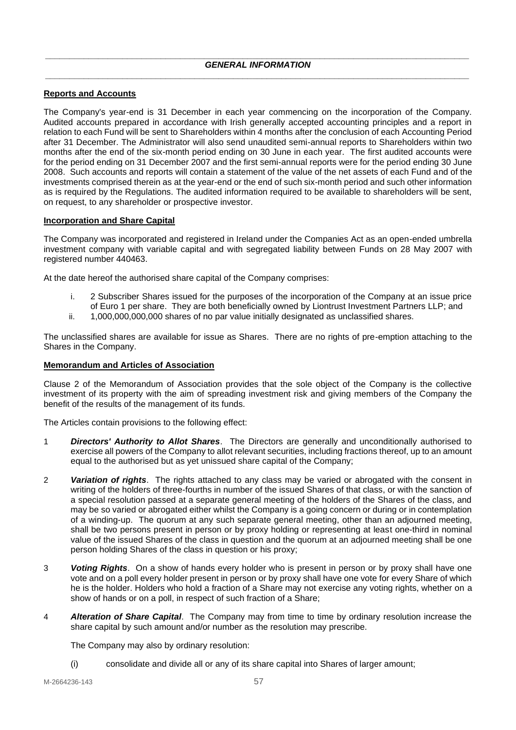# <span id="page-56-1"></span><span id="page-56-0"></span>**Reports and Accounts**

The Company's year-end is 31 December in each year commencing on the incorporation of the Company. Audited accounts prepared in accordance with Irish generally accepted accounting principles and a report in relation to each Fund will be sent to Shareholders within 4 months after the conclusion of each Accounting Period after 31 December. The Administrator will also send unaudited semi-annual reports to Shareholders within two months after the end of the six-month period ending on 30 June in each year. The first audited accounts were for the period ending on 31 December 2007 and the first semi-annual reports were for the period ending 30 June 2008. Such accounts and reports will contain a statement of the value of the net assets of each Fund and of the investments comprised therein as at the year-end or the end of such six-month period and such other information as is required by the Regulations. The audited information required to be available to shareholders will be sent, on request, to any shareholder or prospective investor.

## <span id="page-56-2"></span>**Incorporation and Share Capital**

The Company was incorporated and registered in Ireland under the Companies Act as an open-ended umbrella investment company with variable capital and with segregated liability between Funds on 28 May 2007 with registered number 440463.

At the date hereof the authorised share capital of the Company comprises:

- i. 2 Subscriber Shares issued for the purposes of the incorporation of the Company at an issue price of Euro 1 per share. They are both beneficially owned by Liontrust Investment Partners LLP; and
- ii. 1,000,000,000,000 shares of no par value initially designated as unclassified shares.

The unclassified shares are available for issue as Shares. There are no rights of pre-emption attaching to the Shares in the Company.

## <span id="page-56-3"></span>**Memorandum and Articles of Association**

Clause 2 of the Memorandum of Association provides that the sole object of the Company is the collective investment of its property with the aim of spreading investment risk and giving members of the Company the benefit of the results of the management of its funds.

The Articles contain provisions to the following effect:

- 1 *Directors' Authority to Allot Shares*. The Directors are generally and unconditionally authorised to exercise all powers of the Company to allot relevant securities, including fractions thereof, up to an amount equal to the authorised but as yet unissued share capital of the Company;
- 2 *Variation of rights*. The rights attached to any class may be varied or abrogated with the consent in writing of the holders of three-fourths in number of the issued Shares of that class, or with the sanction of a special resolution passed at a separate general meeting of the holders of the Shares of the class, and may be so varied or abrogated either whilst the Company is a going concern or during or in contemplation of a winding-up. The quorum at any such separate general meeting, other than an adjourned meeting, shall be two persons present in person or by proxy holding or representing at least one-third in nominal value of the issued Shares of the class in question and the quorum at an adjourned meeting shall be one person holding Shares of the class in question or his proxy;
- 3 *Voting Rights*. On a show of hands every holder who is present in person or by proxy shall have one vote and on a poll every holder present in person or by proxy shall have one vote for every Share of which he is the holder. Holders who hold a fraction of a Share may not exercise any voting rights, whether on a show of hands or on a poll, in respect of such fraction of a Share;
- 4 *Alteration of Share Capital*. The Company may from time to time by ordinary resolution increase the share capital by such amount and/or number as the resolution may prescribe.

The Company may also by ordinary resolution:

(i) consolidate and divide all or any of its share capital into Shares of larger amount;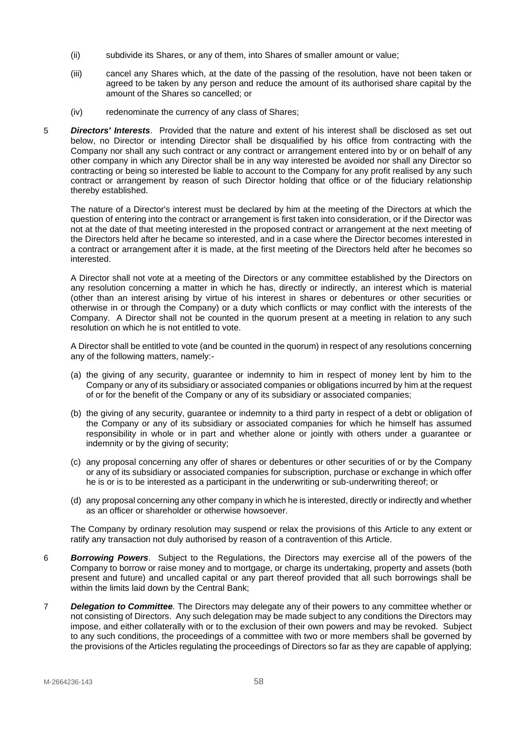- (ii) subdivide its Shares, or any of them, into Shares of smaller amount or value;
- (iii) cancel any Shares which, at the date of the passing of the resolution, have not been taken or agreed to be taken by any person and reduce the amount of its authorised share capital by the amount of the Shares so cancelled; or
- (iv) redenominate the currency of any class of Shares;
- 5 *Directors' Interests*. Provided that the nature and extent of his interest shall be disclosed as set out below, no Director or intending Director shall be disqualified by his office from contracting with the Company nor shall any such contract or any contract or arrangement entered into by or on behalf of any other company in which any Director shall be in any way interested be avoided nor shall any Director so contracting or being so interested be liable to account to the Company for any profit realised by any such contract or arrangement by reason of such Director holding that office or of the fiduciary relationship thereby established.

The nature of a Director's interest must be declared by him at the meeting of the Directors at which the question of entering into the contract or arrangement is first taken into consideration, or if the Director was not at the date of that meeting interested in the proposed contract or arrangement at the next meeting of the Directors held after he became so interested, and in a case where the Director becomes interested in a contract or arrangement after it is made, at the first meeting of the Directors held after he becomes so interested.

A Director shall not vote at a meeting of the Directors or any committee established by the Directors on any resolution concerning a matter in which he has, directly or indirectly, an interest which is material (other than an interest arising by virtue of his interest in shares or debentures or other securities or otherwise in or through the Company) or a duty which conflicts or may conflict with the interests of the Company. A Director shall not be counted in the quorum present at a meeting in relation to any such resolution on which he is not entitled to vote.

A Director shall be entitled to vote (and be counted in the quorum) in respect of any resolutions concerning any of the following matters, namely:-

- (a) the giving of any security, guarantee or indemnity to him in respect of money lent by him to the Company or any of its subsidiary or associated companies or obligations incurred by him at the request of or for the benefit of the Company or any of its subsidiary or associated companies;
- (b) the giving of any security, guarantee or indemnity to a third party in respect of a debt or obligation of the Company or any of its subsidiary or associated companies for which he himself has assumed responsibility in whole or in part and whether alone or jointly with others under a guarantee or indemnity or by the giving of security;
- (c) any proposal concerning any offer of shares or debentures or other securities of or by the Company or any of its subsidiary or associated companies for subscription, purchase or exchange in which offer he is or is to be interested as a participant in the underwriting or sub-underwriting thereof; or
- (d) any proposal concerning any other company in which he is interested, directly or indirectly and whether as an officer or shareholder or otherwise howsoever.

The Company by ordinary resolution may suspend or relax the provisions of this Article to any extent or ratify any transaction not duly authorised by reason of a contravention of this Article.

- 6 *Borrowing Powers*. Subject to the Regulations, the Directors may exercise all of the powers of the Company to borrow or raise money and to mortgage, or charge its undertaking, property and assets (both present and future) and uncalled capital or any part thereof provided that all such borrowings shall be within the limits laid down by the Central Bank;
- 7 *Delegation to Committee.* The Directors may delegate any of their powers to any committee whether or not consisting of Directors. Any such delegation may be made subject to any conditions the Directors may impose, and either collaterally with or to the exclusion of their own powers and may be revoked. Subject to any such conditions, the proceedings of a committee with two or more members shall be governed by the provisions of the Articles regulating the proceedings of Directors so far as they are capable of applying;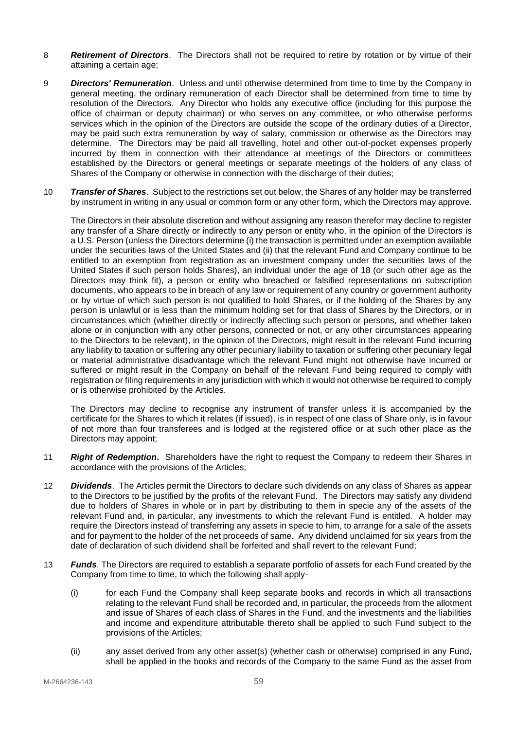- 8 *Retirement of Directors*. The Directors shall not be required to retire by rotation or by virtue of their attaining a certain age;
- 9 *Directors' Remuneration*. Unless and until otherwise determined from time to time by the Company in general meeting, the ordinary remuneration of each Director shall be determined from time to time by resolution of the Directors. Any Director who holds any executive office (including for this purpose the office of chairman or deputy chairman) or who serves on any committee, or who otherwise performs services which in the opinion of the Directors are outside the scope of the ordinary duties of a Director, may be paid such extra remuneration by way of salary, commission or otherwise as the Directors may determine. The Directors may be paid all travelling, hotel and other out-of-pocket expenses properly incurred by them in connection with their attendance at meetings of the Directors or committees established by the Directors or general meetings or separate meetings of the holders of any class of Shares of the Company or otherwise in connection with the discharge of their duties;
- 10 *Transfer of Shares*. Subject to the restrictions set out below, the Shares of any holder may be transferred by instrument in writing in any usual or common form or any other form, which the Directors may approve.

The Directors in their absolute discretion and without assigning any reason therefor may decline to register any transfer of a Share directly or indirectly to any person or entity who, in the opinion of the Directors is a U.S. Person (unless the Directors determine (i) the transaction is permitted under an exemption available under the securities laws of the United States and (ii) that the relevant Fund and Company continue to be entitled to an exemption from registration as an investment company under the securities laws of the United States if such person holds Shares), an individual under the age of 18 (or such other age as the Directors may think fit), a person or entity who breached or falsified representations on subscription documents, who appears to be in breach of any law or requirement of any country or government authority or by virtue of which such person is not qualified to hold Shares, or if the holding of the Shares by any person is unlawful or is less than the minimum holding set for that class of Shares by the Directors, or in circumstances which (whether directly or indirectly affecting such person or persons, and whether taken alone or in conjunction with any other persons, connected or not, or any other circumstances appearing to the Directors to be relevant), in the opinion of the Directors, might result in the relevant Fund incurring any liability to taxation or suffering any other pecuniary liability to taxation or suffering other pecuniary legal or material administrative disadvantage which the relevant Fund might not otherwise have incurred or suffered or might result in the Company on behalf of the relevant Fund being required to comply with registration or filing requirements in any jurisdiction with which it would not otherwise be required to comply or is otherwise prohibited by the Articles.

The Directors may decline to recognise any instrument of transfer unless it is accompanied by the certificate for the Shares to which it relates (if issued), is in respect of one class of Share only, is in favour of not more than four transferees and is lodged at the registered office or at such other place as the Directors may appoint;

- 11 *Right of Redemption***.** Shareholders have the right to request the Company to redeem their Shares in accordance with the provisions of the Articles;
- 12 *Dividends*. The Articles permit the Directors to declare such dividends on any class of Shares as appear to the Directors to be justified by the profits of the relevant Fund. The Directors may satisfy any dividend due to holders of Shares in whole or in part by distributing to them in specie any of the assets of the relevant Fund and, in particular, any investments to which the relevant Fund is entitled. A holder may require the Directors instead of transferring any assets in specie to him, to arrange for a sale of the assets and for payment to the holder of the net proceeds of same. Any dividend unclaimed for six years from the date of declaration of such dividend shall be forfeited and shall revert to the relevant Fund;
- 13 *Funds*. The Directors are required to establish a separate portfolio of assets for each Fund created by the Company from time to time, to which the following shall apply-
	- (i) for each Fund the Company shall keep separate books and records in which all transactions relating to the relevant Fund shall be recorded and, in particular, the proceeds from the allotment and issue of Shares of each class of Shares in the Fund, and the investments and the liabilities and income and expenditure attributable thereto shall be applied to such Fund subject to the provisions of the Articles;
	- (ii) any asset derived from any other asset(s) (whether cash or otherwise) comprised in any Fund, shall be applied in the books and records of the Company to the same Fund as the asset from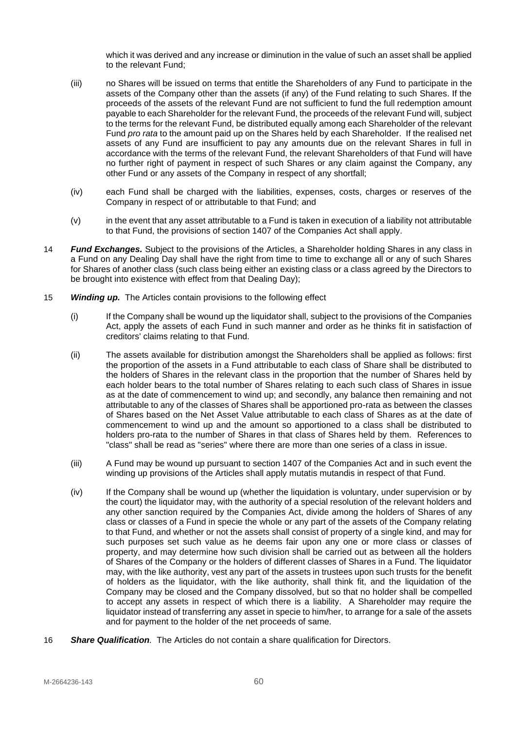which it was derived and any increase or diminution in the value of such an asset shall be applied to the relevant Fund;

- (iii) no Shares will be issued on terms that entitle the Shareholders of any Fund to participate in the assets of the Company other than the assets (if any) of the Fund relating to such Shares. If the proceeds of the assets of the relevant Fund are not sufficient to fund the full redemption amount payable to each Shareholder for the relevant Fund, the proceeds of the relevant Fund will, subject to the terms for the relevant Fund, be distributed equally among each Shareholder of the relevant Fund *pro rata* to the amount paid up on the Shares held by each Shareholder. If the realised net assets of any Fund are insufficient to pay any amounts due on the relevant Shares in full in accordance with the terms of the relevant Fund, the relevant Shareholders of that Fund will have no further right of payment in respect of such Shares or any claim against the Company, any other Fund or any assets of the Company in respect of any shortfall;
- (iv) each Fund shall be charged with the liabilities, expenses, costs, charges or reserves of the Company in respect of or attributable to that Fund; and
- (v) in the event that any asset attributable to a Fund is taken in execution of a liability not attributable to that Fund, the provisions of section 1407 of the Companies Act shall apply.
- 14 *Fund Exchanges.* Subject to the provisions of the Articles, a Shareholder holding Shares in any class in a Fund on any Dealing Day shall have the right from time to time to exchange all or any of such Shares for Shares of another class (such class being either an existing class or a class agreed by the Directors to be brought into existence with effect from that Dealing Day);
- 15 *Winding up.* The Articles contain provisions to the following effect
	- (i) If the Company shall be wound up the liquidator shall, subject to the provisions of the Companies Act, apply the assets of each Fund in such manner and order as he thinks fit in satisfaction of creditors' claims relating to that Fund.
	- (ii) The assets available for distribution amongst the Shareholders shall be applied as follows: first the proportion of the assets in a Fund attributable to each class of Share shall be distributed to the holders of Shares in the relevant class in the proportion that the number of Shares held by each holder bears to the total number of Shares relating to each such class of Shares in issue as at the date of commencement to wind up; and secondly, any balance then remaining and not attributable to any of the classes of Shares shall be apportioned pro-rata as between the classes of Shares based on the Net Asset Value attributable to each class of Shares as at the date of commencement to wind up and the amount so apportioned to a class shall be distributed to holders pro-rata to the number of Shares in that class of Shares held by them. References to "class" shall be read as "series" where there are more than one series of a class in issue.
	- (iii) A Fund may be wound up pursuant to section 1407 of the Companies Act and in such event the winding up provisions of the Articles shall apply mutatis mutandis in respect of that Fund.
	- (iv) If the Company shall be wound up (whether the liquidation is voluntary, under supervision or by the court) the liquidator may, with the authority of a special resolution of the relevant holders and any other sanction required by the Companies Act, divide among the holders of Shares of any class or classes of a Fund in specie the whole or any part of the assets of the Company relating to that Fund, and whether or not the assets shall consist of property of a single kind, and may for such purposes set such value as he deems fair upon any one or more class or classes of property, and may determine how such division shall be carried out as between all the holders of Shares of the Company or the holders of different classes of Shares in a Fund. The liquidator may, with the like authority, vest any part of the assets in trustees upon such trusts for the benefit of holders as the liquidator, with the like authority, shall think fit, and the liquidation of the Company may be closed and the Company dissolved, but so that no holder shall be compelled to accept any assets in respect of which there is a liability. A Shareholder may require the liquidator instead of transferring any asset in specie to him/her, to arrange for a sale of the assets and for payment to the holder of the net proceeds of same.
- 16 *Share Qualification.* The Articles do not contain a share qualification for Directors.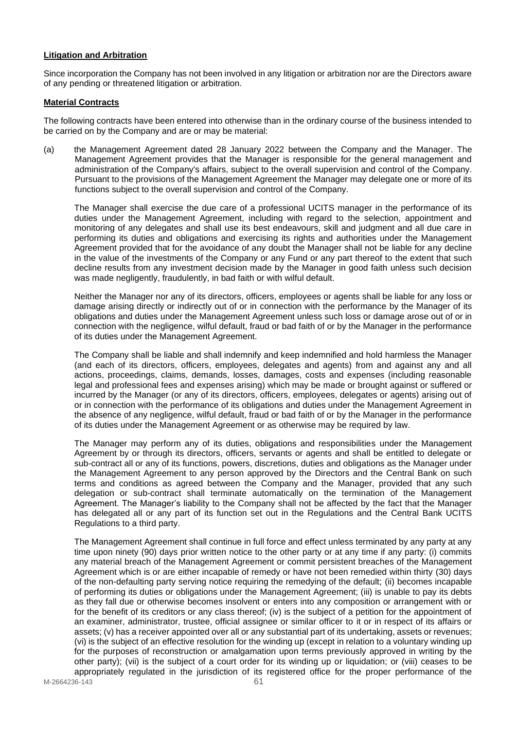## <span id="page-60-0"></span>**Litigation and Arbitration**

Since incorporation the Company has not been involved in any litigation or arbitration nor are the Directors aware of any pending or threatened litigation or arbitration.

## <span id="page-60-1"></span>**Material Contracts**

The following contracts have been entered into otherwise than in the ordinary course of the business intended to be carried on by the Company and are or may be material:

(a) the Management Agreement dated 28 January 2022 between the Company and the Manager. The Management Agreement provides that the Manager is responsible for the general management and administration of the Company's affairs, subject to the overall supervision and control of the Company. Pursuant to the provisions of the Management Agreement the Manager may delegate one or more of its functions subject to the overall supervision and control of the Company.

The Manager shall exercise the due care of a professional UCITS manager in the performance of its duties under the Management Agreement, including with regard to the selection, appointment and monitoring of any delegates and shall use its best endeavours, skill and judgment and all due care in performing its duties and obligations and exercising its rights and authorities under the Management Agreement provided that for the avoidance of any doubt the Manager shall not be liable for any decline in the value of the investments of the Company or any Fund or any part thereof to the extent that such decline results from any investment decision made by the Manager in good faith unless such decision was made negligently, fraudulently, in bad faith or with wilful default.

Neither the Manager nor any of its directors, officers, employees or agents shall be liable for any loss or damage arising directly or indirectly out of or in connection with the performance by the Manager of its obligations and duties under the Management Agreement unless such loss or damage arose out of or in connection with the negligence, wilful default, fraud or bad faith of or by the Manager in the performance of its duties under the Management Agreement.

The Company shall be liable and shall indemnify and keep indemnified and hold harmless the Manager (and each of its directors, officers, employees, delegates and agents) from and against any and all actions, proceedings, claims, demands, losses, damages, costs and expenses (including reasonable legal and professional fees and expenses arising) which may be made or brought against or suffered or incurred by the Manager (or any of its directors, officers, employees, delegates or agents) arising out of or in connection with the performance of its obligations and duties under the Management Agreement in the absence of any negligence, wilful default, fraud or bad faith of or by the Manager in the performance of its duties under the Management Agreement or as otherwise may be required by law.

The Manager may perform any of its duties, obligations and responsibilities under the Management Agreement by or through its directors, officers, servants or agents and shall be entitled to delegate or sub-contract all or any of its functions, powers, discretions, duties and obligations as the Manager under the Management Agreement to any person approved by the Directors and the Central Bank on such terms and conditions as agreed between the Company and the Manager, provided that any such delegation or sub-contract shall terminate automatically on the termination of the Management Agreement. The Manager's liability to the Company shall not be affected by the fact that the Manager has delegated all or any part of its function set out in the Regulations and the Central Bank UCITS Regulations to a third party.

The Management Agreement shall continue in full force and effect unless terminated by any party at any time upon ninety (90) days prior written notice to the other party or at any time if any party: (i) commits any material breach of the Management Agreement or commit persistent breaches of the Management Agreement which is or are either incapable of remedy or have not been remedied within thirty (30) days of the non-defaulting party serving notice requiring the remedying of the default; (ii) becomes incapable of performing its duties or obligations under the Management Agreement; (iii) is unable to pay its debts as they fall due or otherwise becomes insolvent or enters into any composition or arrangement with or for the benefit of its creditors or any class thereof; (iv) is the subject of a petition for the appointment of an examiner, administrator, trustee, official assignee or similar officer to it or in respect of its affairs or assets; (v) has a receiver appointed over all or any substantial part of its undertaking, assets or revenues; (vi) is the subject of an effective resolution for the winding up (except in relation to a voluntary winding up for the purposes of reconstruction or amalgamation upon terms previously approved in writing by the other party); (vii) is the subject of a court order for its winding up or liquidation; or (viii) ceases to be appropriately regulated in the jurisdiction of its registered office for the proper performance of the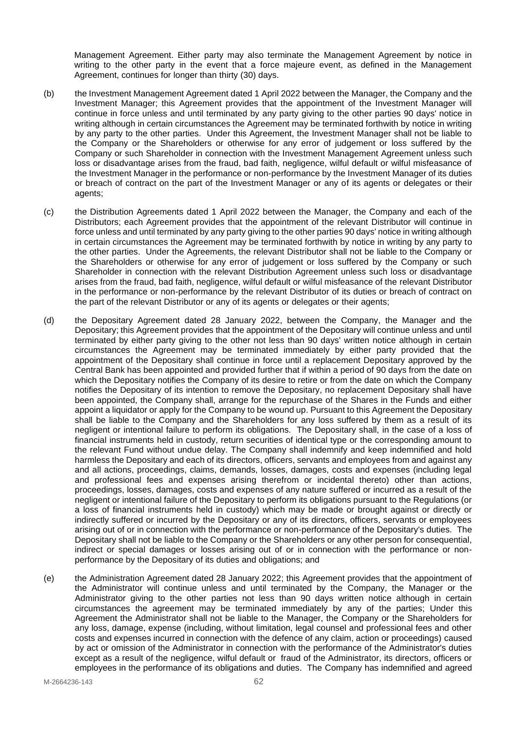Management Agreement. Either party may also terminate the Management Agreement by notice in writing to the other party in the event that a force majeure event, as defined in the Management Agreement, continues for longer than thirty (30) days.

- (b) the Investment Management Agreement dated 1 April 2022 between the Manager, the Company and the Investment Manager; this Agreement provides that the appointment of the Investment Manager will continue in force unless and until terminated by any party giving to the other parties 90 days' notice in writing although in certain circumstances the Agreement may be terminated forthwith by notice in writing by any party to the other parties. Under this Agreement, the Investment Manager shall not be liable to the Company or the Shareholders or otherwise for any error of judgement or loss suffered by the Company or such Shareholder in connection with the Investment Management Agreement unless such loss or disadvantage arises from the fraud, bad faith, negligence, wilful default or wilful misfeasance of the Investment Manager in the performance or non-performance by the Investment Manager of its duties or breach of contract on the part of the Investment Manager or any of its agents or delegates or their agents;
- (c) the Distribution Agreements dated 1 April 2022 between the Manager, the Company and each of the Distributors; each Agreement provides that the appointment of the relevant Distributor will continue in force unless and until terminated by any party giving to the other parties 90 days' notice in writing although in certain circumstances the Agreement may be terminated forthwith by notice in writing by any party to the other parties. Under the Agreements, the relevant Distributor shall not be liable to the Company or the Shareholders or otherwise for any error of judgement or loss suffered by the Company or such Shareholder in connection with the relevant Distribution Agreement unless such loss or disadvantage arises from the fraud, bad faith, negligence, wilful default or wilful misfeasance of the relevant Distributor in the performance or non-performance by the relevant Distributor of its duties or breach of contract on the part of the relevant Distributor or any of its agents or delegates or their agents;
- (d) the Depositary Agreement dated 28 January 2022, between the Company, the Manager and the Depositary; this Agreement provides that the appointment of the Depositary will continue unless and until terminated by either party giving to the other not less than 90 days' written notice although in certain circumstances the Agreement may be terminated immediately by either party provided that the appointment of the Depositary shall continue in force until a replacement Depositary approved by the Central Bank has been appointed and provided further that if within a period of 90 days from the date on which the Depositary notifies the Company of its desire to retire or from the date on which the Company notifies the Depositary of its intention to remove the Depositary, no replacement Depositary shall have been appointed, the Company shall, arrange for the repurchase of the Shares in the Funds and either appoint a liquidator or apply for the Company to be wound up. Pursuant to this Agreement the Depositary shall be liable to the Company and the Shareholders for any loss suffered by them as a result of its negligent or intentional failure to perform its obligations. The Depositary shall, in the case of a loss of financial instruments held in custody, return securities of identical type or the corresponding amount to the relevant Fund without undue delay. The Company shall indemnify and keep indemnified and hold harmless the Depositary and each of its directors, officers, servants and employees from and against any and all actions, proceedings, claims, demands, losses, damages, costs and expenses (including legal and professional fees and expenses arising therefrom or incidental thereto) other than actions, proceedings, losses, damages, costs and expenses of any nature suffered or incurred as a result of the negligent or intentional failure of the Depositary to perform its obligations pursuant to the Regulations (or a loss of financial instruments held in custody) which may be made or brought against or directly or indirectly suffered or incurred by the Depositary or any of its directors, officers, servants or employees arising out of or in connection with the performance or non-performance of the Depositary's duties. The Depositary shall not be liable to the Company or the Shareholders or any other person for consequential, indirect or special damages or losses arising out of or in connection with the performance or nonperformance by the Depositary of its duties and obligations; and
- (e) the Administration Agreement dated 28 January 2022; this Agreement provides that the appointment of the Administrator will continue unless and until terminated by the Company, the Manager or the Administrator giving to the other parties not less than 90 days written notice although in certain circumstances the agreement may be terminated immediately by any of the parties; Under this Agreement the Administrator shall not be liable to the Manager, the Company or the Shareholders for any loss, damage, expense (including, without limitation, legal counsel and professional fees and other costs and expenses incurred in connection with the defence of any claim, action or proceedings) caused by act or omission of the Administrator in connection with the performance of the Administrator's duties except as a result of the negligence, wilful default or fraud of the Administrator, its directors, officers or employees in the performance of its obligations and duties. The Company has indemnified and agreed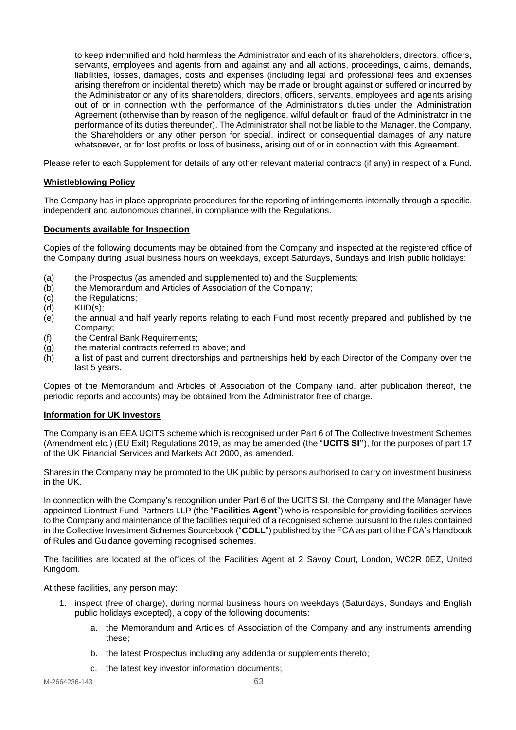to keep indemnified and hold harmless the Administrator and each of its shareholders, directors, officers, servants, employees and agents from and against any and all actions, proceedings, claims, demands, liabilities, losses, damages, costs and expenses (including legal and professional fees and expenses arising therefrom or incidental thereto) which may be made or brought against or suffered or incurred by the Administrator or any of its shareholders, directors, officers, servants, employees and agents arising out of or in connection with the performance of the Administrator's duties under the Administration Agreement (otherwise than by reason of the negligence, wilful default or fraud of the Administrator in the performance of its duties thereunder). The Administrator shall not be liable to the Manager, the Company, the Shareholders or any other person for special, indirect or consequential damages of any nature whatsoever, or for lost profits or loss of business, arising out of or in connection with this Agreement.

Please refer to each Supplement for details of any other relevant material contracts (if any) in respect of a Fund.

## <span id="page-62-0"></span>**Whistleblowing Policy**

The Company has in place appropriate procedures for the reporting of infringements internally through a specific, independent and autonomous channel, in compliance with the Regulations.

#### <span id="page-62-1"></span>**Documents available for Inspection**

Copies of the following documents may be obtained from the Company and inspected at the registered office of the Company during usual business hours on weekdays, except Saturdays, Sundays and Irish public holidays:

- (a) the Prospectus (as amended and supplemented to) and the Supplements;
- (b) the Memorandum and Articles of Association of the Company;
- (c) the Regulations;<br>(d) KIID(s):
- $KID(s)$ ;
- (e) the annual and half yearly reports relating to each Fund most recently prepared and published by the Company;
- (f) the Central Bank Requirements;
- (g) the material contracts referred to above; and
- (h) a list of past and current directorships and partnerships held by each Director of the Company over the last 5 years.

Copies of the Memorandum and Articles of Association of the Company (and, after publication thereof, the periodic reports and accounts) may be obtained from the Administrator free of charge.

# <span id="page-62-2"></span>**Information for UK Investors**

The Company is an EEA UCITS scheme which is recognised under Part 6 of The Collective Investment Schemes (Amendment etc.) (EU Exit) Regulations 2019, as may be amended (the "**UCITS SI"**), for the purposes of part 17 of the UK Financial Services and Markets Act 2000, as amended.

Shares in the Company may be promoted to the UK public by persons authorised to carry on investment business in the UK.

In connection with the Company's recognition under Part 6 of the UCITS SI, the Company and the Manager have appointed Liontrust Fund Partners LLP (the "**Facilities Agent**") who is responsible for providing facilities services to the Company and maintenance of the facilities required of a recognised scheme pursuant to the rules contained in the Collective Investment Schemes Sourcebook ("**COLL**") published by the FCA as part of the FCA's Handbook of Rules and Guidance governing recognised schemes.

The facilities are located at the offices of the Facilities Agent at 2 Savoy Court, London, WC2R 0EZ, United Kingdom.

At these facilities, any person may:

- 1. inspect (free of charge), during normal business hours on weekdays (Saturdays, Sundays and English public holidays excepted), a copy of the following documents:
	- a. the Memorandum and Articles of Association of the Company and any instruments amending these;
	- b. the latest Prospectus including any addenda or supplements thereto;
	- c. the latest key investor information documents;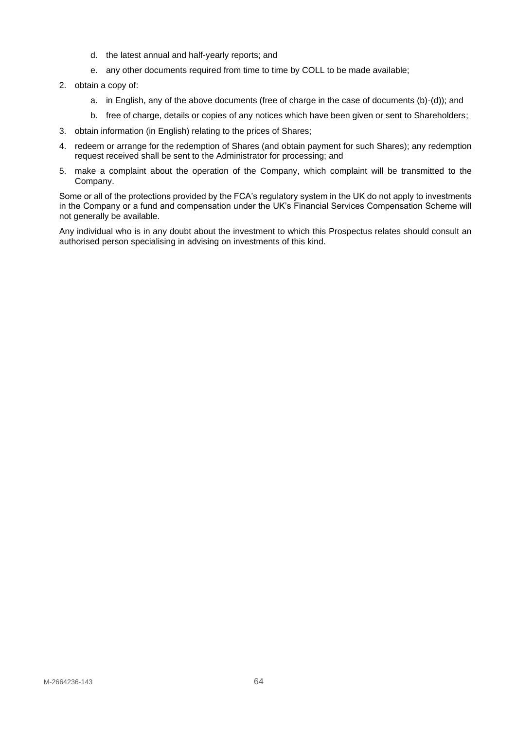- d. the latest annual and half-yearly reports; and
- e. any other documents required from time to time by COLL to be made available;
- 2. obtain a copy of:
	- a. in English, any of the above documents (free of charge in the case of documents (b)-(d)); and
	- b. free of charge, details or copies of any notices which have been given or sent to Shareholders;
- 3. obtain information (in English) relating to the prices of Shares;
- 4. redeem or arrange for the redemption of Shares (and obtain payment for such Shares); any redemption request received shall be sent to the Administrator for processing; and
- 5. make a complaint about the operation of the Company, which complaint will be transmitted to the Company.

Some or all of the protections provided by the FCA's regulatory system in the UK do not apply to investments in the Company or a fund and compensation under the UK's Financial Services Compensation Scheme will not generally be available.

Any individual who is in any doubt about the investment to which this Prospectus relates should consult an authorised person specialising in advising on investments of this kind.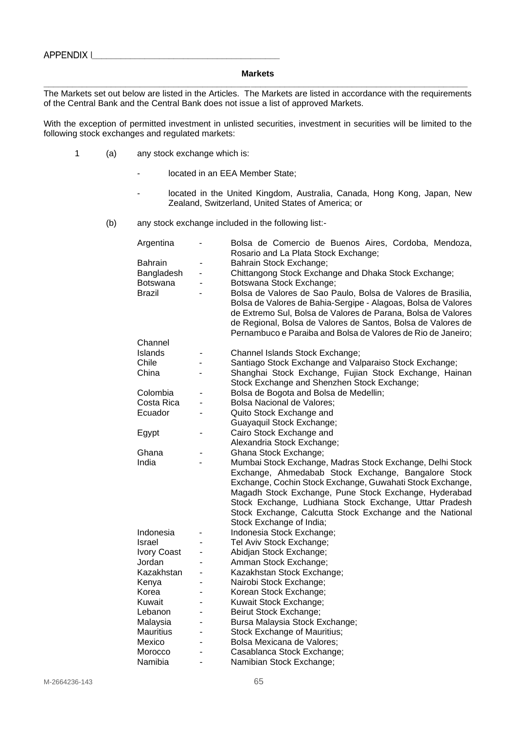#### <span id="page-64-0"></span>**Markets \_\_\_\_\_\_\_\_\_\_\_\_\_\_\_\_\_\_\_\_\_\_\_\_\_\_\_\_\_\_\_\_\_\_\_\_\_\_\_\_\_\_\_\_\_\_\_\_\_\_\_\_\_\_\_\_\_\_\_\_\_\_\_\_\_\_\_\_\_\_\_\_\_\_\_\_\_\_\_\_\_\_\_\_\_\_\_\_**

The Markets set out below are listed in the Articles. The Markets are listed in accordance with the requirements of the Central Bank and the Central Bank does not issue a list of approved Markets.

With the exception of permitted investment in unlisted securities, investment in securities will be limited to the following stock exchanges and regulated markets:

- 1 (a) any stock exchange which is:
	- located in an EEA Member State;
	- located in the United Kingdom, Australia, Canada, Hong Kong, Japan, New Zealand, Switzerland, United States of America; or
	- (b) any stock exchange included in the following list:-

| Argentina          |                | Bolsa de Comercio de Buenos Aires, Cordoba, Mendoza,<br>Rosario and La Plata Stock Exchange; |
|--------------------|----------------|----------------------------------------------------------------------------------------------|
| <b>Bahrain</b>     | ۰              | Bahrain Stock Exchange;                                                                      |
| Bangladesh         | ÷,             | Chittangong Stock Exchange and Dhaka Stock Exchange;                                         |
| <b>Botswana</b>    | L,             | Botswana Stock Exchange;                                                                     |
| Brazil             | ä,             | Bolsa de Valores de Sao Paulo, Bolsa de Valores de Brasilia,                                 |
|                    |                | Bolsa de Valores de Bahia-Sergipe - Alagoas, Bolsa de Valores                                |
|                    |                | de Extremo Sul, Bolsa de Valores de Parana, Bolsa de Valores                                 |
|                    |                | de Regional, Bolsa de Valores de Santos, Bolsa de Valores de                                 |
|                    |                | Pernambuco e Paraiba and Bolsa de Valores de Rio de Janeiro;                                 |
| Channel            |                |                                                                                              |
| <b>Islands</b>     |                | Channel Islands Stock Exchange;                                                              |
| Chile              |                | Santiago Stock Exchange and Valparaiso Stock Exchange;                                       |
| China              |                | Shanghai Stock Exchange, Fujian Stock Exchange, Hainan                                       |
|                    |                | Stock Exchange and Shenzhen Stock Exchange;                                                  |
| Colombia           |                | Bolsa de Bogota and Bolsa de Medellin;                                                       |
| Costa Rica         | ä,             | <b>Bolsa Nacional de Valores;</b>                                                            |
| Ecuador            | ۳              | Quito Stock Exchange and                                                                     |
|                    |                | Guayaquil Stock Exchange;                                                                    |
| Egypt              | ۳              | Cairo Stock Exchange and                                                                     |
|                    |                | Alexandria Stock Exchange;                                                                   |
| Ghana              |                | Ghana Stock Exchange;                                                                        |
| India              |                | Mumbai Stock Exchange, Madras Stock Exchange, Delhi Stock                                    |
|                    |                | Exchange, Ahmedabab Stock Exchange, Bangalore Stock                                          |
|                    |                | Exchange, Cochin Stock Exchange, Guwahati Stock Exchange,                                    |
|                    |                | Magadh Stock Exchange, Pune Stock Exchange, Hyderabad                                        |
|                    |                | Stock Exchange, Ludhiana Stock Exchange, Uttar Pradesh                                       |
|                    |                | Stock Exchange, Calcutta Stock Exchange and the National                                     |
|                    |                | Stock Exchange of India;                                                                     |
| Indonesia          |                | Indonesia Stock Exchange;                                                                    |
| Israel             |                | Tel Aviv Stock Exchange;                                                                     |
| <b>Ivory Coast</b> | $\blacksquare$ | Abidjan Stock Exchange;                                                                      |
| Jordan             |                | Amman Stock Exchange;                                                                        |
| Kazakhstan         |                | Kazakhstan Stock Exchange;                                                                   |
| Kenya              |                | Nairobi Stock Exchange;                                                                      |
| Korea              |                | Korean Stock Exchange;                                                                       |
| Kuwait             |                | Kuwait Stock Exchange;                                                                       |
| Lebanon            |                | Beirut Stock Exchange;                                                                       |
| Malaysia           | L,             | Bursa Malaysia Stock Exchange;                                                               |
| <b>Mauritius</b>   | L,             | Stock Exchange of Mauritius;                                                                 |
| Mexico             |                |                                                                                              |
|                    |                | Bolsa Mexicana de Valores;                                                                   |
| Morocco            |                | Casablanca Stock Exchange;                                                                   |
| Namibia            | L.             | Namibian Stock Exchange;                                                                     |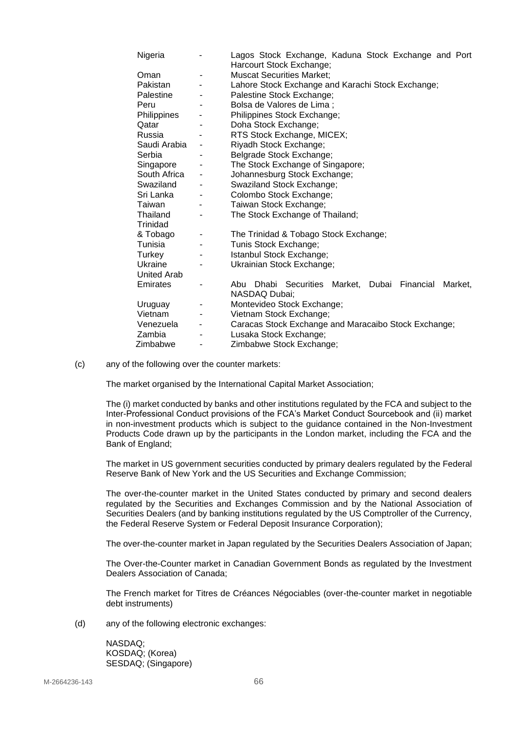| Nigeria            |                              | Lagos Stock Exchange, Kaduna Stock Exchange and Port    |
|--------------------|------------------------------|---------------------------------------------------------|
|                    |                              | Harcourt Stock Exchange;                                |
| Oman               | ÷                            | <b>Muscat Securities Market:</b>                        |
| Pakistan           |                              | Lahore Stock Exchange and Karachi Stock Exchange;       |
| Palestine          |                              | Palestine Stock Exchange;                               |
| Peru               |                              | Bolsa de Valores de Lima;                               |
| Philippines        |                              | Philippines Stock Exchange;                             |
| Qatar              |                              | Doha Stock Exchange;                                    |
| Russia             |                              | RTS Stock Exchange, MICEX;                              |
| Saudi Arabia       | $\overline{\phantom{a}}$     | Riyadh Stock Exchange;                                  |
| Serbia             |                              | Belgrade Stock Exchange;                                |
| Singapore          |                              | The Stock Exchange of Singapore;                        |
| South Africa       | $\qquad \qquad \blacksquare$ | Johannesburg Stock Exchange;                            |
| Swaziland          |                              | Swaziland Stock Exchange;                               |
| Sri Lanka          | ۰                            | Colombo Stock Exchange;                                 |
| Taiwan             |                              | Taiwan Stock Exchange;                                  |
| Thailand           |                              | The Stock Exchange of Thailand;                         |
| Trinidad           |                              |                                                         |
| & Tobago           | -                            | The Trinidad & Tobago Stock Exchange;                   |
| Tunisia            |                              | Tunis Stock Exchange;                                   |
| Turkey             |                              | Istanbul Stock Exchange;                                |
| Ukraine            |                              | Ukrainian Stock Exchange;                               |
| <b>United Arab</b> |                              |                                                         |
| Emirates           |                              | Abu Dhabi Securities Market, Dubai Financial<br>Market, |
|                    |                              | NASDAQ Dubai;                                           |
| Uruguay            | $\overline{\phantom{a}}$     | Montevideo Stock Exchange;                              |
| Vietnam            |                              | Vietnam Stock Exchange;                                 |
| Venezuela          | ۰                            | Caracas Stock Exchange and Maracaibo Stock Exchange;    |
| Zambia             |                              | Lusaka Stock Exchange;                                  |
| Zimbabwe           | -                            | Zimbabwe Stock Exchange;                                |

#### (c) any of the following over the counter markets:

The market organised by the International Capital Market Association;

The (i) market conducted by banks and other institutions regulated by the FCA and subject to the Inter-Professional Conduct provisions of the FCA's Market Conduct Sourcebook and (ii) market in non-investment products which is subject to the guidance contained in the Non-Investment Products Code drawn up by the participants in the London market, including the FCA and the Bank of England;

The market in US government securities conducted by primary dealers regulated by the Federal Reserve Bank of New York and the US Securities and Exchange Commission;

The over-the-counter market in the United States conducted by primary and second dealers regulated by the Securities and Exchanges Commission and by the National Association of Securities Dealers (and by banking institutions regulated by the US Comptroller of the Currency, the Federal Reserve System or Federal Deposit Insurance Corporation);

The over-the-counter market in Japan regulated by the Securities Dealers Association of Japan;

The Over-the-Counter market in Canadian Government Bonds as regulated by the Investment Dealers Association of Canada;

The French market for Titres de Créances Négociables (over-the-counter market in negotiable debt instruments)

(d) any of the following electronic exchanges:

NASDAQ; KOSDAQ; (Korea) SESDAQ; (Singapore)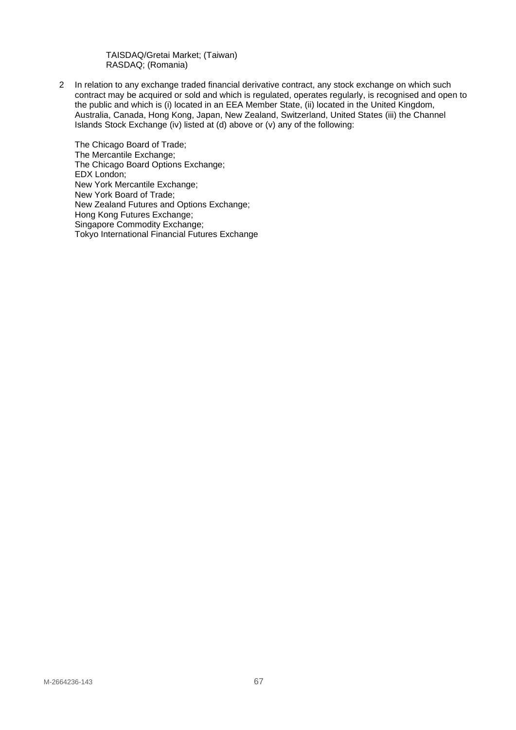TAISDAQ/Gretai Market; (Taiwan) RASDAQ; (Romania)

2 In relation to any exchange traded financial derivative contract, any stock exchange on which such contract may be acquired or sold and which is regulated, operates regularly, is recognised and open to the public and which is (i) located in an EEA Member State, (ii) located in the United Kingdom, Australia, Canada, Hong Kong, Japan, New Zealand, Switzerland, United States (iii) the Channel Islands Stock Exchange (iv) listed at (d) above or (v) any of the following:

The Chicago Board of Trade; The Mercantile Exchange; The Chicago Board Options Exchange; EDX London; New York Mercantile Exchange; New York Board of Trade; New Zealand Futures and Options Exchange; Hong Kong Futures Exchange; Singapore Commodity Exchange; Tokyo International Financial Futures Exchange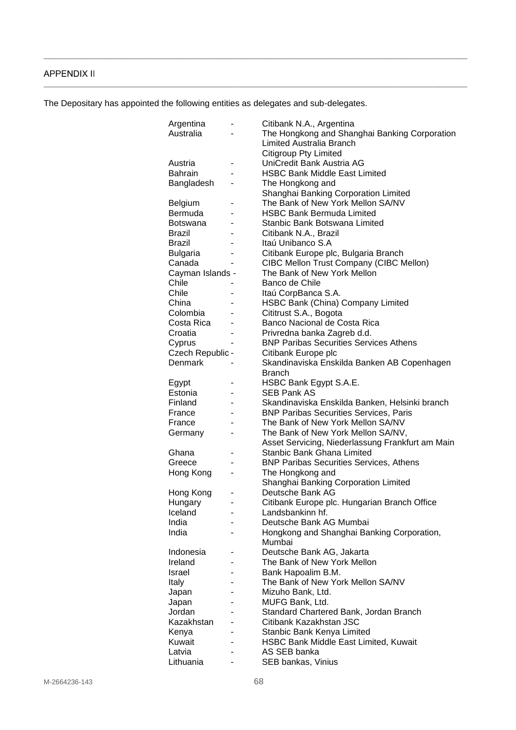# <span id="page-67-0"></span>**APPENDIX II**

The Depositary has appointed the following entities as delegates and sub-delegates.

**\_\_\_\_\_\_\_\_\_\_\_\_\_\_\_\_\_\_\_\_\_\_\_\_\_\_\_\_\_\_\_\_\_\_\_\_\_\_\_\_\_\_\_\_\_\_\_\_\_\_\_\_\_\_\_\_\_\_\_\_\_\_\_\_\_\_\_\_\_\_\_\_\_\_\_\_\_\_\_\_\_\_\_\_\_\_\_\_**

**\_\_\_\_\_\_\_\_\_\_\_\_\_\_\_\_\_\_\_\_\_\_\_\_\_\_\_\_\_\_\_\_\_\_\_\_\_\_\_\_\_\_\_\_\_\_\_\_\_\_\_\_\_\_\_\_\_\_\_\_\_\_\_\_\_\_\_\_\_\_\_\_\_\_\_\_\_\_\_\_\_\_\_\_\_\_\_\_**

| Argentina        |                | Citibank N.A., Argentina                         |
|------------------|----------------|--------------------------------------------------|
| Australia        |                | The Hongkong and Shanghai Banking Corporation    |
|                  |                | <b>Limited Australia Branch</b>                  |
|                  |                | <b>Citigroup Pty Limited</b>                     |
| Austria          | -              | UniCredit Bank Austria AG                        |
| <b>Bahrain</b>   |                | <b>HSBC Bank Middle East Limited</b>             |
| Bangladesh       |                | The Hongkong and                                 |
|                  |                | Shanghai Banking Corporation Limited             |
|                  |                | The Bank of New York Mellon SA/NV                |
| Belgium          |                | <b>HSBC Bank Bermuda Limited</b>                 |
| Bermuda          |                |                                                  |
| <b>Botswana</b>  |                | Stanbic Bank Botswana Limited                    |
| <b>Brazil</b>    |                | Citibank N.A., Brazil                            |
| Brazil           |                | Itaú Unibanco S.A                                |
| <b>Bulgaria</b>  |                | Citibank Europe plc, Bulgaria Branch             |
| Canada           |                | <b>CIBC Mellon Trust Company (CIBC Mellon)</b>   |
| Cayman Islands - |                | The Bank of New York Mellon                      |
| Chile            |                | Banco de Chile                                   |
| Chile            |                | Itaú CorpBanca S.A.                              |
| China            | $\blacksquare$ | HSBC Bank (China) Company Limited                |
| Colombia         |                | Cititrust S.A., Bogota                           |
| Costa Rica       |                | Banco Nacional de Costa Rica                     |
| Croatia          |                | Privredna banka Zagreb d.d.                      |
|                  |                |                                                  |
| Cyprus           | $\blacksquare$ | <b>BNP Paribas Securities Services Athens</b>    |
| Czech Republic - |                | Citibank Europe plc                              |
| Denmark          |                | Skandinaviska Enskilda Banken AB Copenhagen      |
|                  |                | Branch                                           |
| Egypt            |                | HSBC Bank Egypt S.A.E.                           |
| Estonia          |                | <b>SEB Pank AS</b>                               |
| Finland          | -              | Skandinaviska Enskilda Banken, Helsinki branch   |
| France           |                | <b>BNP Paribas Securities Services, Paris</b>    |
| France           |                | The Bank of New York Mellon SA/NV                |
| Germany          |                | The Bank of New York Mellon SA/NV,               |
|                  |                | Asset Servicing, Niederlassung Frankfurt am Main |
| Ghana            |                | <b>Stanbic Bank Ghana Limited</b>                |
| Greece           |                | <b>BNP Paribas Securities Services, Athens</b>   |
| Hong Kong        |                | The Hongkong and                                 |
|                  |                | Shanghai Banking Corporation Limited             |
|                  |                | Deutsche Bank AG                                 |
| Hong Kong        |                |                                                  |
| Hungary          |                | Citibank Europe plc. Hungarian Branch Office     |
| Iceland          |                | Landsbankinn hf.                                 |
| India            |                | Deutsche Bank AG Mumbai                          |
| India            | $\blacksquare$ | Hongkong and Shanghai Banking Corporation,       |
|                  |                | Mumbai                                           |
| Indonesia        |                | Deutsche Bank AG, Jakarta                        |
| Ireland          |                | The Bank of New York Mellon                      |
| Israel           |                | Bank Hapoalim B.M.                               |
| Italy            |                | The Bank of New York Mellon SA/NV                |
| Japan            |                | Mizuho Bank, Ltd.                                |
| Japan            |                | MUFG Bank, Ltd.                                  |
| Jordan           |                | Standard Chartered Bank, Jordan Branch           |
| Kazakhstan       |                | Citibank Kazakhstan JSC                          |
| Kenya            |                | Stanbic Bank Kenya Limited                       |
| Kuwait           |                | <b>HSBC Bank Middle East Limited, Kuwait</b>     |
|                  |                | AS SEB banka                                     |
| Latvia           |                |                                                  |
| Lithuania        |                | SEB bankas, Vinius                               |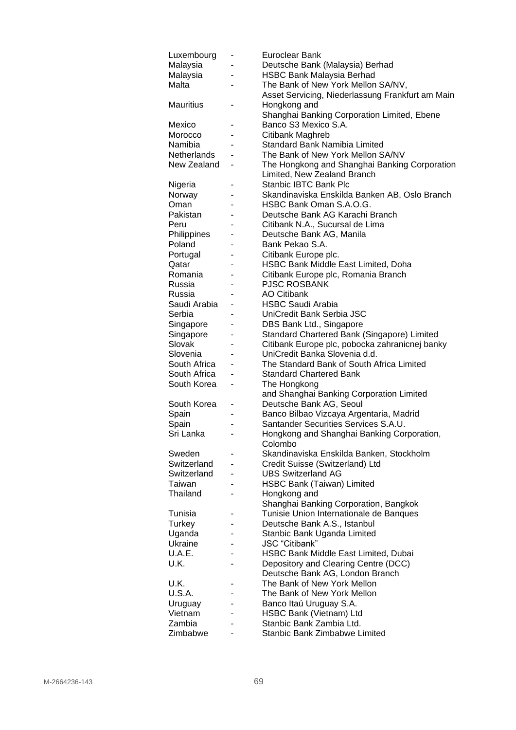| Luxembourg         |                          | Euroclear Bank                                                                  |
|--------------------|--------------------------|---------------------------------------------------------------------------------|
| Malaysia           |                          | Deutsche Bank (Malaysia) Berhad                                                 |
| Malaysia           |                          | <b>HSBC Bank Malaysia Berhad</b>                                                |
| Malta              |                          | The Bank of New York Mellon SA/NV,                                              |
|                    |                          | Asset Servicing, Niederlassung Frankfurt am Main                                |
| <b>Mauritius</b>   |                          | Hongkong and                                                                    |
|                    |                          | Shanghai Banking Corporation Limited, Ebene                                     |
| Mexico             | -                        | Banco S3 Mexico S.A.                                                            |
| Morocco            |                          | Citibank Maghreb                                                                |
| Namibia            |                          | Standard Bank Namibia Limited                                                   |
| Netherlands        |                          | The Bank of New York Mellon SA/NV                                               |
| New Zealand        | $\overline{\phantom{0}}$ | The Hongkong and Shanghai Banking Corporation                                   |
|                    |                          | Limited, New Zealand Branch                                                     |
| Nigeria            |                          | Stanbic IBTC Bank Plc                                                           |
| Norway             |                          | Skandinaviska Enskilda Banken AB, Oslo Branch                                   |
| Oman               |                          | HSBC Bank Oman S.A.O.G.                                                         |
| Pakistan           |                          | Deutsche Bank AG Karachi Branch                                                 |
| Peru               |                          | Citibank N.A., Sucursal de Lima                                                 |
| Philippines        | -                        | Deutsche Bank AG, Manila                                                        |
| Poland             | $\blacksquare$           | Bank Pekao S.A.                                                                 |
| Portugal           |                          | Citibank Europe plc.                                                            |
| Qatar              |                          | HSBC Bank Middle East Limited, Doha                                             |
| Romania            |                          | Citibank Europe plc, Romania Branch                                             |
| Russia             |                          | <b>PJSC ROSBANK</b>                                                             |
| Russia             |                          | <b>AO Citibank</b>                                                              |
| Saudi Arabia       |                          | <b>HSBC Saudi Arabia</b>                                                        |
| Serbia             |                          | UniCredit Bank Serbia JSC                                                       |
| Singapore          |                          | DBS Bank Ltd., Singapore                                                        |
| Singapore          |                          | Standard Chartered Bank (Singapore) Limited                                     |
| Slovak             |                          | Citibank Europe plc, pobocka zahranicnej banky                                  |
| Slovenia           | -                        | UniCredit Banka Slovenia d.d.                                                   |
| South Africa       |                          | The Standard Bank of South Africa Limited                                       |
| South Africa       | -                        | <b>Standard Chartered Bank</b>                                                  |
| South Korea        | -                        | The Hongkong                                                                    |
|                    |                          | and Shanghai Banking Corporation Limited                                        |
| South Korea        | -                        | Deutsche Bank AG, Seoul                                                         |
| Spain              |                          | Banco Bilbao Vizcaya Argentaria, Madrid<br>Santander Securities Services S.A.U. |
| Spain<br>Sri Lanka |                          | Hongkong and Shanghai Banking Corporation,                                      |
|                    |                          | Colombo                                                                         |
| Sweden             |                          | Skandinaviska Enskilda Banken, Stockholm                                        |
| Switzerland        |                          | Credit Suisse (Switzerland) Ltd                                                 |
| Switzerland        | -                        | <b>UBS Switzerland AG</b>                                                       |
| Taiwan             | ۰                        | <b>HSBC Bank (Taiwan) Limited</b>                                               |
| Thailand           |                          | Hongkong and                                                                    |
|                    |                          | Shanghai Banking Corporation, Bangkok                                           |
| Tunisia            |                          | Tunisie Union Internationale de Banques                                         |
| Turkey             |                          | Deutsche Bank A.S., Istanbul                                                    |
| Uganda             |                          | Stanbic Bank Uganda Limited                                                     |
| <b>Ukraine</b>     |                          | JSC "Citibank"                                                                  |
| U.A.E.             |                          | HSBC Bank Middle East Limited, Dubai                                            |
| U.K.               |                          | Depository and Clearing Centre (DCC)                                            |
|                    |                          | Deutsche Bank AG, London Branch                                                 |
| U.K.               |                          | The Bank of New York Mellon                                                     |
| U.S.A.             | -                        | The Bank of New York Mellon                                                     |
| Uruguay            | -                        | Banco Itaú Uruguay S.A.                                                         |
| Vietnam            | -                        | HSBC Bank (Vietnam) Ltd                                                         |
| Zambia             |                          | Stanbic Bank Zambia Ltd.                                                        |
| Zimbabwe           |                          | Stanbic Bank Zimbabwe Limited                                                   |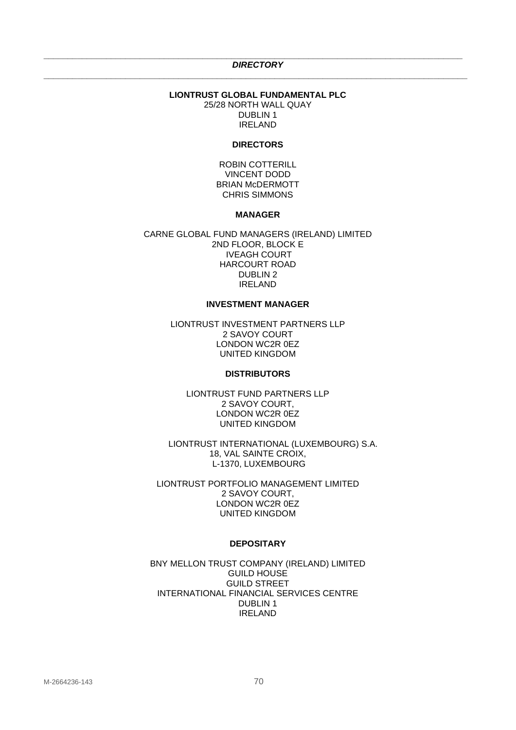#### <span id="page-69-0"></span>**\_\_\_\_\_\_\_\_\_\_\_\_\_\_\_\_\_\_\_\_\_\_\_\_\_\_\_\_\_\_\_\_\_\_\_\_\_\_\_\_\_\_\_\_\_\_\_\_\_\_\_\_\_\_\_\_\_\_\_\_\_\_\_\_\_\_\_\_\_\_\_\_\_\_\_\_\_\_\_\_\_\_\_\_\_\_\_** *DIRECTORY* **\_\_\_\_\_\_\_\_\_\_\_\_\_\_\_\_\_\_\_\_\_\_\_\_\_\_\_\_\_\_\_\_\_\_\_\_\_\_\_\_\_\_\_\_\_\_\_\_\_\_\_\_\_\_\_\_\_\_\_\_\_\_\_\_\_\_\_\_\_\_\_\_\_\_\_\_\_\_\_\_\_\_\_\_\_\_\_\_**

#### **LIONTRUST GLOBAL FUNDAMENTAL PLC** 25/28 NORTH WALL QUAY DUBLIN 1 IRELAND

#### **DIRECTORS**

ROBIN COTTERILL VINCENT DODD BRIAN McDERMOTT CHRIS SIMMONS

#### **MANAGER**

CARNE GLOBAL FUND MANAGERS (IRELAND) LIMITED 2ND FLOOR, BLOCK E IVEAGH COURT HARCOURT ROAD DUBLIN 2 IRELAND

#### **INVESTMENT MANAGER**

LIONTRUST INVESTMENT PARTNERS LLP 2 SAVOY COURT LONDON WC2R 0EZ UNITED KINGDOM

#### **DISTRIBUTORS**

LIONTRUST FUND PARTNERS LLP 2 SAVOY COURT, LONDON WC2R 0EZ UNITED KINGDOM

LIONTRUST INTERNATIONAL (LUXEMBOURG) S.A. 18, VAL SAINTE CROIX, L-1370, LUXEMBOURG

LIONTRUST PORTFOLIO MANAGEMENT LIMITED 2 SAVOY COURT, LONDON WC2R 0EZ UNITED KINGDOM

#### **DEPOSITARY**

BNY MELLON TRUST COMPANY (IRELAND) LIMITED GUILD HOUSE GUILD STREET INTERNATIONAL FINANCIAL SERVICES CENTRE DUBLIN 1 IRELAND